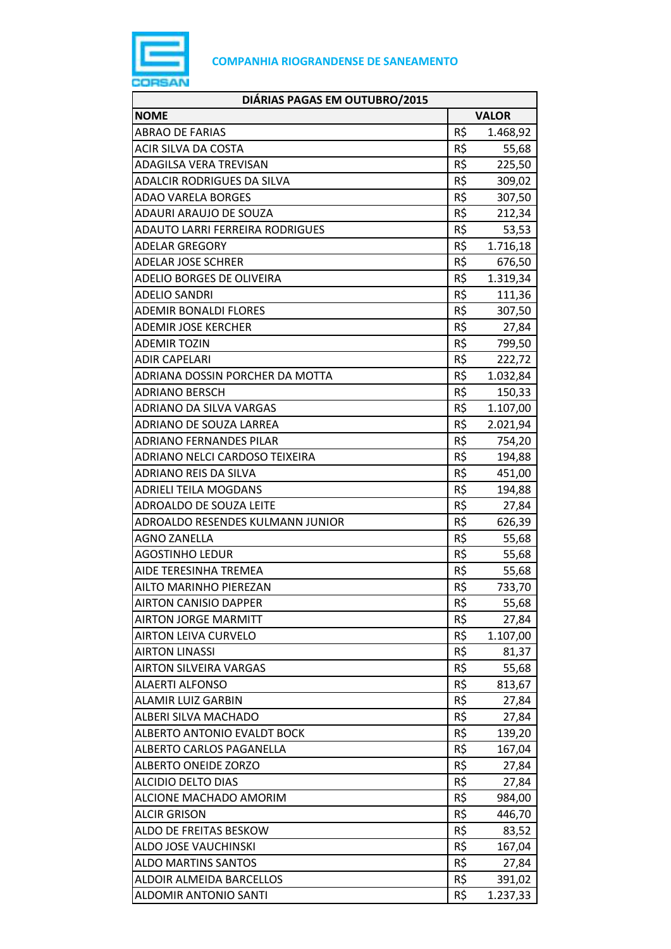

| DIÁRIAS PAGAS EM OUTUBRO/2015     |              |          |
|-----------------------------------|--------------|----------|
| <b>NOME</b>                       | <b>VALOR</b> |          |
| <b>ABRAO DE FARIAS</b>            | R\$          | 1.468,92 |
| ACIR SILVA DA COSTA               | R\$          | 55,68    |
| ADAGILSA VERA TREVISAN            | R\$          | 225,50   |
| <b>ADALCIR RODRIGUES DA SILVA</b> | R\$          | 309,02   |
| <b>ADAO VARELA BORGES</b>         | R\$          | 307,50   |
| <b>ADAURI ARAUJO DE SOUZA</b>     | R\$          | 212,34   |
| ADAUTO LARRI FERREIRA RODRIGUES   | R\$          | 53,53    |
| <b>ADELAR GREGORY</b>             | R\$          | 1.716,18 |
| <b>ADELAR JOSE SCHRER</b>         | R\$          | 676,50   |
| ADELIO BORGES DE OLIVEIRA         | R\$          | 1.319,34 |
| <b>ADELIO SANDRI</b>              | R\$          | 111,36   |
| <b>ADEMIR BONALDI FLORES</b>      | R\$          | 307,50   |
| <b>ADEMIR JOSE KERCHER</b>        | R\$          | 27,84    |
| <b>ADEMIR TOZIN</b>               | R\$          | 799,50   |
| <b>ADIR CAPELARI</b>              | R\$          | 222,72   |
| ADRIANA DOSSIN PORCHER DA MOTTA   | R\$          | 1.032,84 |
| <b>ADRIANO BERSCH</b>             | R\$          | 150,33   |
| ADRIANO DA SILVA VARGAS           | R\$          | 1.107,00 |
| ADRIANO DE SOUZA LARREA           | R\$          | 2.021,94 |
| <b>ADRIANO FERNANDES PILAR</b>    | R\$          | 754,20   |
| ADRIANO NELCI CARDOSO TEIXEIRA    | R\$          | 194,88   |
| ADRIANO REIS DA SILVA             | R\$          | 451,00   |
| ADRIELI TEILA MOGDANS             | R\$          | 194,88   |
| ADROALDO DE SOUZA LEITE           | R\$          | 27,84    |
| ADROALDO RESENDES KULMANN JUNIOR  | R\$          | 626,39   |
| <b>AGNO ZANELLA</b>               | R\$          | 55,68    |
| <b>AGOSTINHO LEDUR</b>            | R\$          | 55,68    |
| AIDE TERESINHA TREMEA             | R\$          | 55,68    |
| AILTO MARINHO PIEREZAN            | R\$          | 733,70   |
| <b>AIRTON CANISIO DAPPER</b>      | R\$          | 55,68    |
| <b>AIRTON JORGE MARMITT</b>       | R\$          | 27,84    |
| <b>AIRTON LEIVA CURVELO</b>       | R\$          | 1.107,00 |
| <b>AIRTON LINASSI</b>             | R\$          | 81,37    |
| <b>AIRTON SILVEIRA VARGAS</b>     | R\$          | 55,68    |
| <b>ALAERTI ALFONSO</b>            | R\$          | 813,67   |
| <b>ALAMIR LUIZ GARBIN</b>         | R\$          | 27,84    |
| ALBERI SILVA MACHADO              | R\$          | 27,84    |
| ALBERTO ANTONIO EVALDT BOCK       | R\$          | 139,20   |
| ALBERTO CARLOS PAGANELLA          | R\$          | 167,04   |
| <b>ALBERTO ONEIDE ZORZO</b>       | R\$          | 27,84    |
| <b>ALCIDIO DELTO DIAS</b>         | R\$          | 27,84    |
| ALCIONE MACHADO AMORIM            | R\$          | 984,00   |
| <b>ALCIR GRISON</b>               | R\$          | 446,70   |
| ALDO DE FREITAS BESKOW            | R\$          | 83,52    |
| ALDO JOSE VAUCHINSKI              | R\$          | 167,04   |
| <b>ALDO MARTINS SANTOS</b>        | R\$          | 27,84    |
| ALDOIR ALMEIDA BARCELLOS          | R\$          | 391,02   |
| <b>ALDOMIR ANTONIO SANTI</b>      | R\$          | 1.237,33 |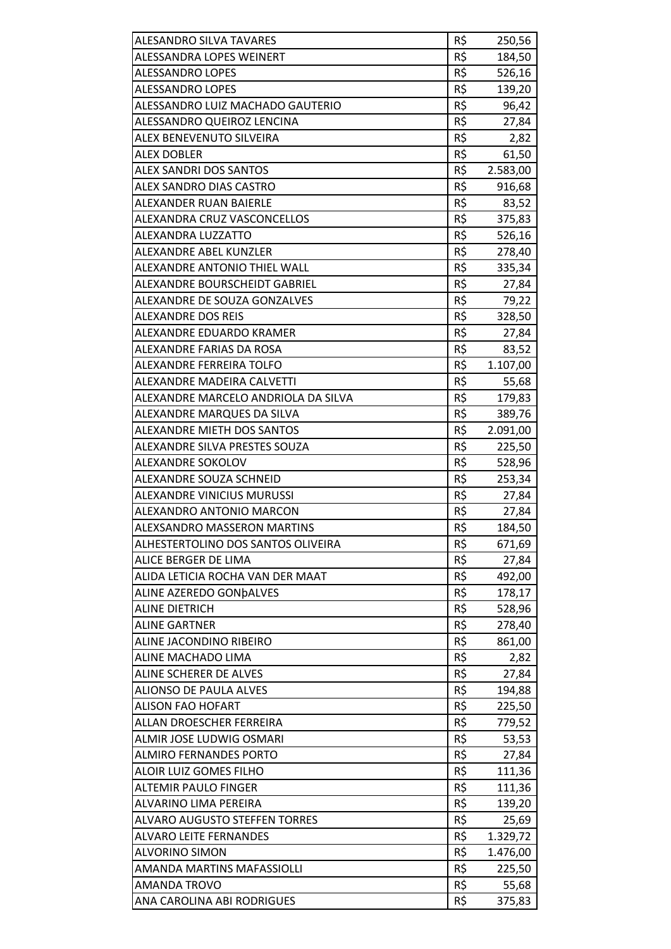| <b>ALESANDRO SILVA TAVARES</b>                    | R\$ | 250,56   |
|---------------------------------------------------|-----|----------|
| ALESSANDRA LOPES WEINERT                          | R\$ | 184,50   |
| <b>ALESSANDRO LOPES</b>                           | R\$ | 526,16   |
| <b>ALESSANDRO LOPES</b>                           | R\$ | 139,20   |
| ALESSANDRO LUIZ MACHADO GAUTERIO                  | R\$ | 96,42    |
| ALESSANDRO QUEIROZ LENCINA                        | R\$ | 27,84    |
| ALEX BENEVENUTO SILVEIRA                          | R\$ | 2,82     |
| <b>ALEX DOBLER</b>                                | R\$ | 61,50    |
| <b>ALEX SANDRI DOS SANTOS</b>                     | R\$ | 2.583,00 |
| ALEX SANDRO DIAS CASTRO                           | R\$ | 916,68   |
| ALEXANDER RUAN BAIERLE                            | R\$ | 83,52    |
| ALEXANDRA CRUZ VASCONCELLOS                       | R\$ | 375,83   |
| ALEXANDRA LUZZATTO                                | R\$ | 526,16   |
| ALEXANDRE ABEL KUNZLER                            | R\$ | 278,40   |
| ALEXANDRE ANTONIO THIEL WALL                      | R\$ | 335,34   |
| ALEXANDRE BOURSCHEIDT GABRIEL                     | R\$ | 27,84    |
| ALEXANDRE DE SOUZA GONZALVES                      | R\$ | 79,22    |
| <b>ALEXANDRE DOS REIS</b>                         | R\$ | 328,50   |
| ALEXANDRE EDUARDO KRAMER                          | R\$ | 27,84    |
| ALEXANDRE FARIAS DA ROSA                          | R\$ | 83,52    |
| ALEXANDRE FERREIRA TOLFO                          | R\$ | 1.107,00 |
| ALEXANDRE MADEIRA CALVETTI                        | R\$ | 55,68    |
| ALEXANDRE MARCELO ANDRIOLA DA SILVA               | R\$ | 179,83   |
| ALEXANDRE MARQUES DA SILVA                        | R\$ | 389,76   |
| <b>ALEXANDRE MIETH DOS SANTOS</b>                 | R\$ | 2.091,00 |
| ALEXANDRE SILVA PRESTES SOUZA                     | R\$ | 225,50   |
| ALEXANDRE SOKOLOV                                 | R\$ | 528,96   |
| ALEXANDRE SOUZA SCHNEID                           | R\$ | 253,34   |
| <b>ALEXANDRE VINICIUS MURUSSI</b>                 | R\$ | 27,84    |
| ALEXANDRO ANTONIO MARCON                          | R\$ | 27,84    |
| ALEXSANDRO MASSERON MARTINS                       | R\$ | 184,50   |
| ALHESTERTOLINO DOS SANTOS OLIVEIRA                | R\$ | 671,69   |
| ALICE BERGER DE LIMA                              | R\$ | 27,84    |
| ALIDA LETICIA ROCHA VAN DER MAAT                  | R\$ | 492,00   |
| ALINE AZEREDO GONDALVES                           | R\$ | 178,17   |
| <b>ALINE DIETRICH</b>                             | R\$ | 528,96   |
| <b>ALINE GARTNER</b>                              | R\$ | 278,40   |
| ALINE JACONDINO RIBEIRO                           | R\$ | 861,00   |
| ALINE MACHADO LIMA                                | R\$ | 2,82     |
| ALINE SCHERER DE ALVES                            | R\$ | 27,84    |
| <b>ALIONSO DE PAULA ALVES</b>                     | R\$ | 194,88   |
| <b>ALISON FAO HOFART</b>                          | R\$ | 225,50   |
| ALLAN DROESCHER FERREIRA                          | R\$ | 779,52   |
| ALMIR JOSE LUDWIG OSMARI                          | R\$ | 53,53    |
| <b>ALMIRO FERNANDES PORTO</b>                     | R\$ | 27,84    |
| ALOIR LUIZ GOMES FILHO                            | R\$ | 111,36   |
| <b>ALTEMIR PAULO FINGER</b>                       | R\$ | 111,36   |
| ALVARINO LIMA PEREIRA                             | R\$ | 139,20   |
| <b>ALVARO AUGUSTO STEFFEN TORRES</b>              | R\$ | 25,69    |
| <b>ALVARO LEITE FERNANDES</b>                     | R\$ |          |
| <b>ALVORINO SIMON</b>                             | R\$ | 1.329,72 |
| AMANDA MARTINS MAFASSIOLLI                        | R\$ | 1.476,00 |
|                                                   | R\$ | 225,50   |
| <b>AMANDA TROVO</b><br>ANA CAROLINA ABI RODRIGUES | R\$ | 55,68    |
|                                                   |     | 375,83   |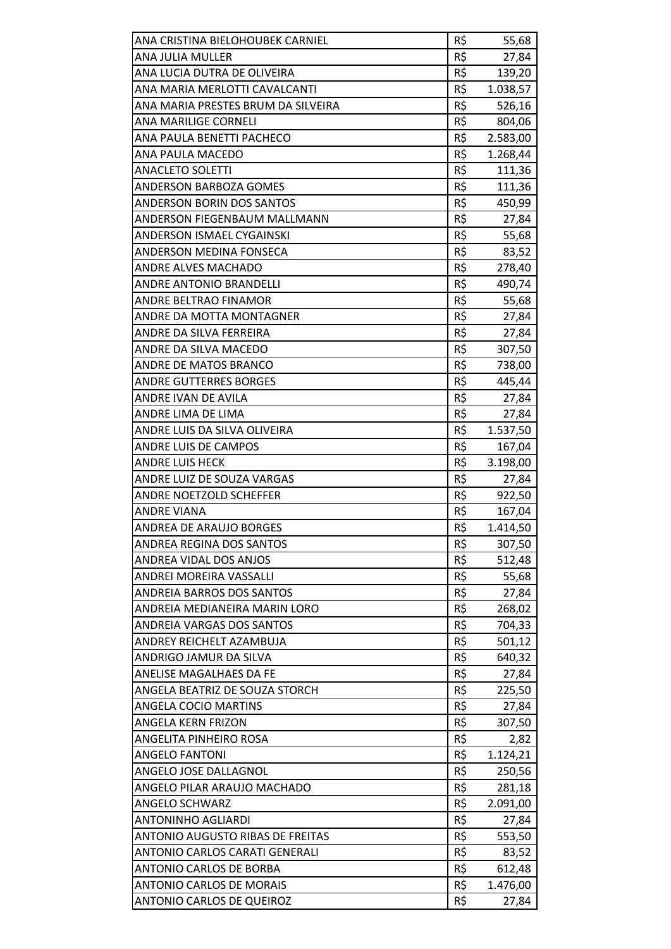| ANA CRISTINA BIELOHOUBEK CARNIEL   | R\$ | 55,68    |
|------------------------------------|-----|----------|
| ANA JULIA MULLER                   | R\$ | 27,84    |
| ANA LUCIA DUTRA DE OLIVEIRA        | R\$ | 139,20   |
| ANA MARIA MERLOTTI CAVALCANTI      | R\$ | 1.038,57 |
| ANA MARIA PRESTES BRUM DA SILVEIRA | R\$ | 526,16   |
| ANA MARILIGE CORNELI               | R\$ | 804,06   |
| ANA PAULA BENETTI PACHECO          | R\$ | 2.583,00 |
| ANA PAULA MACEDO                   | R\$ | 1.268,44 |
| <b>ANACLETO SOLETTI</b>            | R\$ | 111,36   |
| <b>ANDERSON BARBOZA GOMES</b>      | R\$ | 111,36   |
| ANDERSON BORIN DOS SANTOS          | R\$ | 450,99   |
| ANDERSON FIEGENBAUM MALLMANN       | R\$ | 27,84    |
| ANDERSON ISMAEL CYGAINSKI          | R\$ | 55,68    |
| ANDERSON MEDINA FONSECA            | R\$ | 83,52    |
| <b>ANDRE ALVES MACHADO</b>         | R\$ | 278,40   |
| <b>ANDRE ANTONIO BRANDELLI</b>     | R\$ | 490,74   |
| ANDRE BELTRAO FINAMOR              | R\$ | 55,68    |
| ANDRE DA MOTTA MONTAGNER           | R\$ | 27,84    |
| ANDRE DA SILVA FERREIRA            | R\$ | 27,84    |
| ANDRE DA SILVA MACEDO              | R\$ | 307,50   |
| ANDRE DE MATOS BRANCO              | R\$ | 738,00   |
| <b>ANDRE GUTTERRES BORGES</b>      | R\$ | 445,44   |
| ANDRE IVAN DE AVILA                | R\$ | 27,84    |
| ANDRE LIMA DE LIMA                 | R\$ | 27,84    |
| ANDRE LUIS DA SILVA OLIVEIRA       | R\$ | 1.537,50 |
| ANDRE LUIS DE CAMPOS               | R\$ | 167,04   |
| <b>ANDRE LUIS HECK</b>             | R\$ | 3.198,00 |
| ANDRE LUIZ DE SOUZA VARGAS         | R\$ | 27,84    |
| ANDRE NOETZOLD SCHEFFER            | R\$ | 922,50   |
| <b>ANDRE VIANA</b>                 | R\$ | 167,04   |
| ANDREA DE ARAUJO BORGES            | R\$ | 1.414,50 |
| ANDREA REGINA DOS SANTOS           | R\$ | 307,50   |
| ANDREA VIDAL DOS ANJOS             | R\$ | 512,48   |
| ANDREI MOREIRA VASSALLI            | R\$ | 55,68    |
| <b>ANDREIA BARROS DOS SANTOS</b>   | R\$ | 27,84    |
| ANDREIA MEDIANEIRA MARIN LORO      | R\$ | 268,02   |
| ANDREIA VARGAS DOS SANTOS          | R\$ | 704,33   |
| ANDREY REICHELT AZAMBUJA           | R\$ | 501,12   |
| ANDRIGO JAMUR DA SILVA             | R\$ | 640,32   |
| ANELISE MAGALHAES DA FE            | R\$ | 27,84    |
| ANGELA BEATRIZ DE SOUZA STORCH     | R\$ | 225,50   |
| ANGELA COCIO MARTINS               | R\$ | 27,84    |
| ANGELA KERN FRIZON                 | R\$ | 307,50   |
| ANGELITA PINHEIRO ROSA             | R\$ | 2,82     |
| <b>ANGELO FANTONI</b>              | R\$ | 1.124,21 |
| ANGELO JOSE DALLAGNOL              | R\$ | 250,56   |
| ANGELO PILAR ARAUJO MACHADO        | R\$ | 281,18   |
| <b>ANGELO SCHWARZ</b>              | R\$ | 2.091,00 |
| <b>ANTONINHO AGLIARDI</b>          | R\$ | 27,84    |
| ANTONIO AUGUSTO RIBAS DE FREITAS   | R\$ | 553,50   |
| ANTONIO CARLOS CARATI GENERALI     | R\$ | 83,52    |
| ANTONIO CARLOS DE BORBA            | R\$ | 612,48   |
| <b>ANTONIO CARLOS DE MORAIS</b>    | R\$ | 1.476,00 |
| <b>ANTONIO CARLOS DE QUEIROZ</b>   | R\$ | 27,84    |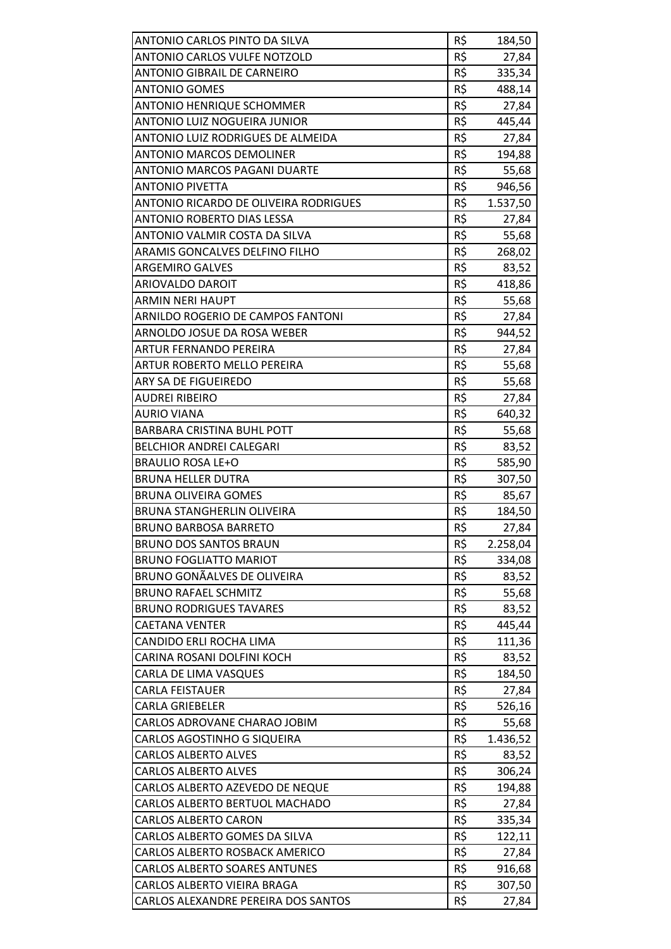| ANTONIO CARLOS PINTO DA SILVA         | R\$ | 184,50   |
|---------------------------------------|-----|----------|
| <b>ANTONIO CARLOS VULFE NOTZOLD</b>   | R\$ | 27,84    |
| <b>ANTONIO GIBRAIL DE CARNEIRO</b>    | R\$ | 335,34   |
| <b>ANTONIO GOMES</b>                  | R\$ | 488,14   |
| <b>ANTONIO HENRIQUE SCHOMMER</b>      | R\$ | 27,84    |
| ANTONIO LUIZ NOGUEIRA JUNIOR          | R\$ | 445,44   |
| ANTONIO LUIZ RODRIGUES DE ALMEIDA     | R\$ | 27,84    |
| <b>ANTONIO MARCOS DEMOLINER</b>       | R\$ | 194,88   |
| <b>ANTONIO MARCOS PAGANI DUARTE</b>   | R\$ | 55,68    |
| <b>ANTONIO PIVETTA</b>                | R\$ | 946,56   |
| ANTONIO RICARDO DE OLIVEIRA RODRIGUES | R\$ | 1.537,50 |
| ANTONIO ROBERTO DIAS LESSA            | R\$ | 27,84    |
| ANTONIO VALMIR COSTA DA SILVA         | R\$ | 55,68    |
| ARAMIS GONCALVES DELFINO FILHO        | R\$ | 268,02   |
| <b>ARGEMIRO GALVES</b>                | R\$ | 83,52    |
| ARIOVALDO DAROIT                      | R\$ | 418,86   |
| <b>ARMIN NERI HAUPT</b>               | R\$ | 55,68    |
| ARNILDO ROGERIO DE CAMPOS FANTONI     | R\$ | 27,84    |
| ARNOLDO JOSUE DA ROSA WEBER           | R\$ | 944,52   |
| <b>ARTUR FERNANDO PEREIRA</b>         | R\$ | 27,84    |
| ARTUR ROBERTO MELLO PEREIRA           | R\$ | 55,68    |
| ARY SA DE FIGUEIREDO                  | R\$ | 55,68    |
| <b>AUDREI RIBEIRO</b>                 | R\$ | 27,84    |
| <b>AURIO VIANA</b>                    | R\$ | 640,32   |
| BARBARA CRISTINA BUHL POTT            | R\$ | 55,68    |
| BELCHIOR ANDREI CALEGARI              | R\$ | 83,52    |
| <b>BRAULIO ROSA LE+O</b>              | R\$ | 585,90   |
| <b>BRUNA HELLER DUTRA</b>             | R\$ | 307,50   |
| <b>BRUNA OLIVEIRA GOMES</b>           | R\$ | 85,67    |
| <b>BRUNA STANGHERLIN OLIVEIRA</b>     | R\$ | 184,50   |
| <b>BRUNO BARBOSA BARRETO</b>          | R\$ | 27,84    |
| <b>BRUNO DOS SANTOS BRAUN</b>         | R\$ | 2.258,04 |
| <b>BRUNO FOGLIATTO MARIOT</b>         | R\$ | 334,08   |
| <b>BRUNO GONÃALVES DE OLIVEIRA</b>    | R\$ | 83,52    |
| <b>BRUNO RAFAEL SCHMITZ</b>           | R\$ | 55,68    |
| <b>BRUNO RODRIGUES TAVARES</b>        | R\$ | 83,52    |
| <b>CAETANA VENTER</b>                 | R\$ | 445,44   |
| CANDIDO ERLI ROCHA LIMA               | R\$ | 111,36   |
| CARINA ROSANI DOLFINI KOCH            | R\$ | 83,52    |
| CARLA DE LIMA VASQUES                 | R\$ | 184,50   |
| <b>CARLA FEISTAUER</b>                | R\$ | 27,84    |
| <b>CARLA GRIEBELER</b>                | R\$ | 526,16   |
| CARLOS ADROVANE CHARAO JOBIM          | R\$ | 55,68    |
| CARLOS AGOSTINHO G SIQUEIRA           | R\$ | 1.436,52 |
| <b>CARLOS ALBERTO ALVES</b>           | R\$ | 83,52    |
| <b>CARLOS ALBERTO ALVES</b>           | R\$ | 306,24   |
| CARLOS ALBERTO AZEVEDO DE NEQUE       | R\$ | 194,88   |
| CARLOS ALBERTO BERTUOL MACHADO        | R\$ | 27,84    |
| <b>CARLOS ALBERTO CARON</b>           | R\$ | 335,34   |
| CARLOS ALBERTO GOMES DA SILVA         | R\$ | 122,11   |
| CARLOS ALBERTO ROSBACK AMERICO        | R\$ | 27,84    |
| <b>CARLOS ALBERTO SOARES ANTUNES</b>  | R\$ | 916,68   |
| CARLOS ALBERTO VIEIRA BRAGA           | R\$ | 307,50   |
| CARLOS ALEXANDRE PEREIRA DOS SANTOS   | R\$ | 27,84    |
|                                       |     |          |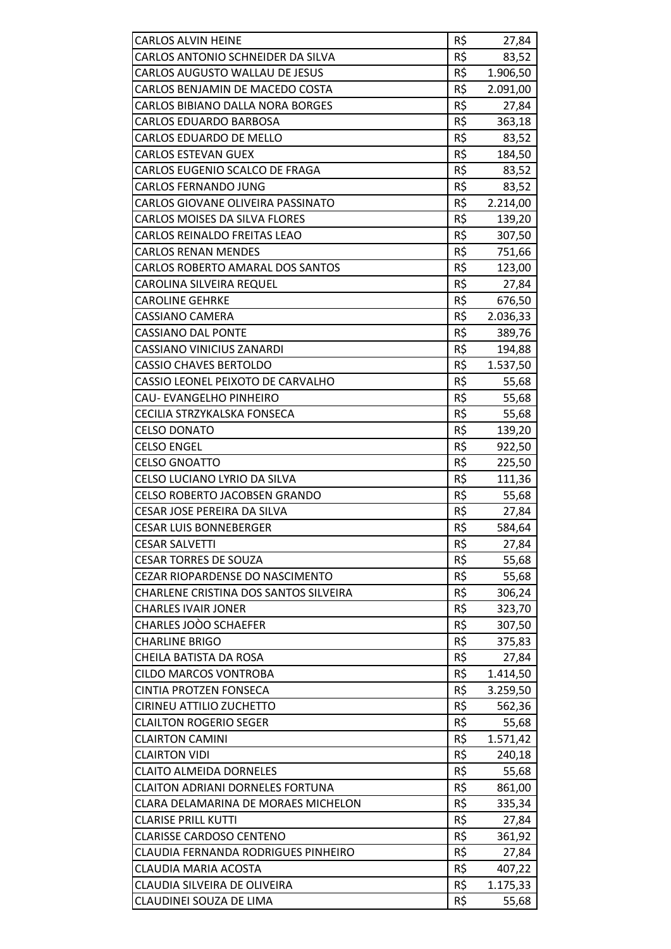| <b>CARLOS ALVIN HEINE</b>               | R\$ | 27,84    |
|-----------------------------------------|-----|----------|
| CARLOS ANTONIO SCHNEIDER DA SILVA       | R\$ | 83,52    |
| CARLOS AUGUSTO WALLAU DE JESUS          | R\$ | 1.906,50 |
| CARLOS BENJAMIN DE MACEDO COSTA         | R\$ | 2.091,00 |
| <b>CARLOS BIBIANO DALLA NORA BORGES</b> | R\$ | 27,84    |
| <b>CARLOS EDUARDO BARBOSA</b>           | R\$ | 363,18   |
| CARLOS EDUARDO DE MELLO                 | R\$ | 83,52    |
| <b>CARLOS ESTEVAN GUEX</b>              | R\$ | 184,50   |
| CARLOS EUGENIO SCALCO DE FRAGA          | R\$ | 83,52    |
| <b>CARLOS FERNANDO JUNG</b>             | R\$ | 83,52    |
| CARLOS GIOVANE OLIVEIRA PASSINATO       | R\$ | 2.214,00 |
| <b>CARLOS MOISES DA SILVA FLORES</b>    | R\$ | 139,20   |
| <b>CARLOS REINALDO FREITAS LEAO</b>     | R\$ | 307,50   |
| <b>CARLOS RENAN MENDES</b>              | R\$ | 751,66   |
| CARLOS ROBERTO AMARAL DOS SANTOS        | R\$ | 123,00   |
| CAROLINA SILVEIRA REQUEL                | R\$ | 27,84    |
| <b>CAROLINE GEHRKE</b>                  | R\$ | 676,50   |
| <b>CASSIANO CAMERA</b>                  | R\$ | 2.036,33 |
| <b>CASSIANO DAL PONTE</b>               | R\$ | 389,76   |
| <b>CASSIANO VINICIUS ZANARDI</b>        | R\$ | 194,88   |
| <b>CASSIO CHAVES BERTOLDO</b>           | R\$ | 1.537,50 |
| CASSIO LEONEL PEIXOTO DE CARVALHO       | R\$ |          |
| CAU- EVANGELHO PINHEIRO                 | R\$ | 55,68    |
| CECILIA STRZYKALSKA FONSECA             | R\$ | 55,68    |
|                                         | R\$ | 55,68    |
| <b>CELSO DONATO</b>                     |     | 139,20   |
| <b>CELSO ENGEL</b>                      | R\$ | 922,50   |
| <b>CELSO GNOATTO</b>                    | R\$ | 225,50   |
| CELSO LUCIANO LYRIO DA SILVA            | R\$ | 111,36   |
| <b>CELSO ROBERTO JACOBSEN GRANDO</b>    | R\$ | 55,68    |
| CESAR JOSE PEREIRA DA SILVA             | R\$ | 27,84    |
| <b>CESAR LUIS BONNEBERGER</b>           | R\$ | 584,64   |
| <b>CESAR SALVETTI</b>                   | R\$ | 27,84    |
| <b>CESAR TORRES DE SOUZA</b>            | R\$ | 55,68    |
| CEZAR RIOPARDENSE DO NASCIMENTO         | R\$ | 55,68    |
| CHARLENE CRISTINA DOS SANTOS SILVEIRA   | R\$ | 306,24   |
| <b>CHARLES IVAIR JONER</b>              | R\$ | 323,70   |
| CHARLES JOOO SCHAEFER                   | R\$ | 307,50   |
| <b>CHARLINE BRIGO</b>                   | R\$ | 375,83   |
| CHEILA BATISTA DA ROSA                  | R\$ | 27,84    |
| <b>CILDO MARCOS VONTROBA</b>            | R\$ | 1.414,50 |
| <b>CINTIA PROTZEN FONSECA</b>           | R\$ | 3.259,50 |
| CIRINEU ATTILIO ZUCHETTO                | R\$ | 562,36   |
| <b>CLAILTON ROGERIO SEGER</b>           | R\$ | 55,68    |
| <b>CLAIRTON CAMINI</b>                  | R\$ | 1.571,42 |
| <b>CLAIRTON VIDI</b>                    | R\$ | 240,18   |
| <b>CLAITO ALMEIDA DORNELES</b>          | R\$ | 55,68    |
| <b>CLAITON ADRIANI DORNELES FORTUNA</b> | R\$ | 861,00   |
| CLARA DELAMARINA DE MORAES MICHELON     | R\$ | 335,34   |
| <b>CLARISE PRILL KUTTI</b>              | R\$ | 27,84    |
| <b>CLARISSE CARDOSO CENTENO</b>         | R\$ | 361,92   |
| CLAUDIA FERNANDA RODRIGUES PINHEIRO     | R\$ | 27,84    |
| CLAUDIA MARIA ACOSTA                    | R\$ | 407,22   |
| CLAUDIA SILVEIRA DE OLIVEIRA            | R\$ | 1.175,33 |
| CLAUDINEI SOUZA DE LIMA                 | R\$ | 55,68    |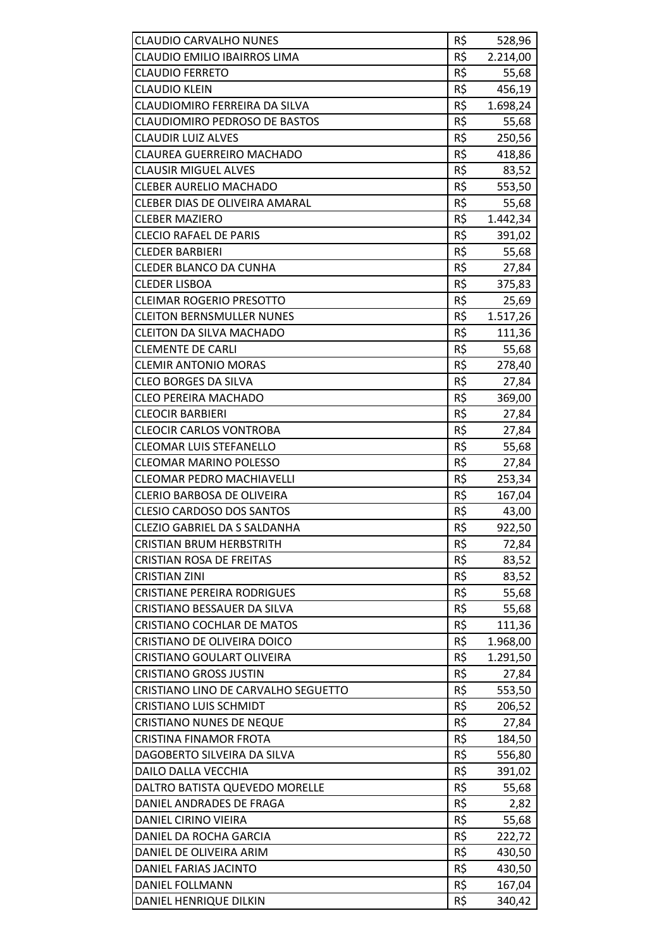| <b>CLAUDIO CARVALHO NUNES</b>        | R\$ | 528,96   |
|--------------------------------------|-----|----------|
| <b>CLAUDIO EMILIO IBAIRROS LIMA</b>  | R\$ | 2.214,00 |
| <b>CLAUDIO FERRETO</b>               | R\$ | 55,68    |
| <b>CLAUDIO KLEIN</b>                 | R\$ | 456,19   |
| CLAUDIOMIRO FERREIRA DA SILVA        | R\$ | 1.698,24 |
| <b>CLAUDIOMIRO PEDROSO DE BASTOS</b> | R\$ | 55,68    |
| <b>CLAUDIR LUIZ ALVES</b>            | R\$ | 250,56   |
| <b>CLAUREA GUERREIRO MACHADO</b>     | R\$ | 418,86   |
| <b>CLAUSIR MIGUEL ALVES</b>          | R\$ | 83,52    |
| <b>CLEBER AURELIO MACHADO</b>        | R\$ | 553,50   |
| CLEBER DIAS DE OLIVEIRA AMARAL       | R\$ | 55,68    |
| <b>CLEBER MAZIERO</b>                | R\$ | 1.442,34 |
| <b>CLECIO RAFAEL DE PARIS</b>        | R\$ | 391,02   |
| <b>CLEDER BARBIERI</b>               | R\$ | 55,68    |
| <b>CLEDER BLANCO DA CUNHA</b>        | R\$ | 27,84    |
| <b>CLEDER LISBOA</b>                 | R\$ | 375,83   |
| <b>CLEIMAR ROGERIO PRESOTTO</b>      | R\$ | 25,69    |
| <b>CLEITON BERNSMULLER NUNES</b>     | R\$ | 1.517,26 |
| <b>CLEITON DA SILVA MACHADO</b>      | R\$ | 111,36   |
| <b>CLEMENTE DE CARLI</b>             | R\$ | 55,68    |
| <b>CLEMIR ANTONIO MORAS</b>          | R\$ | 278,40   |
| <b>CLEO BORGES DA SILVA</b>          | R\$ | 27,84    |
| <b>CLEO PEREIRA MACHADO</b>          | R\$ | 369,00   |
| <b>CLEOCIR BARBIERI</b>              | R\$ | 27,84    |
| <b>CLEOCIR CARLOS VONTROBA</b>       | R\$ | 27,84    |
| <b>CLEOMAR LUIS STEFANELLO</b>       | R\$ | 55,68    |
| <b>CLEOMAR MARINO POLESSO</b>        | R\$ | 27,84    |
| <b>CLEOMAR PEDRO MACHIAVELLI</b>     | R\$ | 253,34   |
| <b>CLERIO BARBOSA DE OLIVEIRA</b>    | R\$ | 167,04   |
| <b>CLESIO CARDOSO DOS SANTOS</b>     | R\$ | 43,00    |
| <b>CLEZIO GABRIEL DA S SALDANHA</b>  | R\$ | 922,50   |
| <b>CRISTIAN BRUM HERBSTRITH</b>      | R\$ | 72,84    |
| <b>CRISTIAN ROSA DE FREITAS</b>      | R\$ | 83,52    |
| <b>CRISTIAN ZINI</b>                 | R\$ | 83,52    |
| <b>CRISTIANE PEREIRA RODRIGUES</b>   | R\$ | 55,68    |
| CRISTIANO BESSAUER DA SILVA          | R\$ | 55,68    |
| <b>CRISTIANO COCHLAR DE MATOS</b>    | R\$ | 111,36   |
| CRISTIANO DE OLIVEIRA DOICO          | R\$ | 1.968,00 |
| <b>CRISTIANO GOULART OLIVEIRA</b>    | R\$ | 1.291,50 |
| <b>CRISTIANO GROSS JUSTIN</b>        | R\$ | 27,84    |
| CRISTIANO LINO DE CARVALHO SEGUETTO  | R\$ | 553,50   |
| <b>CRISTIANO LUIS SCHMIDT</b>        | R\$ | 206,52   |
| <b>CRISTIANO NUNES DE NEQUE</b>      | R\$ | 27,84    |
| <b>CRISTINA FINAMOR FROTA</b>        | R\$ | 184,50   |
| DAGOBERTO SILVEIRA DA SILVA          | R\$ | 556,80   |
| DAILO DALLA VECCHIA                  | R\$ | 391,02   |
| DALTRO BATISTA QUEVEDO MORELLE       | R\$ |          |
| DANIEL ANDRADES DE FRAGA             | R\$ | 55,68    |
| DANIEL CIRINO VIEIRA                 | R\$ | 2,82     |
|                                      | R\$ | 55,68    |
| DANIEL DA ROCHA GARCIA               | R\$ | 222,72   |
| DANIEL DE OLIVEIRA ARIM              | R\$ | 430,50   |
| DANIEL FARIAS JACINTO                |     | 430,50   |
| DANIEL FOLLMANN                      | R\$ | 167,04   |
| DANIEL HENRIQUE DILKIN               | R\$ | 340,42   |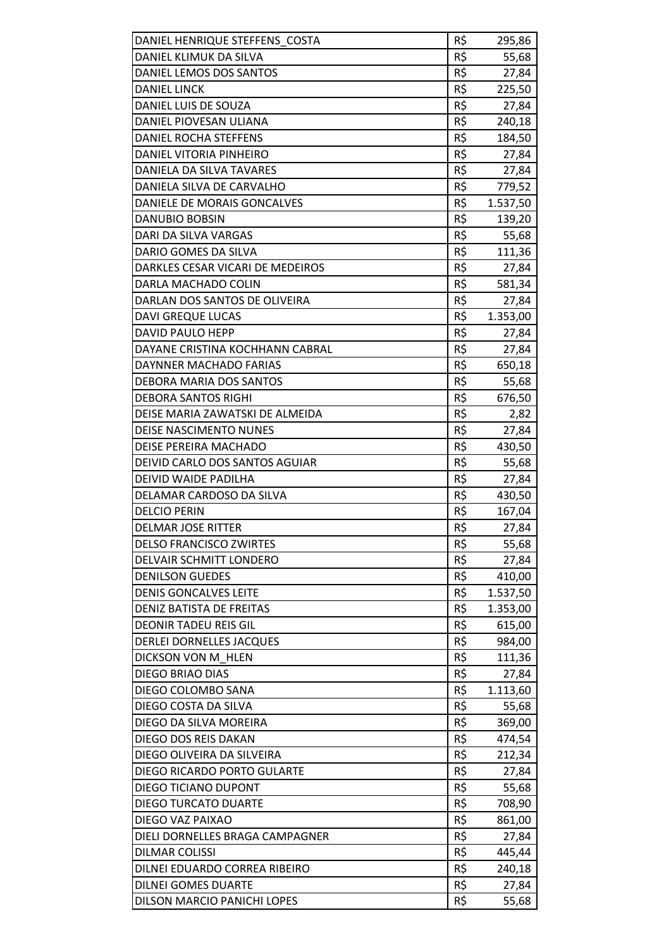| DANIEL HENRIQUE STEFFENS COSTA<br>DANIEL KLIMUK DA SILVA | R\$<br>R\$ | 295,86             |
|----------------------------------------------------------|------------|--------------------|
| DANIEL LEMOS DOS SANTOS                                  | R\$        | 55,68<br>27,84     |
| <b>DANIEL LINCK</b>                                      | R\$        | 225,50             |
| DANIEL LUIS DE SOUZA                                     | R\$        | 27,84              |
| DANIEL PIOVESAN ULIANA                                   | R\$        |                    |
| DANIEL ROCHA STEFFENS                                    | R\$        | 240,18<br>184,50   |
| DANIEL VITORIA PINHEIRO                                  | R\$        | 27,84              |
| DANIELA DA SILVA TAVARES                                 | R\$        | 27,84              |
| DANIELA SILVA DE CARVALHO                                | R\$        | 779,52             |
| DANIELE DE MORAIS GONCALVES                              | R\$        |                    |
|                                                          | R\$        | 1.537,50<br>139,20 |
| DANUBIO BOBSIN                                           | R\$        |                    |
| DARI DA SILVA VARGAS                                     | R\$        | 55,68              |
| DARIO GOMES DA SILVA                                     |            | 111,36             |
| DARKLES CESAR VICARI DE MEDEIROS                         | R\$        | 27,84              |
| DARLA MACHADO COLIN                                      | R\$        | 581,34             |
| DARLAN DOS SANTOS DE OLIVEIRA                            | R\$        | 27,84              |
| <b>DAVI GREQUE LUCAS</b>                                 | R\$        | 1.353,00           |
| <b>DAVID PAULO HEPP</b>                                  | R\$        | 27,84              |
| DAYANE CRISTINA KOCHHANN CABRAL                          | R\$        | 27,84              |
| DAYNNER MACHADO FARIAS                                   | R\$        | 650,18             |
| DEBORA MARIA DOS SANTOS                                  | R\$        | 55,68              |
| <b>DEBORA SANTOS RIGHI</b>                               | R\$        | 676,50             |
| DEISE MARIA ZAWATSKI DE ALMEIDA                          | R\$        | 2,82               |
| <b>DEISE NASCIMENTO NUNES</b>                            | R\$        | 27,84              |
| DEISE PEREIRA MACHADO                                    | R\$        | 430,50             |
| DEIVID CARLO DOS SANTOS AGUIAR                           | R\$        | 55,68              |
| DEIVID WAIDE PADILHA                                     | R\$        | 27,84              |
| DELAMAR CARDOSO DA SILVA                                 | R\$        | 430,50             |
| <b>DELCIO PERIN</b>                                      | R\$        | 167,04             |
| <b>DELMAR JOSE RITTER</b>                                | R\$        | 27,84              |
| <b>DELSO FRANCISCO ZWIRTES</b>                           | R\$        | 55,68              |
| DELVAIR SCHMITT LONDERO                                  | R\$        | 27,84              |
| <b>DENILSON GUEDES</b>                                   | R\$        | 410,00             |
| <b>DENIS GONCALVES LEITE</b>                             | R\$        | 1.537,50           |
| <b>DENIZ BATISTA DE FREITAS</b>                          | R\$        | 1.353,00           |
| <b>DEONIR TADEU REIS GIL</b>                             | R\$        | 615,00             |
| DERLEI DORNELLES JACQUES                                 | R\$        | 984,00             |
| DICKSON VON M HLEN                                       | R\$        | 111,36             |
| DIEGO BRIAO DIAS                                         | R\$        | 27,84              |
| DIEGO COLOMBO SANA                                       | R\$        | 1.113,60           |
| DIEGO COSTA DA SILVA                                     | R\$        | 55,68              |
| DIEGO DA SILVA MOREIRA                                   | R\$        | 369,00             |
| DIEGO DOS REIS DAKAN                                     | R\$        | 474,54             |
| DIEGO OLIVEIRA DA SILVEIRA                               | R\$        | 212,34             |
| DIEGO RICARDO PORTO GULARTE                              | R\$        | 27,84              |
| DIEGO TICIANO DUPONT                                     | R\$        | 55,68              |
| <b>DIEGO TURCATO DUARTE</b>                              | R\$        | 708,90             |
| DIEGO VAZ PAIXAO                                         | R\$        | 861,00             |
| DIELI DORNELLES BRAGA CAMPAGNER                          | R\$        | 27,84              |
| <b>DILMAR COLISSI</b>                                    | R\$        | 445,44             |
| DILNEI EDUARDO CORREA RIBEIRO                            | R\$        | 240,18             |
| <b>DILNEI GOMES DUARTE</b>                               | R\$        | 27,84              |
| DILSON MARCIO PANICHI LOPES                              | R\$        | 55,68              |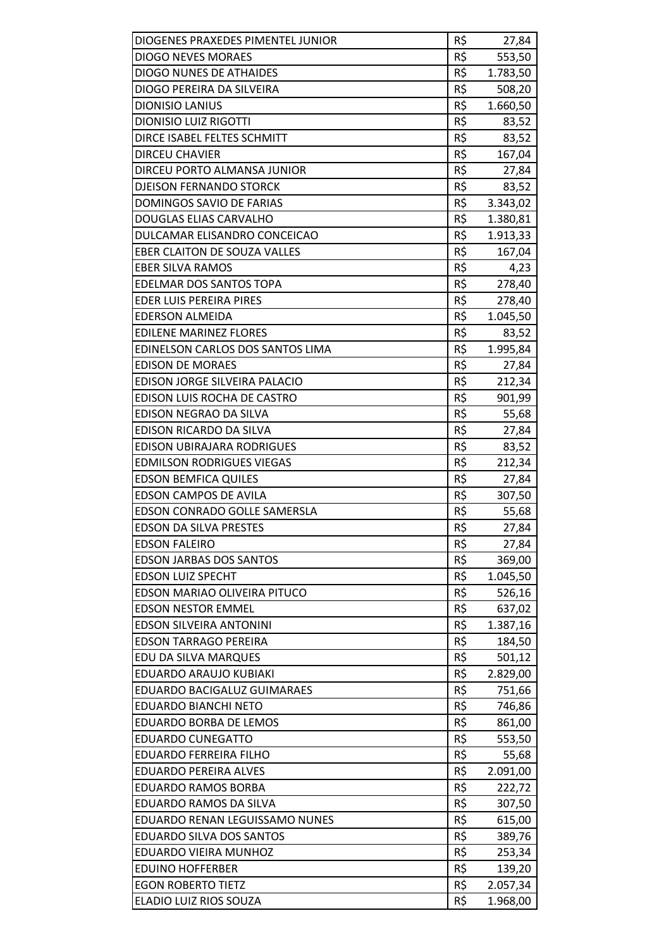| DIOGENES PRAXEDES PIMENTEL JUNIOR   | R\$ | 27,84    |
|-------------------------------------|-----|----------|
| <b>DIOGO NEVES MORAES</b>           | R\$ | 553,50   |
| <b>DIOGO NUNES DE ATHAIDES</b>      | R\$ | 1.783,50 |
| DIOGO PEREIRA DA SILVEIRA           | R\$ | 508,20   |
| <b>DIONISIO LANIUS</b>              | R\$ | 1.660,50 |
| <b>DIONISIO LUIZ RIGOTTI</b>        | R\$ | 83,52    |
| DIRCE ISABEL FELTES SCHMITT         | R\$ | 83,52    |
| <b>DIRCEU CHAVIER</b>               | R\$ | 167,04   |
| DIRCEU PORTO ALMANSA JUNIOR         | R\$ | 27,84    |
| <b>DJEISON FERNANDO STORCK</b>      | R\$ | 83,52    |
| DOMINGOS SAVIO DE FARIAS            | R\$ | 3.343,02 |
| DOUGLAS ELIAS CARVALHO              | R\$ | 1.380,81 |
| DULCAMAR ELISANDRO CONCEICAO        | R\$ | 1.913,33 |
| <b>EBER CLAITON DE SOUZA VALLES</b> | R\$ | 167,04   |
| <b>EBER SILVA RAMOS</b>             | R\$ | 4,23     |
| <b>EDELMAR DOS SANTOS TOPA</b>      | R\$ | 278,40   |
| <b>EDER LUIS PEREIRA PIRES</b>      | R\$ | 278,40   |
| <b>EDERSON ALMEIDA</b>              | R\$ | 1.045,50 |
| <b>EDILENE MARINEZ FLORES</b>       | R\$ | 83,52    |
| EDINELSON CARLOS DOS SANTOS LIMA    | R\$ | 1.995,84 |
| <b>EDISON DE MORAES</b>             | R\$ | 27,84    |
| EDISON JORGE SILVEIRA PALACIO       | R\$ | 212,34   |
| EDISON LUIS ROCHA DE CASTRO         | R\$ | 901,99   |
| EDISON NEGRAO DA SILVA              | R\$ | 55,68    |
| EDISON RICARDO DA SILVA             | R\$ | 27,84    |
| <b>EDISON UBIRAJARA RODRIGUES</b>   | R\$ | 83,52    |
| <b>EDMILSON RODRIGUES VIEGAS</b>    | R\$ | 212,34   |
| <b>EDSON BEMFICA QUILES</b>         | R\$ | 27,84    |
| <b>EDSON CAMPOS DE AVILA</b>        | R\$ | 307,50   |
| EDSON CONRADO GOLLE SAMERSLA        | R\$ | 55,68    |
| <b>EDSON DA SILVA PRESTES</b>       | R\$ | 27,84    |
| <b>EDSON FALEIRO</b>                | R\$ | 27,84    |
| <b>EDSON JARBAS DOS SANTOS</b>      | R\$ | 369,00   |
| <b>EDSON LUIZ SPECHT</b>            | R\$ | 1.045,50 |
| EDSON MARIAO OLIVEIRA PITUCO        | R\$ | 526,16   |
| <b>EDSON NESTOR EMMEL</b>           | R\$ | 637,02   |
| EDSON SILVEIRA ANTONINI             | R\$ | 1.387,16 |
| <b>EDSON TARRAGO PEREIRA</b>        | R\$ | 184,50   |
| EDU DA SILVA MARQUES                | R\$ | 501,12   |
| EDUARDO ARAUJO KUBIAKI              | R\$ | 2.829,00 |
| EDUARDO BACIGALUZ GUIMARAES         | R\$ | 751,66   |
| EDUARDO BIANCHI NETO                | R\$ | 746,86   |
| <b>EDUARDO BORBA DE LEMOS</b>       | R\$ | 861,00   |
| <b>EDUARDO CUNEGATTO</b>            | R\$ | 553,50   |
| EDUARDO FERREIRA FILHO              | R\$ | 55,68    |
| <b>EDUARDO PEREIRA ALVES</b>        | R\$ | 2.091,00 |
| EDUARDO RAMOS BORBA                 | R\$ | 222,72   |
| EDUARDO RAMOS DA SILVA              | R\$ | 307,50   |
| EDUARDO RENAN LEGUISSAMO NUNES      | R\$ | 615,00   |
| EDUARDO SILVA DOS SANTOS            | R\$ | 389,76   |
| EDUARDO VIEIRA MUNHOZ               | R\$ | 253,34   |
| <b>EDUINO HOFFERBER</b>             | R\$ | 139,20   |
| <b>EGON ROBERTO TIETZ</b>           | R\$ | 2.057,34 |
| ELADIO LUIZ RIOS SOUZA              | R\$ | 1.968,00 |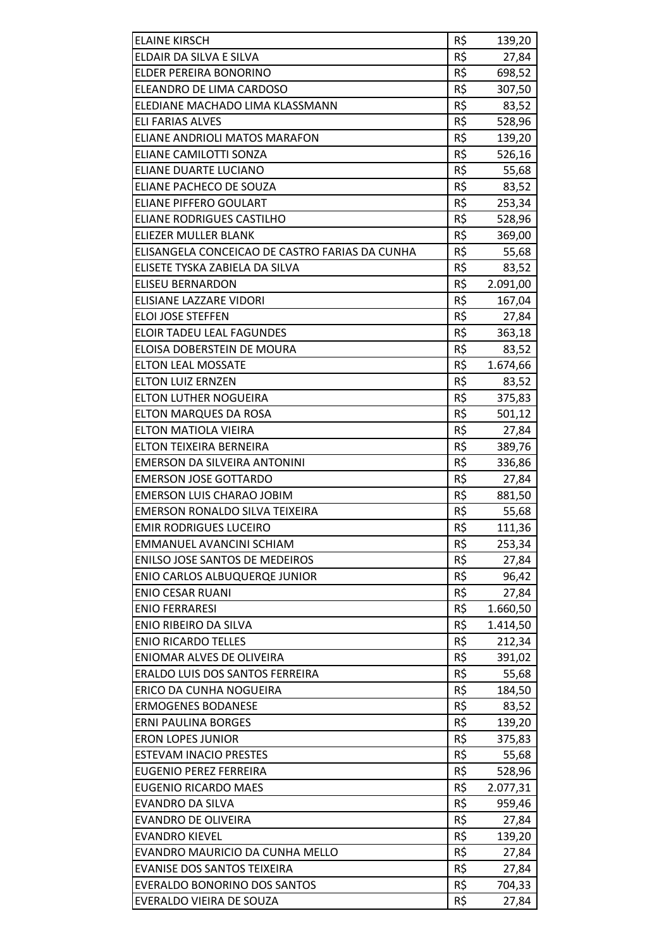| <b>ELAINE KIRSCH</b>                           | R\$ | 139,20   |
|------------------------------------------------|-----|----------|
| ELDAIR DA SILVA E SILVA                        | R\$ | 27,84    |
| ELDER PEREIRA BONORINO                         | R\$ | 698,52   |
| ELEANDRO DE LIMA CARDOSO                       | R\$ | 307,50   |
| ELEDIANE MACHADO LIMA KLASSMANN                | R\$ | 83,52    |
| <b>ELI FARIAS ALVES</b>                        | R\$ | 528,96   |
| ELIANE ANDRIOLI MATOS MARAFON                  | R\$ | 139,20   |
| ELIANE CAMILOTTI SONZA                         | R\$ | 526,16   |
| ELIANE DUARTE LUCIANO                          | R\$ | 55,68    |
| ELIANE PACHECO DE SOUZA                        | R\$ | 83,52    |
| <b>ELIANE PIFFERO GOULART</b>                  | R\$ | 253,34   |
| ELIANE RODRIGUES CASTILHO                      | R\$ | 528,96   |
| ELIEZER MULLER BLANK                           | R\$ | 369,00   |
| ELISANGELA CONCEICAO DE CASTRO FARIAS DA CUNHA | R\$ | 55,68    |
| ELISETE TYSKA ZABIELA DA SILVA                 | R\$ | 83,52    |
| <b>ELISEU BERNARDON</b>                        | R\$ | 2.091,00 |
| ELISIANE LAZZARE VIDORI                        | R\$ | 167,04   |
| ELOI JOSE STEFFEN                              | R\$ | 27,84    |
| ELOIR TADEU LEAL FAGUNDES                      | R\$ | 363,18   |
| ELOISA DOBERSTEIN DE MOURA                     | R\$ | 83,52    |
| <b>ELTON LEAL MOSSATE</b>                      | R\$ | 1.674,66 |
| <b>ELTON LUIZ ERNZEN</b>                       | R\$ | 83,52    |
| ELTON LUTHER NOGUEIRA                          | R\$ | 375,83   |
| <b>ELTON MARQUES DA ROSA</b>                   | R\$ | 501,12   |
| ELTON MATIOLA VIEIRA                           | R\$ | 27,84    |
| ELTON TEIXEIRA BERNEIRA                        | R\$ | 389,76   |
| EMERSON DA SILVEIRA ANTONINI                   | R\$ | 336,86   |
| <b>EMERSON JOSE GOTTARDO</b>                   | R\$ | 27,84    |
| <b>EMERSON LUIS CHARAO JOBIM</b>               | R\$ | 881,50   |
| <b>EMERSON RONALDO SILVA TEIXEIRA</b>          | R\$ | 55,68    |
| <b>EMIR RODRIGUES LUCEIRO</b>                  | R\$ | 111,36   |
| EMMANUEL AVANCINI SCHIAM                       | R\$ | 253,34   |
| <b>ENILSO JOSE SANTOS DE MEDEIROS</b>          | R\$ | 27,84    |
| <b>ENIO CARLOS ALBUQUERQE JUNIOR</b>           | R\$ | 96,42    |
| <b>ENIO CESAR RUANI</b>                        | R\$ | 27,84    |
| <b>ENIO FERRARESI</b>                          | R\$ | 1.660,50 |
| ENIO RIBEIRO DA SILVA                          | R\$ | 1.414,50 |
| <b>ENIO RICARDO TELLES</b>                     | R\$ | 212,34   |
| ENIOMAR ALVES DE OLIVEIRA                      | R\$ | 391,02   |
| ERALDO LUIS DOS SANTOS FERREIRA                | R\$ | 55,68    |
| ERICO DA CUNHA NOGUEIRA                        | R\$ | 184,50   |
| <b>ERMOGENES BODANESE</b>                      | R\$ | 83,52    |
| <b>ERNI PAULINA BORGES</b>                     | R\$ | 139,20   |
| <b>ERON LOPES JUNIOR</b>                       | R\$ | 375,83   |
| <b>ESTEVAM INACIO PRESTES</b>                  | R\$ | 55,68    |
| <b>EUGENIO PEREZ FERREIRA</b>                  | R\$ | 528,96   |
| <b>EUGENIO RICARDO MAES</b>                    | R\$ | 2.077,31 |
| <b>EVANDRO DA SILVA</b>                        | R\$ | 959,46   |
| <b>EVANDRO DE OLIVEIRA</b>                     | R\$ | 27,84    |
| <b>EVANDRO KIEVEL</b>                          | R\$ | 139,20   |
| EVANDRO MAURICIO DA CUNHA MELLO                | R\$ |          |
| <b>EVANISE DOS SANTOS TEIXEIRA</b>             | R\$ | 27,84    |
| <b>EVERALDO BONORINO DOS SANTOS</b>            | R\$ | 27,84    |
| EVERALDO VIEIRA DE SOUZA                       | R\$ | 704,33   |
|                                                |     | 27,84    |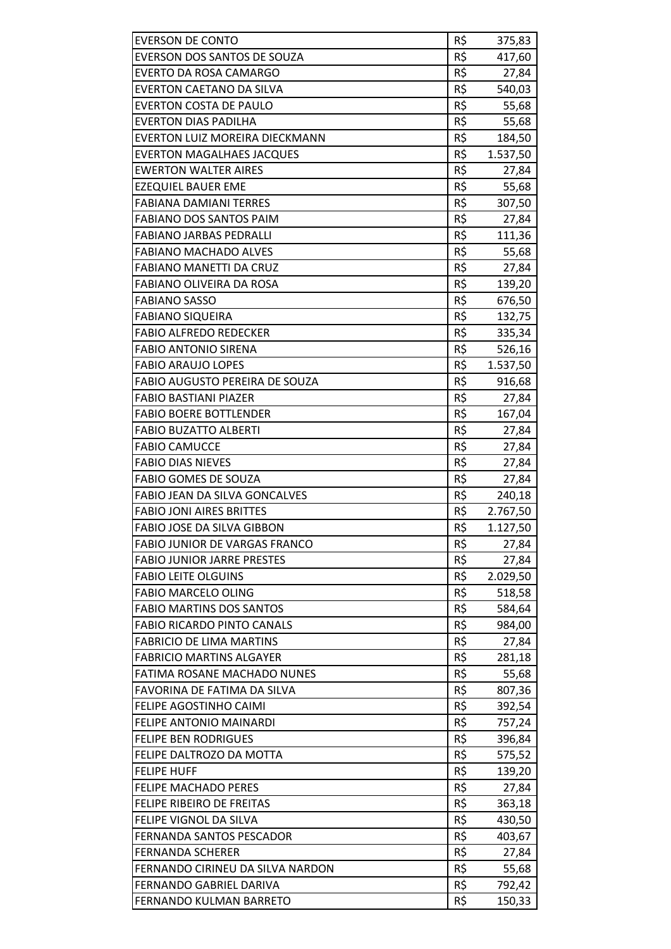| <b>EVERSON DE CONTO</b>               | R\$ | 375,83   |
|---------------------------------------|-----|----------|
| EVERSON DOS SANTOS DE SOUZA           | R\$ | 417,60   |
| EVERTO DA ROSA CAMARGO                | R\$ | 27,84    |
| EVERTON CAETANO DA SILVA              | R\$ | 540,03   |
| <b>EVERTON COSTA DE PAULO</b>         | R\$ | 55,68    |
| <b>EVERTON DIAS PADILHA</b>           | R\$ | 55,68    |
| EVERTON LUIZ MOREIRA DIECKMANN        | R\$ | 184,50   |
| <b>EVERTON MAGALHAES JACQUES</b>      | R\$ | 1.537,50 |
| <b>EWERTON WALTER AIRES</b>           | R\$ | 27,84    |
| <b>EZEQUIEL BAUER EME</b>             | R\$ | 55,68    |
| <b>FABIANA DAMIANI TERRES</b>         | R\$ | 307,50   |
| <b>FABIANO DOS SANTOS PAIM</b>        | R\$ | 27,84    |
| <b>FABIANO JARBAS PEDRALLI</b>        | R\$ | 111,36   |
| <b>FABIANO MACHADO ALVES</b>          | R\$ | 55,68    |
| FABIANO MANETTI DA CRUZ               | R\$ | 27,84    |
| FABIANO OLIVEIRA DA ROSA              | R\$ | 139,20   |
| <b>FABIANO SASSO</b>                  | R\$ | 676,50   |
| <b>FABIANO SIQUEIRA</b>               | R\$ | 132,75   |
| <b>FABIO ALFREDO REDECKER</b>         | R\$ | 335,34   |
| <b>FABIO ANTONIO SIRENA</b>           | R\$ | 526,16   |
| <b>FABIO ARAUJO LOPES</b>             | R\$ | 1.537,50 |
| <b>FABIO AUGUSTO PEREIRA DE SOUZA</b> | R\$ | 916,68   |
| <b>FABIO BASTIANI PIAZER</b>          | R\$ | 27,84    |
| <b>FABIO BOERE BOTTLENDER</b>         | R\$ | 167,04   |
| <b>FABIO BUZATTO ALBERTI</b>          | R\$ | 27,84    |
| <b>FABIO CAMUCCE</b>                  | R\$ | 27,84    |
| <b>FABIO DIAS NIEVES</b>              | R\$ | 27,84    |
| FABIO GOMES DE SOUZA                  | R\$ | 27,84    |
| FABIO JEAN DA SILVA GONCALVES         | R\$ | 240,18   |
| <b>FABIO JONI AIRES BRITTES</b>       | R\$ | 2.767,50 |
| FABIO JOSE DA SILVA GIBBON            | R\$ | 1.127,50 |
| <b>FABIO JUNIOR DE VARGAS FRANCO</b>  | R\$ | 27,84    |
| <b>FABIO JUNIOR JARRE PRESTES</b>     | R\$ | 27,84    |
| <b>FABIO LEITE OLGUINS</b>            | R\$ | 2.029,50 |
| <b>FABIO MARCELO OLING</b>            | R\$ | 518,58   |
| <b>FABIO MARTINS DOS SANTOS</b>       | R\$ | 584,64   |
| <b>FABIO RICARDO PINTO CANALS</b>     | R\$ | 984,00   |
| <b>FABRICIO DE LIMA MARTINS</b>       | R\$ | 27,84    |
| <b>FABRICIO MARTINS ALGAYER</b>       | R\$ | 281,18   |
| FATIMA ROSANE MACHADO NUNES           | R\$ | 55,68    |
| FAVORINA DE FATIMA DA SILVA           | R\$ | 807,36   |
| FELIPE AGOSTINHO CAIMI                | R\$ | 392,54   |
| FELIPE ANTONIO MAINARDI               | R\$ | 757,24   |
| <b>FELIPE BEN RODRIGUES</b>           | R\$ | 396,84   |
| FELIPE DALTROZO DA MOTTA              | R\$ | 575,52   |
| <b>FELIPE HUFF</b>                    | R\$ | 139,20   |
| <b>FELIPE MACHADO PERES</b>           | R\$ | 27,84    |
| FELIPE RIBEIRO DE FREITAS             | R\$ | 363,18   |
| FELIPE VIGNOL DA SILVA                | R\$ | 430,50   |
| FERNANDA SANTOS PESCADOR              | R\$ | 403,67   |
| <b>FERNANDA SCHERER</b>               | R\$ | 27,84    |
| FERNANDO CIRINEU DA SILVA NARDON      | R\$ | 55,68    |
| FERNANDO GABRIEL DARIVA               | R\$ | 792,42   |
| FERNANDO KULMAN BARRETO               | R\$ | 150,33   |
|                                       |     |          |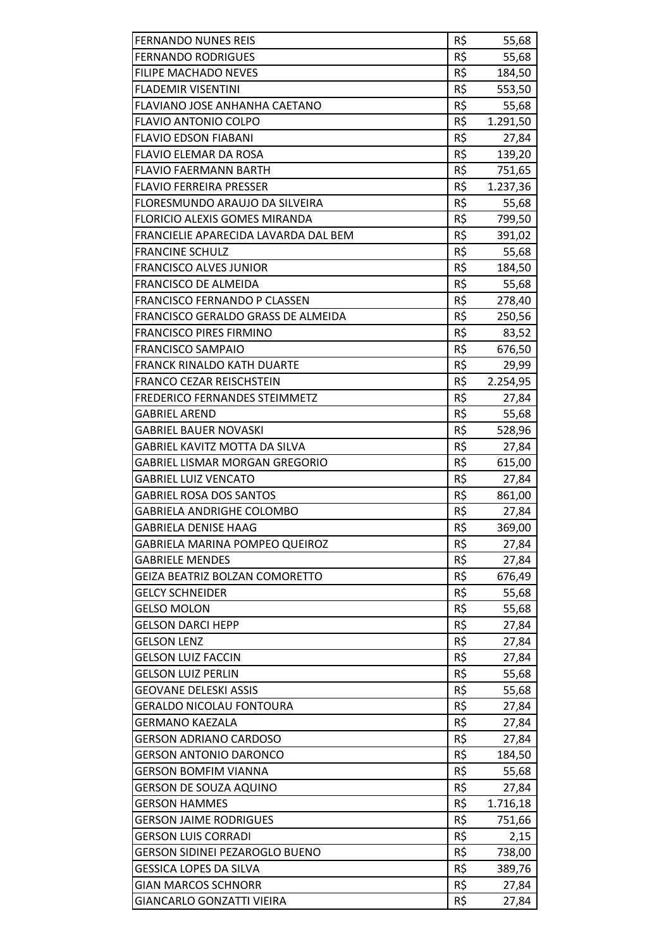| <b>FERNANDO NUNES REIS</b>            | R\$ | 55,68    |
|---------------------------------------|-----|----------|
| <b>FERNANDO RODRIGUES</b>             | R\$ | 55,68    |
| <b>FILIPE MACHADO NEVES</b>           | R\$ | 184,50   |
| <b>FLADEMIR VISENTINI</b>             | R\$ | 553,50   |
| FLAVIANO JOSE ANHANHA CAETANO         | R\$ | 55,68    |
| <b>FLAVIO ANTONIO COLPO</b>           | R\$ | 1.291,50 |
| <b>FLAVIO EDSON FIABANI</b>           | R\$ | 27,84    |
| FLAVIO ELEMAR DA ROSA                 | R\$ | 139,20   |
| <b>FLAVIO FAERMANN BARTH</b>          | R\$ | 751,65   |
| <b>FLAVIO FERREIRA PRESSER</b>        | R\$ | 1.237,36 |
| FLORESMUNDO ARAUJO DA SILVEIRA        | R\$ | 55,68    |
| FLORICIO ALEXIS GOMES MIRANDA         | R\$ | 799,50   |
| FRANCIELIE APARECIDA LAVARDA DAL BEM  | R\$ | 391,02   |
| <b>FRANCINE SCHULZ</b>                | R\$ | 55,68    |
| <b>FRANCISCO ALVES JUNIOR</b>         | R\$ | 184,50   |
| <b>FRANCISCO DE ALMEIDA</b>           | R\$ | 55,68    |
| FRANCISCO FERNANDO P CLASSEN          | R\$ | 278,40   |
| FRANCISCO GERALDO GRASS DE ALMEIDA    | R\$ | 250,56   |
| <b>FRANCISCO PIRES FIRMINO</b>        | R\$ | 83,52    |
| <b>FRANCISCO SAMPAIO</b>              | R\$ | 676,50   |
| <b>FRANCK RINALDO KATH DUARTE</b>     | R\$ | 29,99    |
| <b>FRANCO CEZAR REISCHSTEIN</b>       | R\$ | 2.254,95 |
| FREDERICO FERNANDES STEIMMETZ         | R\$ | 27,84    |
| <b>GABRIEL AREND</b>                  | R\$ | 55,68    |
| <b>GABRIEL BAUER NOVASKI</b>          | R\$ | 528,96   |
| GABRIEL KAVITZ MOTTA DA SILVA         | R\$ | 27,84    |
| <b>GABRIEL LISMAR MORGAN GREGORIO</b> | R\$ | 615,00   |
| <b>GABRIEL LUIZ VENCATO</b>           | R\$ | 27,84    |
| <b>GABRIEL ROSA DOS SANTOS</b>        | R\$ | 861,00   |
| <b>GABRIELA ANDRIGHE COLOMBO</b>      | R\$ | 27,84    |
| <b>GABRIELA DENISE HAAG</b>           | R\$ | 369,00   |
| <b>GABRIELA MARINA POMPEO QUEIROZ</b> | R\$ | 27,84    |
| <b>GABRIELE MENDES</b>                | R\$ | 27,84    |
| GEIZA BEATRIZ BOLZAN COMORETTO        | R\$ | 676,49   |
| <b>GELCY SCHNEIDER</b>                | R\$ | 55,68    |
| <b>GELSO MOLON</b>                    | R\$ | 55,68    |
| <b>GELSON DARCI HEPP</b>              | R\$ | 27,84    |
| <b>GELSON LENZ</b>                    | R\$ | 27,84    |
| <b>GELSON LUIZ FACCIN</b>             | R\$ | 27,84    |
| <b>GELSON LUIZ PERLIN</b>             | R\$ | 55,68    |
| <b>GEOVANE DELESKI ASSIS</b>          | R\$ | 55,68    |
| <b>GERALDO NICOLAU FONTOURA</b>       | R\$ | 27,84    |
| <b>GERMANO KAEZALA</b>                | R\$ | 27,84    |
| <b>GERSON ADRIANO CARDOSO</b>         | R\$ | 27,84    |
| <b>GERSON ANTONIO DARONCO</b>         | R\$ | 184,50   |
| <b>GERSON BOMFIM VIANNA</b>           | R\$ | 55,68    |
| <b>GERSON DE SOUZA AQUINO</b>         | R\$ | 27,84    |
| <b>GERSON HAMMES</b>                  | R\$ | 1.716,18 |
| <b>GERSON JAIME RODRIGUES</b>         | R\$ | 751,66   |
| <b>GERSON LUIS CORRADI</b>            | R\$ | 2,15     |
| <b>GERSON SIDINEI PEZAROGLO BUENO</b> | R\$ | 738,00   |
| <b>GESSICA LOPES DA SILVA</b>         | R\$ | 389,76   |
| <b>GIAN MARCOS SCHNORR</b>            | R\$ | 27,84    |
| <b>GIANCARLO GONZATTI VIEIRA</b>      | R\$ | 27,84    |
|                                       |     |          |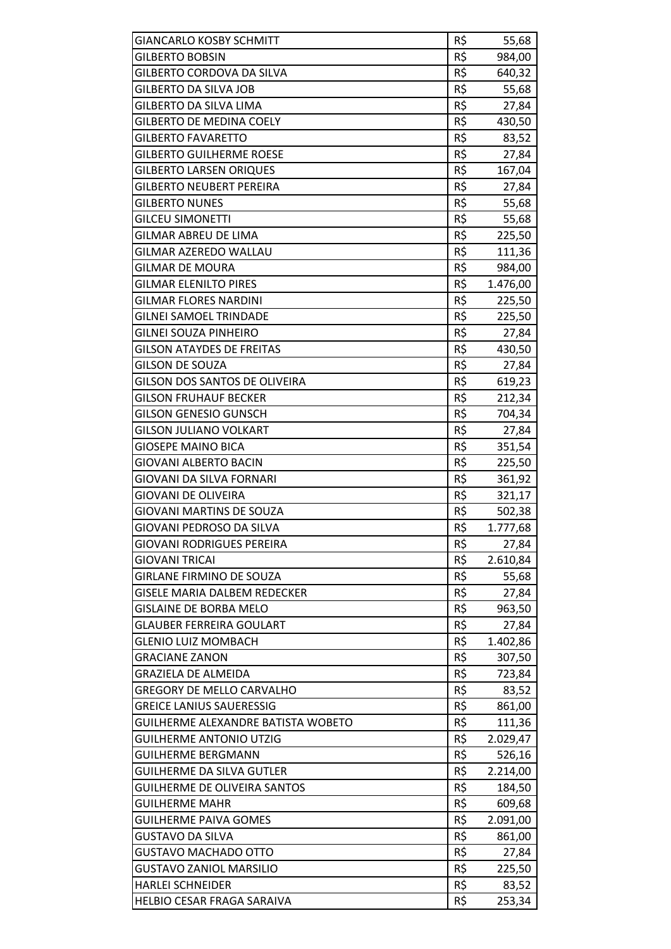| <b>GIANCARLO KOSBY SCHMITT</b>      | R\$ | 55,68    |
|-------------------------------------|-----|----------|
| <b>GILBERTO BOBSIN</b>              | R\$ | 984,00   |
| GILBERTO CORDOVA DA SILVA           | R\$ | 640,32   |
| <b>GILBERTO DA SILVA JOB</b>        | R\$ | 55,68    |
| GILBERTO DA SILVA LIMA              | R\$ | 27,84    |
| <b>GILBERTO DE MEDINA COELY</b>     | R\$ | 430,50   |
| <b>GILBERTO FAVARETTO</b>           | R\$ | 83,52    |
| <b>GILBERTO GUILHERME ROESE</b>     | R\$ | 27,84    |
| <b>GILBERTO LARSEN ORIQUES</b>      | R\$ | 167,04   |
| <b>GILBERTO NEUBERT PEREIRA</b>     | R\$ | 27,84    |
| <b>GILBERTO NUNES</b>               | R\$ | 55,68    |
| <b>GILCEU SIMONETTI</b>             | R\$ | 55,68    |
| GILMAR ABREU DE LIMA                | R\$ | 225,50   |
| <b>GILMAR AZEREDO WALLAU</b>        | R\$ | 111,36   |
| <b>GILMAR DE MOURA</b>              | R\$ | 984,00   |
| <b>GILMAR ELENILTO PIRES</b>        | R\$ | 1.476,00 |
| <b>GILMAR FLORES NARDINI</b>        | R\$ | 225,50   |
| <b>GILNEI SAMOEL TRINDADE</b>       | R\$ | 225,50   |
| <b>GILNEI SOUZA PINHEIRO</b>        | R\$ | 27,84    |
| <b>GILSON ATAYDES DE FREITAS</b>    | R\$ | 430,50   |
| <b>GILSON DE SOUZA</b>              | R\$ | 27,84    |
| GILSON DOS SANTOS DE OLIVEIRA       | R\$ | 619,23   |
| <b>GILSON FRUHAUF BECKER</b>        | R\$ | 212,34   |
| <b>GILSON GENESIO GUNSCH</b>        | R\$ | 704,34   |
| <b>GILSON JULIANO VOLKART</b>       | R\$ | 27,84    |
| <b>GIOSEPE MAINO BICA</b>           | R\$ | 351,54   |
| <b>GIOVANI ALBERTO BACIN</b>        | R\$ | 225,50   |
| GIOVANI DA SILVA FORNARI            | R\$ | 361,92   |
| <b>GIOVANI DE OLIVEIRA</b>          | R\$ | 321,17   |
| <b>GIOVANI MARTINS DE SOUZA</b>     | R\$ | 502,38   |
| GIOVANI PEDROSO DA SILVA            | R\$ | 1.777,68 |
| <b>GIOVANI RODRIGUES PEREIRA</b>    | R\$ | 27,84    |
| <b>GIOVANI TRICAI</b>               | R\$ | 2.610,84 |
| <b>GIRLANE FIRMINO DE SOUZA</b>     | R\$ | 55,68    |
| <b>GISELE MARIA DALBEM REDECKER</b> | R\$ | 27,84    |
| <b>GISLAINE DE BORBA MELO</b>       | R\$ | 963,50   |
| <b>GLAUBER FERREIRA GOULART</b>     | R\$ | 27,84    |
| <b>GLENIO LUIZ MOMBACH</b>          | R\$ | 1.402,86 |
| <b>GRACIANE ZANON</b>               | R\$ | 307,50   |
| <b>GRAZIELA DE ALMEIDA</b>          | R\$ | 723,84   |
| <b>GREGORY DE MELLO CARVALHO</b>    | R\$ | 83,52    |
| <b>GREICE LANIUS SAUERESSIG</b>     | R\$ | 861,00   |
| GUILHERME ALEXANDRE BATISTA WOBETO  | R\$ | 111,36   |
| <b>GUILHERME ANTONIO UTZIG</b>      | R\$ | 2.029,47 |
| <b>GUILHERME BERGMANN</b>           | R\$ | 526,16   |
| <b>GUILHERME DA SILVA GUTLER</b>    | R\$ | 2.214,00 |
| GUILHERME DE OLIVEIRA SANTOS        | R\$ | 184,50   |
| <b>GUILHERME MAHR</b>               | R\$ | 609,68   |
| <b>GUILHERME PAIVA GOMES</b>        | R\$ | 2.091,00 |
| <b>GUSTAVO DA SILVA</b>             | R\$ | 861,00   |
| <b>GUSTAVO MACHADO OTTO</b>         | R\$ | 27,84    |
| <b>GUSTAVO ZANIOL MARSILIO</b>      | R\$ | 225,50   |
| <b>HARLEI SCHNEIDER</b>             | R\$ | 83,52    |
| HELBIO CESAR FRAGA SARAIVA          | R\$ | 253,34   |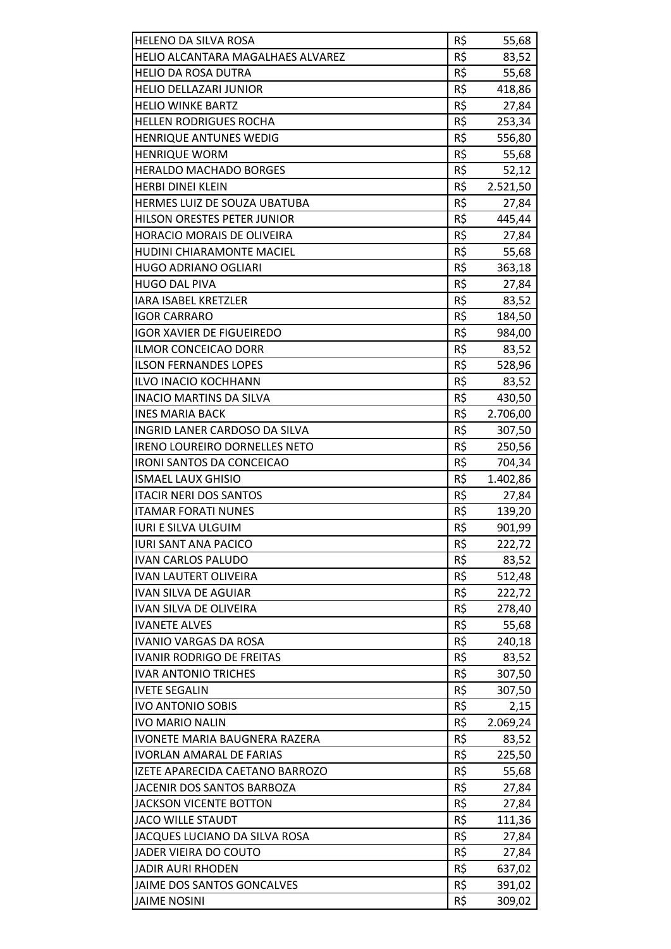| <b>HELENO DA SILVA ROSA</b>       | R\$ | 55,68    |
|-----------------------------------|-----|----------|
| HELIO ALCANTARA MAGALHAES ALVAREZ | R\$ | 83,52    |
| <b>HELIO DA ROSA DUTRA</b>        | R\$ | 55,68    |
| <b>HELIO DELLAZARI JUNIOR</b>     | R\$ | 418,86   |
| <b>HELIO WINKE BARTZ</b>          | R\$ | 27,84    |
| <b>HELLEN RODRIGUES ROCHA</b>     | R\$ | 253,34   |
| <b>HENRIQUE ANTUNES WEDIG</b>     | R\$ | 556,80   |
| <b>HENRIQUE WORM</b>              | R\$ | 55,68    |
| <b>HERALDO MACHADO BORGES</b>     | R\$ | 52,12    |
| <b>HERBI DINEI KLEIN</b>          | R\$ | 2.521,50 |
| HERMES LUIZ DE SOUZA UBATUBA      | R\$ | 27,84    |
| HILSON ORESTES PETER JUNIOR       | R\$ | 445,44   |
| <b>HORACIO MORAIS DE OLIVEIRA</b> | R\$ | 27,84    |
| <b>HUDINI CHIARAMONTE MACIEL</b>  | R\$ | 55,68    |
| <b>HUGO ADRIANO OGLIARI</b>       | R\$ | 363,18   |
| <b>HUGO DAL PIVA</b>              | R\$ | 27,84    |
| <b>IARA ISABEL KRETZLER</b>       | R\$ | 83,52    |
| <b>IGOR CARRARO</b>               | R\$ | 184,50   |
| <b>IGOR XAVIER DE FIGUEIREDO</b>  | R\$ | 984,00   |
| ILMOR CONCEICAO DORR              | R\$ | 83,52    |
| <b>ILSON FERNANDES LOPES</b>      | R\$ | 528,96   |
| <b>ILVO INACIO KOCHHANN</b>       | R\$ | 83,52    |
| <b>INACIO MARTINS DA SILVA</b>    | R\$ | 430,50   |
| <b>INES MARIA BACK</b>            | R\$ | 2.706,00 |
| INGRID LANER CARDOSO DA SILVA     | R\$ | 307,50   |
| IRENO LOUREIRO DORNELLES NETO     | R\$ | 250,56   |
| <b>IRONI SANTOS DA CONCEICAO</b>  | R\$ | 704,34   |
| <b>ISMAEL LAUX GHISIO</b>         | R\$ | 1.402,86 |
| <b>ITACIR NERI DOS SANTOS</b>     | R\$ | 27,84    |
| <b>ITAMAR FORATI NUNES</b>        | R\$ | 139,20   |
| <b>IURI E SILVA ULGUIM</b>        | R\$ | 901,99   |
| <b>IURI SANT ANA PACICO</b>       | R\$ | 222,72   |
| <b>IVAN CARLOS PALUDO</b>         | R\$ | 83,52    |
| IVAN LAUTERT OLIVEIRA             | R\$ | 512,48   |
| <b>IVAN SILVA DE AGUIAR</b>       | R\$ | 222,72   |
| IVAN SILVA DE OLIVEIRA            | R\$ | 278,40   |
| <b>IVANETE ALVES</b>              | R\$ | 55,68    |
| <b>IVANIO VARGAS DA ROSA</b>      | R\$ | 240,18   |
| <b>IVANIR RODRIGO DE FREITAS</b>  | R\$ | 83,52    |
| <b>IVAR ANTONIO TRICHES</b>       | R\$ | 307,50   |
| <b>IVETE SEGALIN</b>              | R\$ | 307,50   |
| <b>IVO ANTONIO SOBIS</b>          | R\$ | 2,15     |
| <b>IVO MARIO NALIN</b>            | R\$ | 2.069,24 |
| IVONETE MARIA BAUGNERA RAZERA     | R\$ | 83,52    |
| <b>IVORLAN AMARAL DE FARIAS</b>   | R\$ | 225,50   |
| IZETE APARECIDA CAETANO BARROZO   | R\$ | 55,68    |
| JACENIR DOS SANTOS BARBOZA        | R\$ | 27,84    |
| <b>JACKSON VICENTE BOTTON</b>     | R\$ | 27,84    |
| <b>JACO WILLE STAUDT</b>          | R\$ | 111,36   |
| JACQUES LUCIANO DA SILVA ROSA     | R\$ | 27,84    |
| JADER VIEIRA DO COUTO             | R\$ | 27,84    |
| <b>JADIR AURI RHODEN</b>          | R\$ | 637,02   |
| JAIME DOS SANTOS GONCALVES        | R\$ | 391,02   |
| <b>JAIME NOSINI</b>               | R\$ | 309,02   |
|                                   |     |          |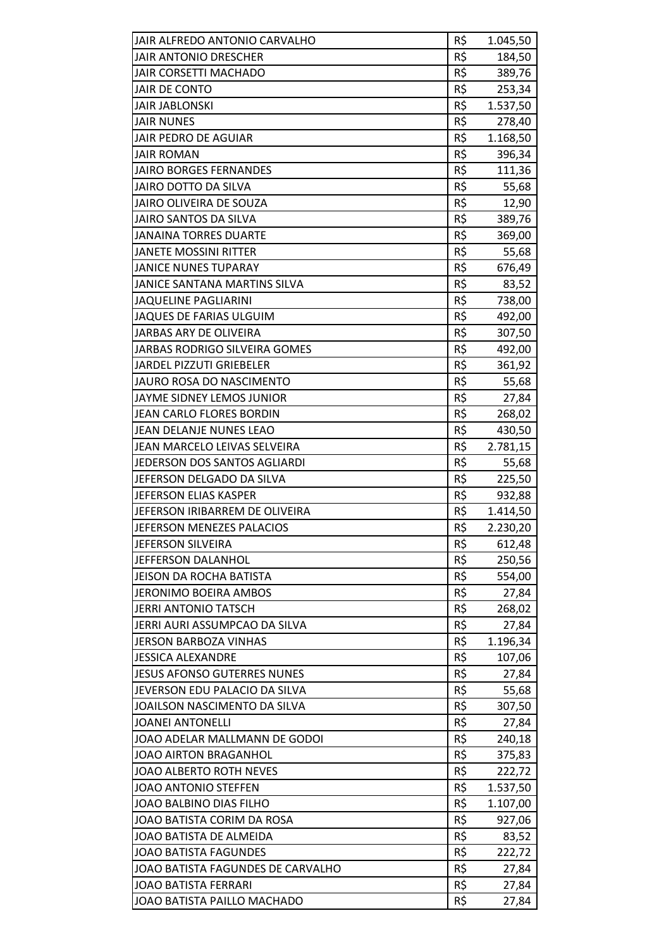| JAIR ALFREDO ANTONIO CARVALHO        | R\$ | 1.045,50 |
|--------------------------------------|-----|----------|
| <b>JAIR ANTONIO DRESCHER</b>         | R\$ | 184,50   |
| JAIR CORSETTI MACHADO                | R\$ | 389,76   |
| <b>JAIR DE CONTO</b>                 | R\$ | 253,34   |
| <b>JAIR JABLONSKI</b>                | R\$ | 1.537,50 |
| <b>JAIR NUNES</b>                    | R\$ | 278,40   |
| <b>JAIR PEDRO DE AGUIAR</b>          | R\$ | 1.168,50 |
| <b>JAIR ROMAN</b>                    | R\$ | 396,34   |
| <b>JAIRO BORGES FERNANDES</b>        | R\$ | 111,36   |
| <b>JAIRO DOTTO DA SILVA</b>          | R\$ | 55,68    |
| JAIRO OLIVEIRA DE SOUZA              | R\$ | 12,90    |
| JAIRO SANTOS DA SILVA                | R\$ | 389,76   |
| <b>JANAINA TORRES DUARTE</b>         | R\$ | 369,00   |
| <b>JANETE MOSSINI RITTER</b>         | R\$ | 55,68    |
| <b>JANICE NUNES TUPARAY</b>          | R\$ | 676,49   |
| JANICE SANTANA MARTINS SILVA         | R\$ | 83,52    |
| <b>JAQUELINE PAGLIARINI</b>          | R\$ | 738,00   |
| JAQUES DE FARIAS ULGUIM              | R\$ | 492,00   |
| JARBAS ARY DE OLIVEIRA               | R\$ | 307,50   |
| <b>JARBAS RODRIGO SILVEIRA GOMES</b> | R\$ | 492,00   |
| <b>JARDEL PIZZUTI GRIEBELER</b>      | R\$ | 361,92   |
| JAURO ROSA DO NASCIMENTO             | R\$ | 55,68    |
| JAYME SIDNEY LEMOS JUNIOR            | R\$ | 27,84    |
| JEAN CARLO FLORES BORDIN             | R\$ | 268,02   |
| JEAN DELANJE NUNES LEAO              | R\$ | 430,50   |
| JEAN MARCELO LEIVAS SELVEIRA         | R\$ | 2.781,15 |
| JEDERSON DOS SANTOS AGLIARDI         | R\$ | 55,68    |
| JEFERSON DELGADO DA SILVA            | R\$ | 225,50   |
| <b>JEFERSON ELIAS KASPER</b>         | R\$ | 932,88   |
| JEFERSON IRIBARREM DE OLIVEIRA       | R\$ | 1.414,50 |
| JEFERSON MENEZES PALACIOS            | R\$ | 2.230,20 |
| JEFERSON SILVEIRA                    | R\$ | 612,48   |
| JEFFERSON DALANHOL                   | R\$ | 250,56   |
| JEISON DA ROCHA BATISTA              | R\$ | 554,00   |
| JERONIMO BOEIRA AMBOS                | R\$ | 27,84    |
| <b>JERRI ANTONIO TATSCH</b>          | R\$ | 268,02   |
| JERRI AURI ASSUMPCAO DA SILVA        | R\$ | 27,84    |
| <b>JERSON BARBOZA VINHAS</b>         | R\$ | 1.196,34 |
| <b>JESSICA ALEXANDRE</b>             | R\$ | 107,06   |
| <b>JESUS AFONSO GUTERRES NUNES</b>   | R\$ | 27,84    |
| JEVERSON EDU PALACIO DA SILVA        | R\$ | 55,68    |
| JOAILSON NASCIMENTO DA SILVA         | R\$ | 307,50   |
| <b>JOANEI ANTONELLI</b>              | R\$ | 27,84    |
| JOAO ADELAR MALLMANN DE GODOI        | R\$ | 240,18   |
| JOAO AIRTON BRAGANHOL                | R\$ | 375,83   |
| JOAO ALBERTO ROTH NEVES              | R\$ | 222,72   |
| JOAO ANTONIO STEFFEN                 | R\$ | 1.537,50 |
| JOAO BALBINO DIAS FILHO              | R\$ | 1.107,00 |
| JOAO BATISTA CORIM DA ROSA           | R\$ | 927,06   |
| JOAO BATISTA DE ALMEIDA              | R\$ | 83,52    |
| <b>JOAO BATISTA FAGUNDES</b>         | R\$ | 222,72   |
| JOAO BATISTA FAGUNDES DE CARVALHO    | R\$ | 27,84    |
| <b>JOAO BATISTA FERRARI</b>          | R\$ | 27,84    |
| JOAO BATISTA PAILLO MACHADO          | R\$ | 27,84    |
|                                      |     |          |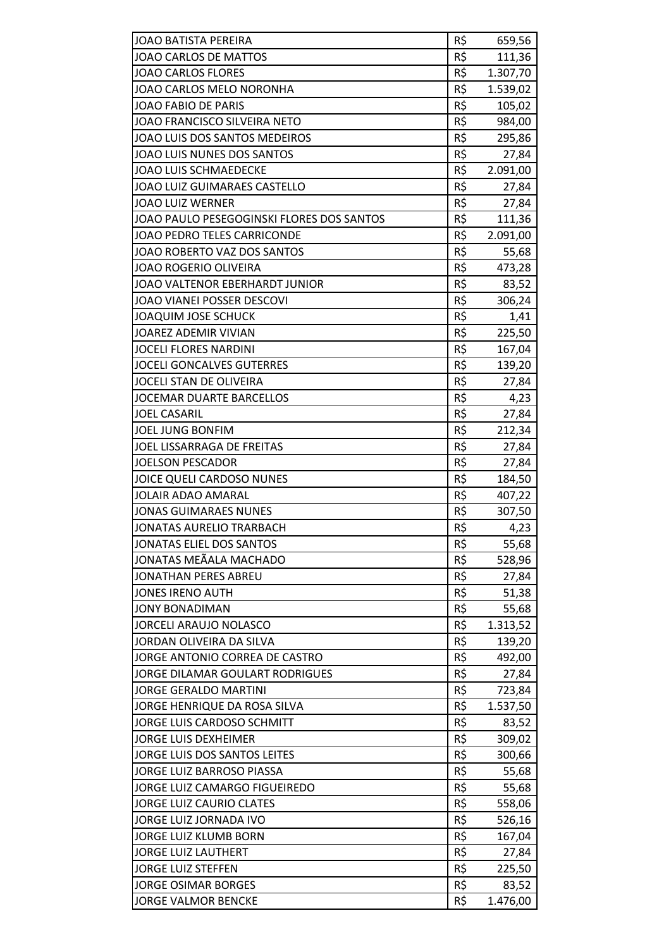| <b>JOAO BATISTA PEREIRA</b>               | R\$ | 659,56   |
|-------------------------------------------|-----|----------|
| JOAO CARLOS DE MATTOS                     | R\$ | 111,36   |
| <b>JOAO CARLOS FLORES</b>                 | R\$ | 1.307,70 |
| JOAO CARLOS MELO NORONHA                  | R\$ | 1.539,02 |
| <b>JOAO FABIO DE PARIS</b>                | R\$ | 105,02   |
| JOAO FRANCISCO SILVEIRA NETO              | R\$ | 984,00   |
| JOAO LUIS DOS SANTOS MEDEIROS             | R\$ | 295,86   |
| JOAO LUIS NUNES DOS SANTOS                | R\$ | 27,84    |
| <b>JOAO LUIS SCHMAEDECKE</b>              | R\$ | 2.091,00 |
| <b>JOAO LUIZ GUIMARAES CASTELLO</b>       | R\$ | 27,84    |
| <b>JOAO LUIZ WERNER</b>                   | R\$ | 27,84    |
| JOAO PAULO PESEGOGINSKI FLORES DOS SANTOS | R\$ | 111,36   |
| JOAO PEDRO TELES CARRICONDE               | R\$ | 2.091,00 |
| JOAO ROBERTO VAZ DOS SANTOS               | R\$ | 55,68    |
| <b>JOAO ROGERIO OLIVEIRA</b>              | R\$ | 473,28   |
| JOAO VALTENOR EBERHARDT JUNIOR            | R\$ | 83,52    |
| JOAO VIANEI POSSER DESCOVI                | R\$ | 306,24   |
| <b>JOAQUIM JOSE SCHUCK</b>                | R\$ | 1,41     |
| JOAREZ ADEMIR VIVIAN                      | R\$ | 225,50   |
| <b>JOCELI FLORES NARDINI</b>              | R\$ | 167,04   |
| <b>JOCELI GONCALVES GUTERRES</b>          | R\$ | 139,20   |
| JOCELI STAN DE OLIVEIRA                   | R\$ | 27,84    |
| <b>JOCEMAR DUARTE BARCELLOS</b>           | R\$ | 4,23     |
| <b>JOEL CASARIL</b>                       | R\$ | 27,84    |
| <b>JOEL JUNG BONFIM</b>                   | R\$ | 212,34   |
| JOEL LISSARRAGA DE FREITAS                | R\$ | 27,84    |
| <b>JOELSON PESCADOR</b>                   | R\$ | 27,84    |
| JOICE QUELI CARDOSO NUNES                 | R\$ | 184,50   |
| <b>JOLAIR ADAO AMARAL</b>                 | R\$ | 407,22   |
| <b>JONAS GUIMARAES NUNES</b>              | R\$ | 307,50   |
| <b>JONATAS AURELIO TRARBACH</b>           | R\$ | 4,23     |
| <b>JONATAS ELIEL DOS SANTOS</b>           | R\$ | 55,68    |
| JONATAS MEÃALA MACHADO                    | R\$ | 528,96   |
| <b>JONATHAN PERES ABREU</b>               | R\$ | 27,84    |
| <b>JONES IRENO AUTH</b>                   | R\$ | 51,38    |
| <b>JONY BONADIMAN</b>                     | R\$ | 55,68    |
| <b>JORCELI ARAUJO NOLASCO</b>             | R\$ | 1.313,52 |
| JORDAN OLIVEIRA DA SILVA                  | R\$ | 139,20   |
| JORGE ANTONIO CORREA DE CASTRO            | R\$ | 492,00   |
| <b>JORGE DILAMAR GOULART RODRIGUES</b>    | R\$ | 27,84    |
| <b>JORGE GERALDO MARTINI</b>              | R\$ | 723,84   |
| JORGE HENRIQUE DA ROSA SILVA              | R\$ | 1.537,50 |
| JORGE LUIS CARDOSO SCHMITT                | R\$ | 83,52    |
| <b>JORGE LUIS DEXHEIMER</b>               | R\$ | 309,02   |
| JORGE LUIS DOS SANTOS LEITES              | R\$ | 300,66   |
| JORGE LUIZ BARROSO PIASSA                 | R\$ | 55,68    |
| JORGE LUIZ CAMARGO FIGUEIREDO             | R\$ | 55,68    |
| <b>JORGE LUIZ CAURIO CLATES</b>           | R\$ | 558,06   |
| JORGE LUIZ JORNADA IVO                    | R\$ | 526,16   |
| <b>JORGE LUIZ KLUMB BORN</b>              | R\$ | 167,04   |
| <b>JORGE LUIZ LAUTHERT</b>                | R\$ | 27,84    |
| <b>JORGE LUIZ STEFFEN</b>                 | R\$ | 225,50   |
| <b>JORGE OSIMAR BORGES</b>                | R\$ | 83,52    |
| <b>JORGE VALMOR BENCKE</b>                | R\$ | 1.476,00 |
|                                           |     |          |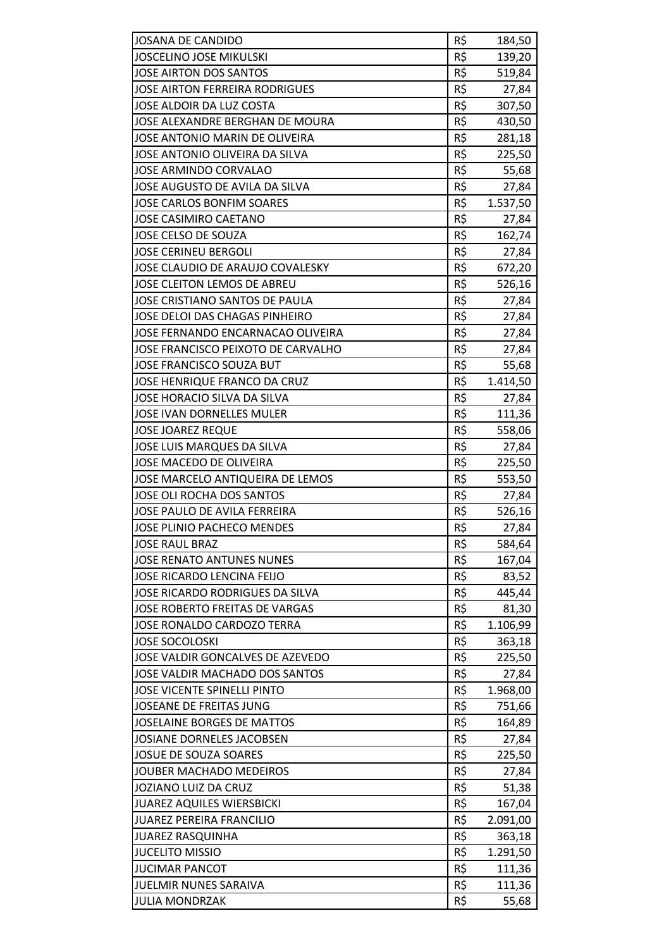| <b>JOSANA DE CANDIDO</b>              | R\$        | 184,50   |
|---------------------------------------|------------|----------|
| <b>JOSCELINO JOSE MIKULSKI</b>        | R\$        | 139,20   |
| JOSE AIRTON DOS SANTOS                | R\$        | 519,84   |
| <b>JOSE AIRTON FERREIRA RODRIGUES</b> | R\$        | 27,84    |
| JOSE ALDOIR DA LUZ COSTA              | R\$        | 307,50   |
| JOSE ALEXANDRE BERGHAN DE MOURA       | R\$        | 430,50   |
| JOSE ANTONIO MARIN DE OLIVEIRA        | R\$        | 281,18   |
| JOSE ANTONIO OLIVEIRA DA SILVA        | R\$        | 225,50   |
| <b>JOSE ARMINDO CORVALAO</b>          | R\$        | 55,68    |
| JOSE AUGUSTO DE AVILA DA SILVA        | R\$        | 27,84    |
| <b>JOSE CARLOS BONFIM SOARES</b>      | R\$        | 1.537,50 |
| JOSE CASIMIRO CAETANO                 | R\$        | 27,84    |
| JOSE CELSO DE SOUZA                   | R\$        | 162,74   |
| <b>JOSE CERINEU BERGOLI</b>           | R\$        | 27,84    |
| JOSE CLAUDIO DE ARAUJO COVALESKY      | R\$        | 672,20   |
| JOSE CLEITON LEMOS DE ABREU           | R\$        | 526,16   |
| JOSE CRISTIANO SANTOS DE PAULA        | R\$        | 27,84    |
| <b>JOSE DELOI DAS CHAGAS PINHEIRO</b> | R\$        | 27,84    |
| JOSE FERNANDO ENCARNACAO OLIVEIRA     | R\$        | 27,84    |
| JOSE FRANCISCO PEIXOTO DE CARVALHO    | R\$        | 27,84    |
| JOSE FRANCISCO SOUZA BUT              | R\$        | 55,68    |
| JOSE HENRIQUE FRANCO DA CRUZ          | R\$        | 1.414,50 |
| JOSE HORACIO SILVA DA SILVA           | R\$        | 27,84    |
| JOSE IVAN DORNELLES MULER             | R\$        | 111,36   |
| <b>JOSE JOAREZ REQUE</b>              | R\$        | 558,06   |
| JOSE LUIS MARQUES DA SILVA            | R\$        | 27,84    |
| JOSE MACEDO DE OLIVEIRA               | R\$        |          |
|                                       | R\$        | 225,50   |
| JOSE MARCELO ANTIQUEIRA DE LEMOS      |            | 553,50   |
| <b>JOSE OLI ROCHA DOS SANTOS</b>      | R\$        | 27,84    |
| JOSE PAULO DE AVILA FERREIRA          | R\$<br>R\$ | 526,16   |
| JOSE PLINIO PACHECO MENDES            |            | 27,84    |
| <b>JOSE RAUL BRAZ</b>                 | R\$        | 584,64   |
| <b>JOSE RENATO ANTUNES NUNES</b>      | R\$        | 167,04   |
| JOSE RICARDO LENCINA FEIJO            | R\$        | 83,52    |
| JOSE RICARDO RODRIGUES DA SILVA       | R\$        | 445,44   |
| JOSE ROBERTO FREITAS DE VARGAS        | R\$        | 81,30    |
| JOSE RONALDO CARDOZO TERRA            | R\$        | 1.106,99 |
| <b>JOSE SOCOLOSKI</b>                 | R\$        | 363,18   |
| JOSE VALDIR GONCALVES DE AZEVEDO      | R\$        | 225,50   |
| JOSE VALDIR MACHADO DOS SANTOS        | R\$        | 27,84    |
| <b>JOSE VICENTE SPINELLI PINTO</b>    | R\$        | 1.968,00 |
| JOSEANE DE FREITAS JUNG               | R\$        | 751,66   |
| <b>JOSELAINE BORGES DE MATTOS</b>     | R\$        | 164,89   |
| JOSIANE DORNELES JACOBSEN             | R\$        | 27,84    |
| <b>JOSUE DE SOUZA SOARES</b>          | R\$        | 225,50   |
| JOUBER MACHADO MEDEIROS               | R\$        | 27,84    |
| JOZIANO LUIZ DA CRUZ                  | R\$        | 51,38    |
| <b>JUAREZ AQUILES WIERSBICKI</b>      | R\$        | 167,04   |
| <b>JUAREZ PEREIRA FRANCILIO</b>       | R\$        | 2.091,00 |
| JUAREZ RASQUINHA                      | R\$        | 363,18   |
| <b>JUCELITO MISSIO</b>                | R\$        | 1.291,50 |
| <b>JUCIMAR PANCOT</b>                 | R\$        | 111,36   |
| JUELMIR NUNES SARAIVA                 | R\$        | 111,36   |
| <b>JULIA MONDRZAK</b>                 | R\$        | 55,68    |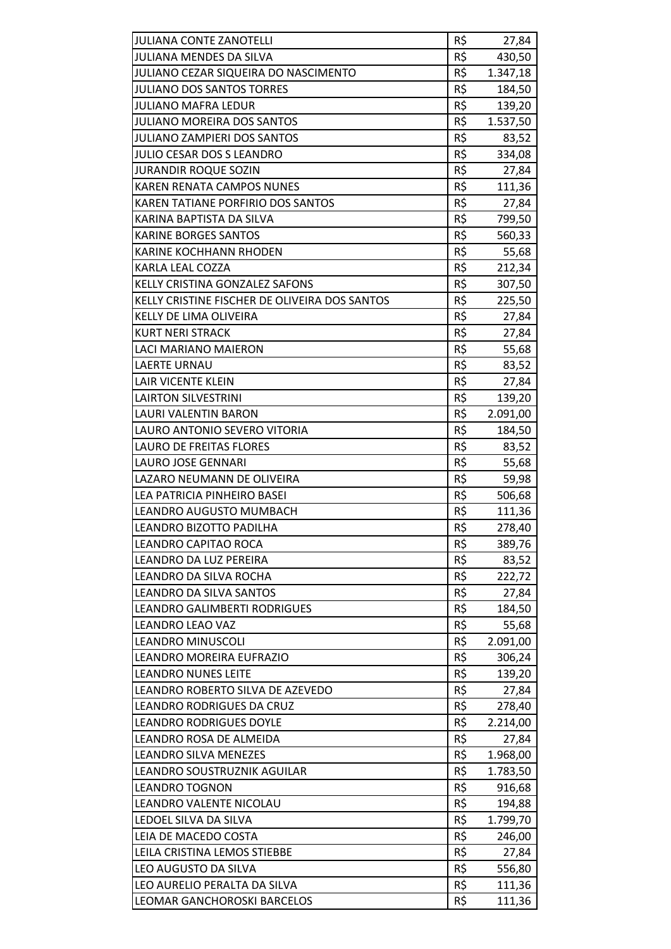| <b>JULIANA CONTE ZANOTELLI</b>                | R\$ | 27,84    |
|-----------------------------------------------|-----|----------|
| <b>JULIANA MENDES DA SILVA</b>                | R\$ | 430,50   |
| JULIANO CEZAR SIQUEIRA DO NASCIMENTO          | R\$ | 1.347,18 |
| <b>JULIANO DOS SANTOS TORRES</b>              | R\$ | 184,50   |
| JULIANO MAFRA LEDUR                           | R\$ | 139,20   |
| <b>JULIANO MOREIRA DOS SANTOS</b>             | R\$ | 1.537,50 |
| <b>JULIANO ZAMPIERI DOS SANTOS</b>            | R\$ | 83,52    |
| <b>JULIO CESAR DOS S LEANDRO</b>              | R\$ | 334,08   |
| <b>JURANDIR ROQUE SOZIN</b>                   | R\$ | 27,84    |
| <b>KAREN RENATA CAMPOS NUNES</b>              | R\$ | 111,36   |
| KAREN TATIANE PORFIRIO DOS SANTOS             | R\$ | 27,84    |
| KARINA BAPTISTA DA SILVA                      | R\$ | 799,50   |
| <b>KARINE BORGES SANTOS</b>                   | R\$ | 560,33   |
| <b>KARINE KOCHHANN RHODEN</b>                 | R\$ | 55,68    |
| KARLA LEAL COZZA                              | R\$ | 212,34   |
| KELLY CRISTINA GONZALEZ SAFONS                | R\$ | 307,50   |
| KELLY CRISTINE FISCHER DE OLIVEIRA DOS SANTOS | R\$ | 225,50   |
| <b>KELLY DE LIMA OLIVEIRA</b>                 | R\$ | 27,84    |
| <b>KURT NERI STRACK</b>                       | R\$ | 27,84    |
| LACI MARIANO MAIERON                          | R\$ | 55,68    |
| <b>LAERTE URNAU</b>                           | R\$ | 83,52    |
| LAIR VICENTE KLEIN                            | R\$ | 27,84    |
| <b>LAIRTON SILVESTRINI</b>                    | R\$ | 139,20   |
| LAURI VALENTIN BARON                          | R\$ | 2.091,00 |
| LAURO ANTONIO SEVERO VITORIA                  | R\$ | 184,50   |
| <b>LAURO DE FREITAS FLORES</b>                | R\$ | 83,52    |
| LAURO JOSE GENNARI                            | R\$ | 55,68    |
| LAZARO NEUMANN DE OLIVEIRA                    | R\$ | 59,98    |
| LEA PATRICIA PINHEIRO BASEI                   | R\$ | 506,68   |
| LEANDRO AUGUSTO MUMBACH                       | R\$ | 111,36   |
| LEANDRO BIZOTTO PADILHA                       | R\$ | 278,40   |
| LEANDRO CAPITAO ROCA                          | R\$ | 389,76   |
| LEANDRO DA LUZ PEREIRA                        | R\$ | 83,52    |
| LEANDRO DA SILVA ROCHA                        | R\$ | 222,72   |
| LEANDRO DA SILVA SANTOS                       | R\$ | 27,84    |
| <b>LEANDRO GALIMBERTI RODRIGUES</b>           | R\$ | 184,50   |
| <b>LEANDRO LEAO VAZ</b>                       | R\$ | 55,68    |
| <b>LEANDRO MINUSCOLI</b>                      | R\$ | 2.091,00 |
| LEANDRO MOREIRA EUFRAZIO                      | R\$ | 306,24   |
| <b>LEANDRO NUNES LEITE</b>                    | R\$ | 139,20   |
| LEANDRO ROBERTO SILVA DE AZEVEDO              | R\$ | 27,84    |
| LEANDRO RODRIGUES DA CRUZ                     | R\$ | 278,40   |
| <b>LEANDRO RODRIGUES DOYLE</b>                | R\$ | 2.214,00 |
| LEANDRO ROSA DE ALMEIDA                       | R\$ | 27,84    |
| LEANDRO SILVA MENEZES                         | R\$ | 1.968,00 |
| LEANDRO SOUSTRUZNIK AGUILAR                   | R\$ | 1.783,50 |
| <b>LEANDRO TOGNON</b>                         | R\$ | 916,68   |
| LEANDRO VALENTE NICOLAU                       | R\$ | 194,88   |
| LEDOEL SILVA DA SILVA                         | R\$ | 1.799,70 |
| LEIA DE MACEDO COSTA                          | R\$ | 246,00   |
| LEILA CRISTINA LEMOS STIEBBE                  | R\$ | 27,84    |
| LEO AUGUSTO DA SILVA                          | R\$ | 556,80   |
| LEO AURELIO PERALTA DA SILVA                  | R\$ | 111,36   |
| LEOMAR GANCHOROSKI BARCELOS                   | R\$ | 111,36   |
|                                               |     |          |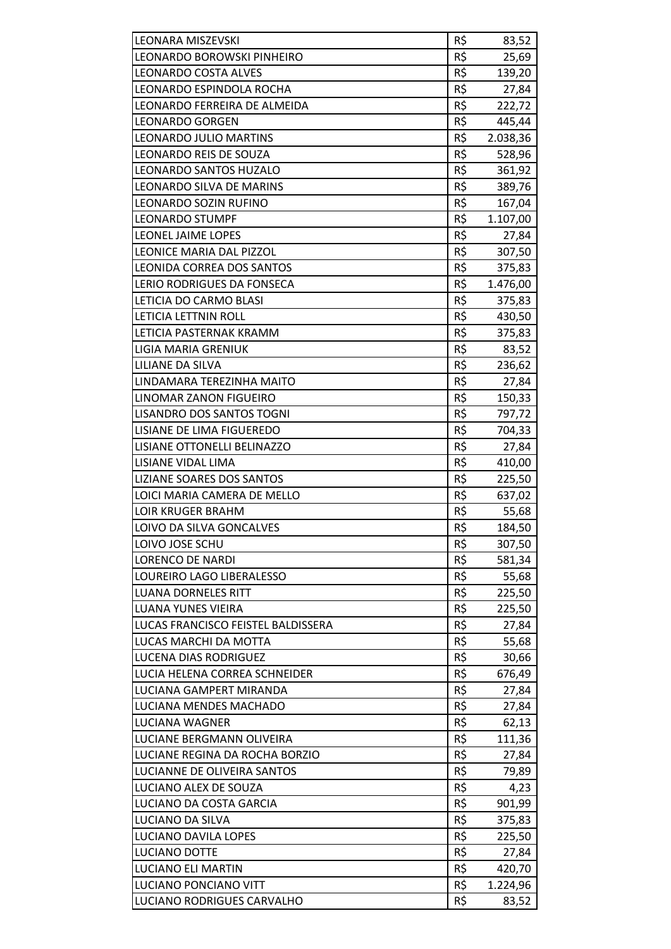| <b>LEONARA MISZEVSKI</b>           | R\$ | 83,52    |
|------------------------------------|-----|----------|
| LEONARDO BOROWSKI PINHEIRO         | R\$ | 25,69    |
| <b>LEONARDO COSTA ALVES</b>        | R\$ | 139,20   |
| LEONARDO ESPINDOLA ROCHA           | R\$ | 27,84    |
| LEONARDO FERREIRA DE ALMEIDA       | R\$ | 222,72   |
| <b>LEONARDO GORGEN</b>             | R\$ | 445,44   |
| LEONARDO JULIO MARTINS             | R\$ | 2.038,36 |
| <b>LEONARDO REIS DE SOUZA</b>      | R\$ | 528,96   |
| <b>LEONARDO SANTOS HUZALO</b>      | R\$ | 361,92   |
| LEONARDO SILVA DE MARINS           | R\$ | 389,76   |
| LEONARDO SOZIN RUFINO              | R\$ | 167,04   |
| <b>LEONARDO STUMPF</b>             | R\$ | 1.107,00 |
| LEONEL JAIME LOPES                 | R\$ | 27,84    |
| LEONICE MARIA DAL PIZZOL           | R\$ | 307,50   |
| <b>LEONIDA CORREA DOS SANTOS</b>   | R\$ | 375,83   |
| LERIO RODRIGUES DA FONSECA         | R\$ | 1.476,00 |
| LETICIA DO CARMO BLASI             | R\$ | 375,83   |
| LETICIA LETTNIN ROLL               | R\$ | 430,50   |
| LETICIA PASTERNAK KRAMM            | R\$ | 375,83   |
| LIGIA MARIA GRENIUK                | R\$ | 83,52    |
| LILIANE DA SILVA                   | R\$ | 236,62   |
| LINDAMARA TEREZINHA MAITO          | R\$ | 27,84    |
| LINOMAR ZANON FIGUEIRO             | R\$ | 150,33   |
| <b>LISANDRO DOS SANTOS TOGNI</b>   | R\$ | 797,72   |
| LISIANE DE LIMA FIGUEREDO          | R\$ | 704,33   |
| LISIANE OTTONELLI BELINAZZO        | R\$ | 27,84    |
| LISIANE VIDAL LIMA                 | R\$ | 410,00   |
| LIZIANE SOARES DOS SANTOS          | R\$ | 225,50   |
| LOICI MARIA CAMERA DE MELLO        | R\$ | 637,02   |
| <b>LOIR KRUGER BRAHM</b>           | R\$ | 55,68    |
| LOIVO DA SILVA GONCALVES           | R\$ | 184,50   |
| LOIVO JOSE SCHU                    | R\$ | 307,50   |
| <b>LORENCO DE NARDI</b>            | R\$ | 581,34   |
| LOUREIRO LAGO LIBERALESSO          | R\$ | 55,68    |
| <b>LUANA DORNELES RITT</b>         | R\$ | 225,50   |
| <b>LUANA YUNES VIEIRA</b>          | R\$ | 225,50   |
| LUCAS FRANCISCO FEISTEL BALDISSERA | R\$ | 27,84    |
| LUCAS MARCHI DA MOTTA              | R\$ | 55,68    |
| <b>LUCENA DIAS RODRIGUEZ</b>       | R\$ | 30,66    |
| LUCIA HELENA CORREA SCHNEIDER      | R\$ | 676,49   |
| LUCIANA GAMPERT MIRANDA            | R\$ | 27,84    |
| LUCIANA MENDES MACHADO             | R\$ | 27,84    |
| LUCIANA WAGNER                     | R\$ | 62,13    |
| LUCIANE BERGMANN OLIVEIRA          | R\$ |          |
| LUCIANE REGINA DA ROCHA BORZIO     | R\$ | 111,36   |
|                                    |     | 27,84    |
| LUCIANNE DE OLIVEIRA SANTOS        | R\$ | 79,89    |
| LUCIANO ALEX DE SOUZA              | R\$ | 4,23     |
| LUCIANO DA COSTA GARCIA            | R\$ | 901,99   |
| LUCIANO DA SILVA                   | R\$ | 375,83   |
| LUCIANO DAVILA LOPES               | R\$ | 225,50   |
| LUCIANO DOTTE                      | R\$ | 27,84    |
| <b>LUCIANO ELI MARTIN</b>          | R\$ | 420,70   |
| LUCIANO PONCIANO VITT              | R\$ | 1.224,96 |
| LUCIANO RODRIGUES CARVALHO         | R\$ | 83,52    |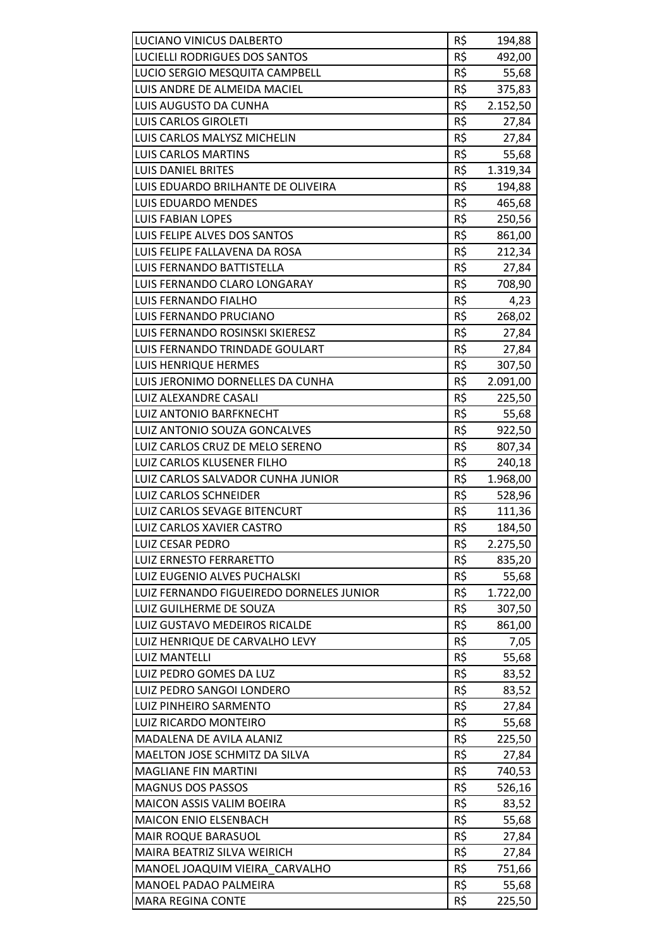| LUCIANO VINICUS DALBERTO                                  | R\$        | 194,88          |
|-----------------------------------------------------------|------------|-----------------|
| LUCIELLI RODRIGUES DOS SANTOS                             | R\$        | 492,00          |
| LUCIO SERGIO MESQUITA CAMPBELL                            | R\$        | 55,68           |
| LUIS ANDRE DE ALMEIDA MACIEL                              | R\$        | 375,83          |
| LUIS AUGUSTO DA CUNHA                                     | R\$        | 2.152,50        |
| <b>LUIS CARLOS GIROLETI</b>                               | R\$        | 27,84           |
| LUIS CARLOS MALYSZ MICHELIN                               | R\$        | 27,84           |
| <b>LUIS CARLOS MARTINS</b>                                | R\$        | 55,68           |
| <b>LUIS DANIEL BRITES</b>                                 | R\$        | 1.319,34        |
| LUIS EDUARDO BRILHANTE DE OLIVEIRA                        | R\$        | 194,88          |
| LUIS EDUARDO MENDES                                       | R\$        | 465,68          |
| <b>LUIS FABIAN LOPES</b>                                  | R\$        | 250,56          |
| LUIS FELIPE ALVES DOS SANTOS                              | R\$        | 861,00          |
| LUIS FELIPE FALLAVENA DA ROSA                             | R\$        | 212,34          |
| LUIS FERNANDO BATTISTELLA                                 | R\$        | 27,84           |
| LUIS FERNANDO CLARO LONGARAY                              | R\$        | 708,90          |
| LUIS FERNANDO FIALHO                                      | R\$        |                 |
|                                                           | R\$        | 4,23            |
| LUIS FERNANDO PRUCIANO<br>LUIS FERNANDO ROSINSKI SKIERESZ | R\$        | 268,02          |
|                                                           |            | 27,84           |
| LUIS FERNANDO TRINDADE GOULART                            | R\$        | 27,84           |
| LUIS HENRIQUE HERMES                                      | R\$        | 307,50          |
| LUIS JERONIMO DORNELLES DA CUNHA                          | R\$        | 2.091,00        |
| LUIZ ALEXANDRE CASALI                                     | R\$        | 225,50          |
| LUIZ ANTONIO BARFKNECHT                                   | R\$        | 55,68           |
| LUIZ ANTONIO SOUZA GONCALVES                              | R\$        | 922,50          |
| LUIZ CARLOS CRUZ DE MELO SERENO                           | R\$        | 807,34          |
| LUIZ CARLOS KLUSENER FILHO                                | R\$        | 240,18          |
| LUIZ CARLOS SALVADOR CUNHA JUNIOR                         | R\$        | 1.968,00        |
| LUIZ CARLOS SCHNEIDER                                     | R\$        | 528,96          |
| LUIZ CARLOS SEVAGE BITENCURT                              | R\$        | 111,36          |
| LUIZ CARLOS XAVIER CASTRO                                 | R\$        | 184,50          |
| LUIZ CESAR PEDRO                                          | R\$        | 2.275,50        |
| <b>LUIZ ERNESTO FERRARETTO</b>                            | R\$        | 835,20          |
| LUIZ EUGENIO ALVES PUCHALSKI                              | R\$        | 55,68           |
| LUIZ FERNANDO FIGUEIREDO DORNELES JUNIOR                  | R\$        | 1.722,00        |
| LUIZ GUILHERME DE SOUZA                                   | R\$        | 307,50          |
| LUIZ GUSTAVO MEDEIROS RICALDE                             | R\$        | 861,00          |
| LUIZ HENRIQUE DE CARVALHO LEVY                            | R\$        | 7,05            |
| <b>LUIZ MANTELLI</b>                                      | R\$        | 55,68           |
| LUIZ PEDRO GOMES DA LUZ                                   | R\$        | 83,52           |
| LUIZ PEDRO SANGOI LONDERO                                 | R\$        | 83,52           |
| LUIZ PINHEIRO SARMENTO                                    |            | 27,84           |
|                                                           | R\$        |                 |
| LUIZ RICARDO MONTEIRO                                     | R\$        | 55,68           |
| MADALENA DE AVILA ALANIZ                                  | R\$        | 225,50          |
| MAELTON JOSE SCHMITZ DA SILVA                             | R\$        | 27,84           |
| <b>MAGLIANE FIN MARTINI</b>                               | R\$        | 740,53          |
| <b>MAGNUS DOS PASSOS</b>                                  | R\$        | 526,16          |
| MAICON ASSIS VALIM BOEIRA                                 | R\$        | 83,52           |
| <b>MAICON ENIO ELSENBACH</b>                              | R\$        | 55,68           |
| <b>MAIR ROQUE BARASUOL</b>                                | R\$        | 27,84           |
| MAIRA BEATRIZ SILVA WEIRICH                               | R\$        | 27,84           |
| MANOEL JOAQUIM VIEIRA CARVALHO                            | R\$        | 751,66          |
| MANOEL PADAO PALMEIRA<br><b>MARA REGINA CONTE</b>         | R\$<br>R\$ | 55,68<br>225,50 |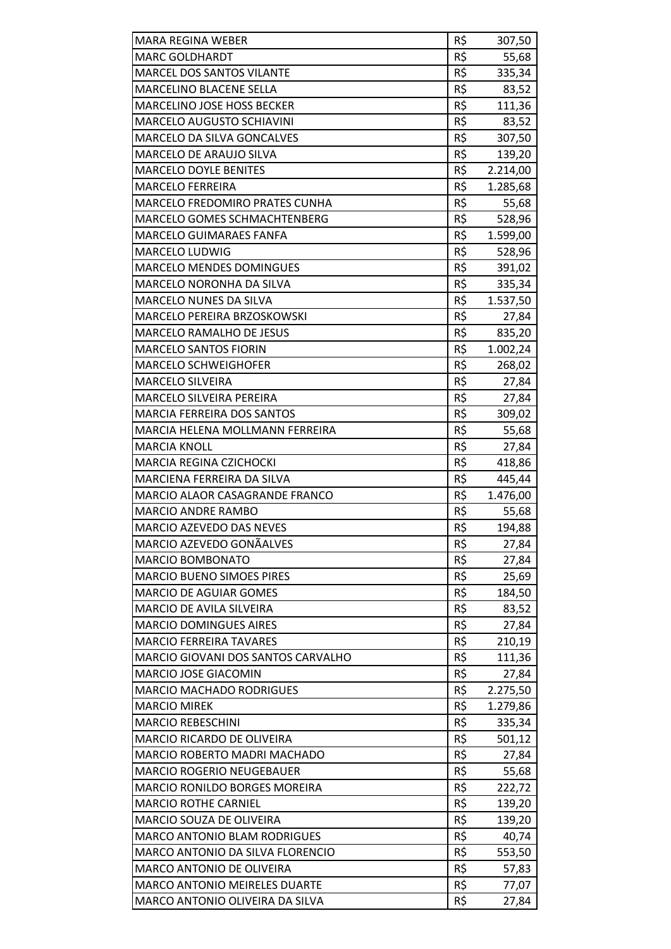| <b>MARA REGINA WEBER</b>             | R\$ | 307,50   |
|--------------------------------------|-----|----------|
| <b>MARC GOLDHARDT</b>                | R\$ | 55,68    |
| <b>MARCEL DOS SANTOS VILANTE</b>     | R\$ | 335,34   |
| MARCELINO BLACENE SELLA              | R\$ | 83,52    |
| MARCELINO JOSE HOSS BECKER           | R\$ | 111,36   |
| MARCELO AUGUSTO SCHIAVINI            | R\$ | 83,52    |
| MARCELO DA SILVA GONCALVES           | R\$ | 307,50   |
| MARCELO DE ARAUJO SILVA              | R\$ | 139,20   |
| <b>MARCELO DOYLE BENITES</b>         | R\$ | 2.214,00 |
| <b>MARCELO FERREIRA</b>              | R\$ | 1.285,68 |
| MARCELO FREDOMIRO PRATES CUNHA       | R\$ | 55,68    |
| MARCELO GOMES SCHMACHTENBERG         | R\$ | 528,96   |
| <b>MARCELO GUIMARAES FANFA</b>       | R\$ | 1.599,00 |
| <b>MARCELO LUDWIG</b>                | R\$ | 528,96   |
| <b>MARCELO MENDES DOMINGUES</b>      | R\$ | 391,02   |
| MARCELO NORONHA DA SILVA             | R\$ | 335,34   |
| MARCELO NUNES DA SILVA               | R\$ | 1.537,50 |
| MARCELO PEREIRA BRZOSKOWSKI          | R\$ | 27,84    |
| <b>MARCELO RAMALHO DE JESUS</b>      | R\$ | 835,20   |
| <b>MARCELO SANTOS FIORIN</b>         | R\$ | 1.002,24 |
| <b>MARCELO SCHWEIGHOFER</b>          | R\$ | 268,02   |
| <b>MARCELO SILVEIRA</b>              | R\$ | 27,84    |
| <b>MARCELO SILVEIRA PEREIRA</b>      | R\$ | 27,84    |
| <b>MARCIA FERREIRA DOS SANTOS</b>    | R\$ | 309,02   |
| MARCIA HELENA MOLLMANN FERREIRA      | R\$ | 55,68    |
| <b>MARCIA KNOLL</b>                  | R\$ | 27,84    |
| MARCIA REGINA CZICHOCKI              | R\$ | 418,86   |
| MARCIENA FERREIRA DA SILVA           | R\$ | 445,44   |
| MARCIO ALAOR CASAGRANDE FRANCO       | R\$ | 1.476,00 |
| <b>MARCIO ANDRE RAMBO</b>            | R\$ | 55,68    |
| MARCIO AZEVEDO DAS NEVES             | R\$ | 194,88   |
| MARCIO AZEVEDO GONÃALVES             | R\$ | 27,84    |
| <b>MARCIO BOMBONATO</b>              | R\$ | 27,84    |
| <b>MARCIO BUENO SIMOES PIRES</b>     | R\$ | 25,69    |
| <b>MARCIO DE AGUIAR GOMES</b>        | R\$ | 184,50   |
| MARCIO DE AVILA SILVEIRA             | R\$ | 83,52    |
| <b>MARCIO DOMINGUES AIRES</b>        | R\$ | 27,84    |
| <b>MARCIO FERREIRA TAVARES</b>       | R\$ | 210,19   |
| MARCIO GIOVANI DOS SANTOS CARVALHO   | R\$ | 111,36   |
| MARCIO JOSE GIACOMIN                 | R\$ | 27,84    |
| <b>MARCIO MACHADO RODRIGUES</b>      | R\$ | 2.275,50 |
| <b>MARCIO MIREK</b>                  | R\$ | 1.279,86 |
| <b>MARCIO REBESCHINI</b>             | R\$ | 335,34   |
| MARCIO RICARDO DE OLIVEIRA           | R\$ | 501,12   |
| MARCIO ROBERTO MADRI MACHADO         | R\$ | 27,84    |
| <b>MARCIO ROGERIO NEUGEBAUER</b>     | R\$ | 55,68    |
| <b>MARCIO RONILDO BORGES MOREIRA</b> | R\$ | 222,72   |
| <b>MARCIO ROTHE CARNIEL</b>          | R\$ | 139,20   |
| MARCIO SOUZA DE OLIVEIRA             | R\$ | 139,20   |
| <b>MARCO ANTONIO BLAM RODRIGUES</b>  | R\$ | 40,74    |
| MARCO ANTONIO DA SILVA FLORENCIO     | R\$ | 553,50   |
| MARCO ANTONIO DE OLIVEIRA            | R\$ | 57,83    |
| <b>MARCO ANTONIO MEIRELES DUARTE</b> | R\$ | 77,07    |
| MARCO ANTONIO OLIVEIRA DA SILVA      | R\$ | 27,84    |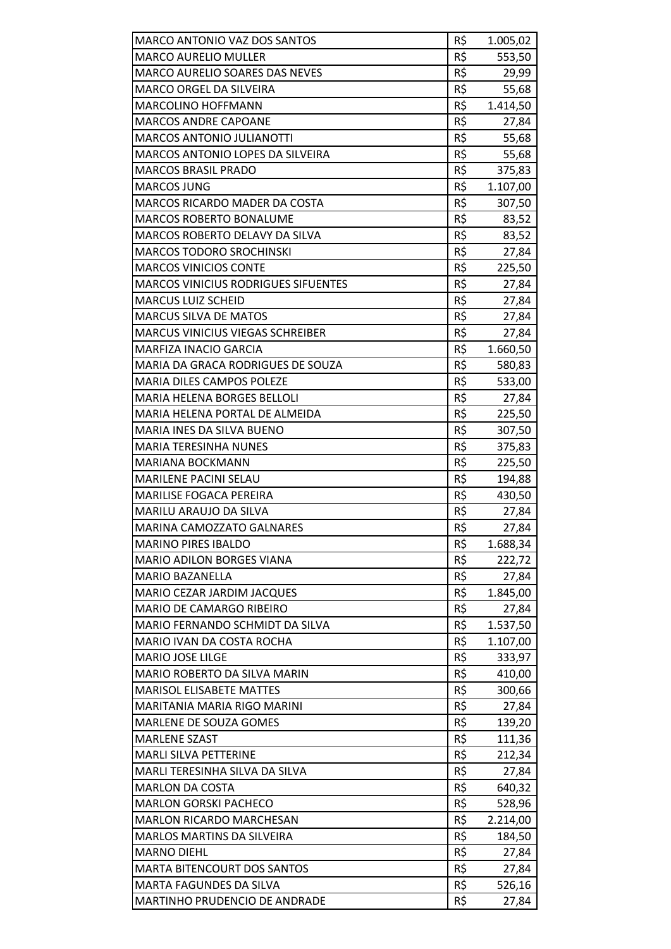| MARCO ANTONIO VAZ DOS SANTOS                             | R\$        | 1.005,02        |
|----------------------------------------------------------|------------|-----------------|
| <b>MARCO AURELIO MULLER</b>                              | R\$        | 553,50          |
| <b>MARCO AURELIO SOARES DAS NEVES</b>                    | R\$        | 29,99           |
| <b>MARCO ORGEL DA SILVEIRA</b>                           | R\$        | 55,68           |
| <b>MARCOLINO HOFFMANN</b>                                | R\$        | 1.414,50        |
| <b>MARCOS ANDRE CAPOANE</b>                              | R\$        | 27,84           |
| <b>MARCOS ANTONIO JULIANOTTI</b>                         | R\$        | 55,68           |
| <b>MARCOS ANTONIO LOPES DA SILVEIRA</b>                  | R\$        | 55,68           |
| <b>MARCOS BRASIL PRADO</b>                               | R\$        | 375,83          |
| <b>MARCOS JUNG</b>                                       | R\$        | 1.107,00        |
| MARCOS RICARDO MADER DA COSTA                            | R\$        | 307,50          |
| <b>MARCOS ROBERTO BONALUME</b>                           | R\$        | 83,52           |
| <b>MARCOS ROBERTO DELAVY DA SILVA</b>                    | R\$        | 83,52           |
| MARCOS TODORO SROCHINSKI                                 | R\$        | 27,84           |
| <b>MARCOS VINICIOS CONTE</b>                             | R\$        | 225,50          |
| <b>MARCOS VINICIUS RODRIGUES SIFUENTES</b>               | R\$        | 27,84           |
| <b>MARCUS LUIZ SCHEID</b>                                | R\$        | 27,84           |
| <b>MARCUS SILVA DE MATOS</b>                             | R\$        | 27,84           |
| <b>MARCUS VINICIUS VIEGAS SCHREIBER</b>                  | R\$        | 27,84           |
| <b>MARFIZA INACIO GARCIA</b>                             | R\$        | 1.660,50        |
| MARIA DA GRACA RODRIGUES DE SOUZA                        | R\$        | 580,83          |
| <b>MARIA DILES CAMPOS POLEZE</b>                         | R\$        | 533,00          |
| <b>MARIA HELENA BORGES BELLOLI</b>                       | R\$        | 27,84           |
| MARIA HELENA PORTAL DE ALMEIDA                           | R\$        | 225,50          |
| MARIA INES DA SILVA BUENO                                | R\$        | 307,50          |
| <b>MARIA TERESINHA NUNES</b>                             | R\$        | 375,83          |
| MARIANA BOCKMANN                                         | R\$        | 225,50          |
| <b>MARILENE PACINI SELAU</b>                             | R\$        | 194,88          |
| <b>MARILISE FOGACA PEREIRA</b>                           | R\$        | 430,50          |
| MARILU ARAUJO DA SILVA                                   | R\$        | 27,84           |
| <b>MARINA CAMOZZATO GALNARES</b>                         | R\$        | 27,84           |
| <b>MARINO PIRES IBALDO</b>                               | R\$        | 1.688,34        |
| <b>MARIO ADILON BORGES VIANA</b>                         | R\$        | 222,72          |
| <b>MARIO BAZANELLA</b>                                   | R\$        | 27,84           |
| MARIO CEZAR JARDIM JACQUES                               | R\$        | 1.845,00        |
| <b>MARIO DE CAMARGO RIBEIRO</b>                          | R\$        | 27,84           |
| MARIO FERNANDO SCHMIDT DA SILVA                          | R\$        | 1.537,50        |
| MARIO IVAN DA COSTA ROCHA                                | R\$        | 1.107,00        |
| <b>MARIO JOSE LILGE</b>                                  | R\$        | 333,97          |
| MARIO ROBERTO DA SILVA MARIN                             | R\$        | 410,00          |
| <b>MARISOL ELISABETE MATTES</b>                          | R\$        | 300,66          |
| MARITANIA MARIA RIGO MARINI                              | R\$        | 27,84           |
| MARLENE DE SOUZA GOMES                                   | R\$        | 139,20          |
| <b>MARLENE SZAST</b>                                     | R\$        | 111,36          |
| <b>MARLI SILVA PETTERINE</b>                             | R\$        | 212,34          |
| MARLI TERESINHA SILVA DA SILVA                           | R\$        | 27,84           |
| <b>MARLON DA COSTA</b>                                   | R\$        | 640,32          |
| <b>MARLON GORSKI PACHECO</b>                             | R\$        | 528,96          |
| <b>MARLON RICARDO MARCHESAN</b>                          | R\$        | 2.214,00        |
| <b>MARLOS MARTINS DA SILVEIRA</b>                        | R\$        | 184,50          |
| <b>MARNO DIEHL</b><br><b>MARTA BITENCOURT DOS SANTOS</b> | R\$<br>R\$ | 27,84           |
| <b>MARTA FAGUNDES DA SILVA</b>                           | R\$        | 27,84<br>526,16 |
| MARTINHO PRUDENCIO DE ANDRADE                            | R\$        | 27,84           |
|                                                          |            |                 |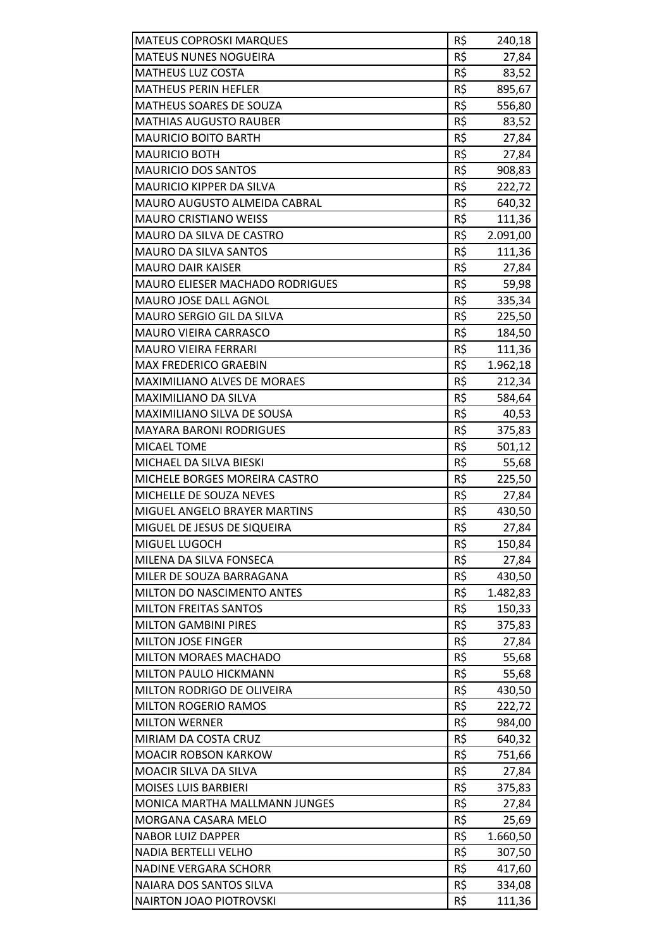| <b>MATEUS COPROSKI MARQUES</b>         | R\$ | 240,18   |
|----------------------------------------|-----|----------|
| <b>MATEUS NUNES NOGUEIRA</b>           | R\$ | 27,84    |
| <b>MATHEUS LUZ COSTA</b>               | R\$ | 83,52    |
| <b>MATHEUS PERIN HEFLER</b>            | R\$ | 895,67   |
| <b>MATHEUS SOARES DE SOUZA</b>         | R\$ | 556,80   |
| <b>MATHIAS AUGUSTO RAUBER</b>          | R\$ | 83,52    |
| <b>MAURICIO BOITO BARTH</b>            | R\$ | 27,84    |
| <b>MAURICIO BOTH</b>                   | R\$ | 27,84    |
| <b>MAURICIO DOS SANTOS</b>             | R\$ | 908,83   |
| <b>MAURICIO KIPPER DA SILVA</b>        | R\$ | 222,72   |
| MAURO AUGUSTO ALMEIDA CABRAL           | R\$ | 640,32   |
| <b>MAURO CRISTIANO WEISS</b>           | R\$ | 111,36   |
| MAURO DA SILVA DE CASTRO               | R\$ | 2.091,00 |
| <b>MAURO DA SILVA SANTOS</b>           | R\$ | 111,36   |
| <b>MAURO DAIR KAISER</b>               | R\$ | 27,84    |
| <b>MAURO ELIESER MACHADO RODRIGUES</b> | R\$ | 59,98    |
| MAURO JOSE DALL AGNOL                  | R\$ | 335,34   |
| MAURO SERGIO GIL DA SILVA              | R\$ | 225,50   |
| <b>MAURO VIEIRA CARRASCO</b>           | R\$ | 184,50   |
| <b>MAURO VIEIRA FERRARI</b>            | R\$ | 111,36   |
| <b>MAX FREDERICO GRAEBIN</b>           | R\$ | 1.962,18 |
| MAXIMILIANO ALVES DE MORAES            | R\$ | 212,34   |
| <b>MAXIMILIANO DA SILVA</b>            | R\$ | 584,64   |
| <b>MAXIMILIANO SILVA DE SOUSA</b>      | R\$ | 40,53    |
| <b>MAYARA BARONI RODRIGUES</b>         | R\$ | 375,83   |
| MICAEL TOME                            | R\$ | 501,12   |
| MICHAEL DA SILVA BIESKI                | R\$ | 55,68    |
| <b>MICHELE BORGES MOREIRA CASTRO</b>   | R\$ | 225,50   |
| MICHELLE DE SOUZA NEVES                | R\$ | 27,84    |
| MIGUEL ANGELO BRAYER MARTINS           | R\$ | 430,50   |
| MIGUEL DE JESUS DE SIQUEIRA            | R\$ | 27,84    |
| MIGUEL LUGOCH                          | R\$ | 150,84   |
| MILENA DA SILVA FONSECA                | R\$ | 27,84    |
| MILER DE SOUZA BARRAGANA               | R\$ | 430,50   |
| MILTON DO NASCIMENTO ANTES             | R\$ | 1.482,83 |
| MILTON FREITAS SANTOS                  | R\$ | 150,33   |
| <b>MILTON GAMBINI PIRES</b>            | R\$ | 375,83   |
| <b>MILTON JOSE FINGER</b>              | R\$ | 27,84    |
| <b>MILTON MORAES MACHADO</b>           | R\$ | 55,68    |
| MILTON PAULO HICKMANN                  | R\$ | 55,68    |
| MILTON RODRIGO DE OLIVEIRA             | R\$ | 430,50   |
| <b>MILTON ROGERIO RAMOS</b>            | R\$ | 222,72   |
| <b>MILTON WERNER</b>                   | R\$ | 984,00   |
| MIRIAM DA COSTA CRUZ                   | R\$ | 640,32   |
| <b>MOACIR ROBSON KARKOW</b>            | R\$ | 751,66   |
| <b>MOACIR SILVA DA SILVA</b>           | R\$ | 27,84    |
| <b>MOISES LUIS BARBIERI</b>            | R\$ | 375,83   |
| MONICA MARTHA MALLMANN JUNGES          | R\$ | 27,84    |
| MORGANA CASARA MELO                    | R\$ | 25,69    |
| <b>NABOR LUIZ DAPPER</b>               | R\$ | 1.660,50 |
| <b>NADIA BERTELLI VELHO</b>            | R\$ | 307,50   |
| <b>NADINE VERGARA SCHORR</b>           | R\$ | 417,60   |
| NAIARA DOS SANTOS SILVA                | R\$ | 334,08   |
| <b>NAIRTON JOAO PIOTROVSKI</b>         | R\$ | 111,36   |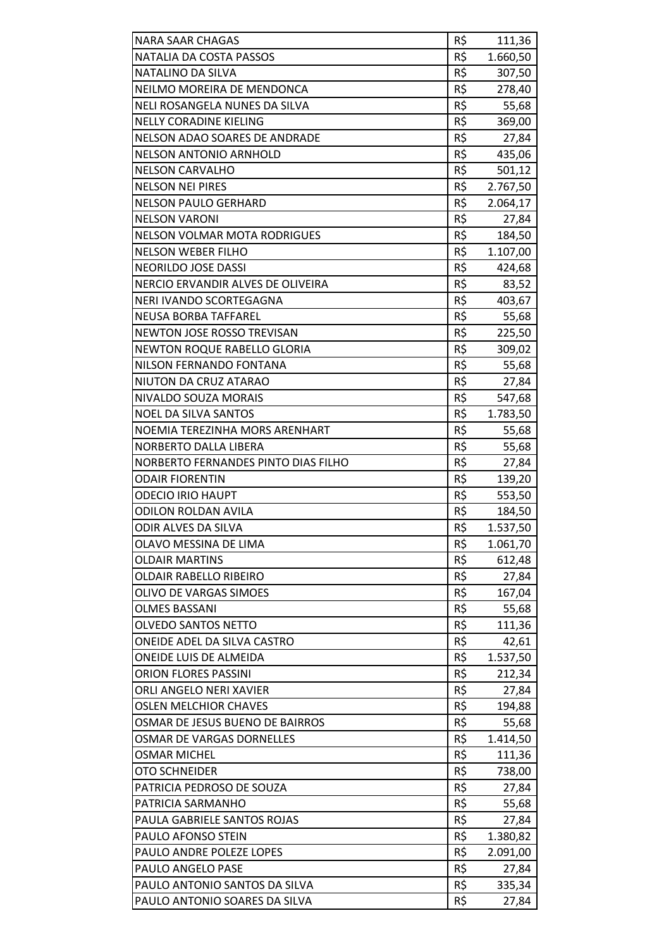| R\$<br>NATALIA DA COSTA PASSOS<br>1.660,50<br>R\$<br>NATALINO DA SILVA<br>307,50<br>R\$<br>NEILMO MOREIRA DE MENDONCA<br>278,40<br>R\$<br>NELI ROSANGELA NUNES DA SILVA<br>55,68<br>R\$<br>369,00<br><b>NELLY CORADINE KIELING</b><br>R\$<br>NELSON ADAO SOARES DE ANDRADE<br>27,84<br>R\$<br><b>NELSON ANTONIO ARNHOLD</b><br>435,06<br>R\$<br><b>NELSON CARVALHO</b><br>501,12<br>R\$<br><b>NELSON NEI PIRES</b><br>2.767,50<br>R\$<br><b>NELSON PAULO GERHARD</b><br>2.064,17<br>R\$<br><b>NELSON VARONI</b><br>27,84<br>R\$<br><b>NELSON VOLMAR MOTA RODRIGUES</b><br>184,50<br>R\$<br><b>NELSON WEBER FILHO</b><br>1.107,00<br>R\$<br><b>NEORILDO JOSE DASSI</b><br>424,68<br>R\$<br>NERCIO ERVANDIR ALVES DE OLIVEIRA<br>83,52<br>R\$<br>NERI IVANDO SCORTEGAGNA<br>403,67<br>R\$<br><b>NEUSA BORBA TAFFAREL</b><br>55,68<br>R\$<br>NEWTON JOSE ROSSO TREVISAN<br>225,50<br>R\$<br><b>NEWTON ROQUE RABELLO GLORIA</b><br>309,02<br>R\$<br>NILSON FERNANDO FONTANA<br>55,68<br>R\$<br>NIUTON DA CRUZ ATARAO<br>27,84<br>R\$<br>NIVALDO SOUZA MORAIS<br>547,68<br>R\$<br><b>NOEL DA SILVA SANTOS</b><br>1.783,50<br>R\$<br>NOEMIA TEREZINHA MORS ARENHART<br>55,68<br>R\$<br>NORBERTO DALLA LIBERA<br>55,68<br>R\$<br>NORBERTO FERNANDES PINTO DIAS FILHO<br>27,84<br>R\$<br><b>ODAIR FIORENTIN</b><br>139,20<br>R\$<br><b>ODECIO IRIO HAUPT</b><br>553,50<br>R\$<br>ODILON ROLDAN AVILA<br>184,50<br>R\$<br>1.537,50<br><b>ODIR ALVES DA SILVA</b><br>R\$<br>OLAVO MESSINA DE LIMA<br>1.061,70<br>R\$<br><b>OLDAIR MARTINS</b><br>612,48<br>R\$<br>OLDAIR RABELLO RIBEIRO<br>27,84<br>R\$<br>OLIVO DE VARGAS SIMOES<br>167,04<br>R\$<br><b>OLMES BASSANI</b><br>55,68<br>R\$<br><b>OLVEDO SANTOS NETTO</b><br>111,36<br>R\$<br>ONEIDE ADEL DA SILVA CASTRO<br>42,61<br>R\$<br>ONEIDE LUIS DE ALMEIDA<br>1.537,50<br>R\$<br><b>ORION FLORES PASSINI</b><br>212,34<br>R\$<br>ORLI ANGELO NERI XAVIER<br>27,84<br>R\$<br><b>OSLEN MELCHIOR CHAVES</b><br>194,88<br>R\$<br>OSMAR DE JESUS BUENO DE BAIRROS<br>55,68<br>R\$<br><b>OSMAR DE VARGAS DORNELLES</b><br>1.414,50<br>R\$<br>OSMAR MICHEL<br>111,36<br>R\$<br><b>OTO SCHNEIDER</b><br>738,00<br>R\$<br>PATRICIA PEDROSO DE SOUZA<br>27,84<br>R\$<br>PATRICIA SARMANHO<br>55,68<br>R\$<br>PAULA GABRIELE SANTOS ROJAS<br>27,84<br>R\$<br>PAULO AFONSO STEIN<br>1.380,82<br>R\$<br>PAULO ANDRE POLEZE LOPES<br>2.091,00<br>R\$<br>PAULO ANGELO PASE<br>27,84<br>R\$<br>PAULO ANTONIO SANTOS DA SILVA<br>335,34<br>R\$<br>PAULO ANTONIO SOARES DA SILVA<br>27,84 |                         |     |        |
|------------------------------------------------------------------------------------------------------------------------------------------------------------------------------------------------------------------------------------------------------------------------------------------------------------------------------------------------------------------------------------------------------------------------------------------------------------------------------------------------------------------------------------------------------------------------------------------------------------------------------------------------------------------------------------------------------------------------------------------------------------------------------------------------------------------------------------------------------------------------------------------------------------------------------------------------------------------------------------------------------------------------------------------------------------------------------------------------------------------------------------------------------------------------------------------------------------------------------------------------------------------------------------------------------------------------------------------------------------------------------------------------------------------------------------------------------------------------------------------------------------------------------------------------------------------------------------------------------------------------------------------------------------------------------------------------------------------------------------------------------------------------------------------------------------------------------------------------------------------------------------------------------------------------------------------------------------------------------------------------------------------------------------------------------------------------------------------------------------------------------------------------------------------------------------------------------------------------------------------------------------------------------------------------------------------------------------------------------------------------------------------------------------------------------------------------------------------------------------------------------------------------|-------------------------|-----|--------|
|                                                                                                                                                                                                                                                                                                                                                                                                                                                                                                                                                                                                                                                                                                                                                                                                                                                                                                                                                                                                                                                                                                                                                                                                                                                                                                                                                                                                                                                                                                                                                                                                                                                                                                                                                                                                                                                                                                                                                                                                                                                                                                                                                                                                                                                                                                                                                                                                                                                                                                                        | <b>NARA SAAR CHAGAS</b> | R\$ | 111,36 |
|                                                                                                                                                                                                                                                                                                                                                                                                                                                                                                                                                                                                                                                                                                                                                                                                                                                                                                                                                                                                                                                                                                                                                                                                                                                                                                                                                                                                                                                                                                                                                                                                                                                                                                                                                                                                                                                                                                                                                                                                                                                                                                                                                                                                                                                                                                                                                                                                                                                                                                                        |                         |     |        |
|                                                                                                                                                                                                                                                                                                                                                                                                                                                                                                                                                                                                                                                                                                                                                                                                                                                                                                                                                                                                                                                                                                                                                                                                                                                                                                                                                                                                                                                                                                                                                                                                                                                                                                                                                                                                                                                                                                                                                                                                                                                                                                                                                                                                                                                                                                                                                                                                                                                                                                                        |                         |     |        |
|                                                                                                                                                                                                                                                                                                                                                                                                                                                                                                                                                                                                                                                                                                                                                                                                                                                                                                                                                                                                                                                                                                                                                                                                                                                                                                                                                                                                                                                                                                                                                                                                                                                                                                                                                                                                                                                                                                                                                                                                                                                                                                                                                                                                                                                                                                                                                                                                                                                                                                                        |                         |     |        |
|                                                                                                                                                                                                                                                                                                                                                                                                                                                                                                                                                                                                                                                                                                                                                                                                                                                                                                                                                                                                                                                                                                                                                                                                                                                                                                                                                                                                                                                                                                                                                                                                                                                                                                                                                                                                                                                                                                                                                                                                                                                                                                                                                                                                                                                                                                                                                                                                                                                                                                                        |                         |     |        |
|                                                                                                                                                                                                                                                                                                                                                                                                                                                                                                                                                                                                                                                                                                                                                                                                                                                                                                                                                                                                                                                                                                                                                                                                                                                                                                                                                                                                                                                                                                                                                                                                                                                                                                                                                                                                                                                                                                                                                                                                                                                                                                                                                                                                                                                                                                                                                                                                                                                                                                                        |                         |     |        |
|                                                                                                                                                                                                                                                                                                                                                                                                                                                                                                                                                                                                                                                                                                                                                                                                                                                                                                                                                                                                                                                                                                                                                                                                                                                                                                                                                                                                                                                                                                                                                                                                                                                                                                                                                                                                                                                                                                                                                                                                                                                                                                                                                                                                                                                                                                                                                                                                                                                                                                                        |                         |     |        |
|                                                                                                                                                                                                                                                                                                                                                                                                                                                                                                                                                                                                                                                                                                                                                                                                                                                                                                                                                                                                                                                                                                                                                                                                                                                                                                                                                                                                                                                                                                                                                                                                                                                                                                                                                                                                                                                                                                                                                                                                                                                                                                                                                                                                                                                                                                                                                                                                                                                                                                                        |                         |     |        |
|                                                                                                                                                                                                                                                                                                                                                                                                                                                                                                                                                                                                                                                                                                                                                                                                                                                                                                                                                                                                                                                                                                                                                                                                                                                                                                                                                                                                                                                                                                                                                                                                                                                                                                                                                                                                                                                                                                                                                                                                                                                                                                                                                                                                                                                                                                                                                                                                                                                                                                                        |                         |     |        |
|                                                                                                                                                                                                                                                                                                                                                                                                                                                                                                                                                                                                                                                                                                                                                                                                                                                                                                                                                                                                                                                                                                                                                                                                                                                                                                                                                                                                                                                                                                                                                                                                                                                                                                                                                                                                                                                                                                                                                                                                                                                                                                                                                                                                                                                                                                                                                                                                                                                                                                                        |                         |     |        |
|                                                                                                                                                                                                                                                                                                                                                                                                                                                                                                                                                                                                                                                                                                                                                                                                                                                                                                                                                                                                                                                                                                                                                                                                                                                                                                                                                                                                                                                                                                                                                                                                                                                                                                                                                                                                                                                                                                                                                                                                                                                                                                                                                                                                                                                                                                                                                                                                                                                                                                                        |                         |     |        |
|                                                                                                                                                                                                                                                                                                                                                                                                                                                                                                                                                                                                                                                                                                                                                                                                                                                                                                                                                                                                                                                                                                                                                                                                                                                                                                                                                                                                                                                                                                                                                                                                                                                                                                                                                                                                                                                                                                                                                                                                                                                                                                                                                                                                                                                                                                                                                                                                                                                                                                                        |                         |     |        |
|                                                                                                                                                                                                                                                                                                                                                                                                                                                                                                                                                                                                                                                                                                                                                                                                                                                                                                                                                                                                                                                                                                                                                                                                                                                                                                                                                                                                                                                                                                                                                                                                                                                                                                                                                                                                                                                                                                                                                                                                                                                                                                                                                                                                                                                                                                                                                                                                                                                                                                                        |                         |     |        |
|                                                                                                                                                                                                                                                                                                                                                                                                                                                                                                                                                                                                                                                                                                                                                                                                                                                                                                                                                                                                                                                                                                                                                                                                                                                                                                                                                                                                                                                                                                                                                                                                                                                                                                                                                                                                                                                                                                                                                                                                                                                                                                                                                                                                                                                                                                                                                                                                                                                                                                                        |                         |     |        |
|                                                                                                                                                                                                                                                                                                                                                                                                                                                                                                                                                                                                                                                                                                                                                                                                                                                                                                                                                                                                                                                                                                                                                                                                                                                                                                                                                                                                                                                                                                                                                                                                                                                                                                                                                                                                                                                                                                                                                                                                                                                                                                                                                                                                                                                                                                                                                                                                                                                                                                                        |                         |     |        |
|                                                                                                                                                                                                                                                                                                                                                                                                                                                                                                                                                                                                                                                                                                                                                                                                                                                                                                                                                                                                                                                                                                                                                                                                                                                                                                                                                                                                                                                                                                                                                                                                                                                                                                                                                                                                                                                                                                                                                                                                                                                                                                                                                                                                                                                                                                                                                                                                                                                                                                                        |                         |     |        |
|                                                                                                                                                                                                                                                                                                                                                                                                                                                                                                                                                                                                                                                                                                                                                                                                                                                                                                                                                                                                                                                                                                                                                                                                                                                                                                                                                                                                                                                                                                                                                                                                                                                                                                                                                                                                                                                                                                                                                                                                                                                                                                                                                                                                                                                                                                                                                                                                                                                                                                                        |                         |     |        |
|                                                                                                                                                                                                                                                                                                                                                                                                                                                                                                                                                                                                                                                                                                                                                                                                                                                                                                                                                                                                                                                                                                                                                                                                                                                                                                                                                                                                                                                                                                                                                                                                                                                                                                                                                                                                                                                                                                                                                                                                                                                                                                                                                                                                                                                                                                                                                                                                                                                                                                                        |                         |     |        |
|                                                                                                                                                                                                                                                                                                                                                                                                                                                                                                                                                                                                                                                                                                                                                                                                                                                                                                                                                                                                                                                                                                                                                                                                                                                                                                                                                                                                                                                                                                                                                                                                                                                                                                                                                                                                                                                                                                                                                                                                                                                                                                                                                                                                                                                                                                                                                                                                                                                                                                                        |                         |     |        |
|                                                                                                                                                                                                                                                                                                                                                                                                                                                                                                                                                                                                                                                                                                                                                                                                                                                                                                                                                                                                                                                                                                                                                                                                                                                                                                                                                                                                                                                                                                                                                                                                                                                                                                                                                                                                                                                                                                                                                                                                                                                                                                                                                                                                                                                                                                                                                                                                                                                                                                                        |                         |     |        |
|                                                                                                                                                                                                                                                                                                                                                                                                                                                                                                                                                                                                                                                                                                                                                                                                                                                                                                                                                                                                                                                                                                                                                                                                                                                                                                                                                                                                                                                                                                                                                                                                                                                                                                                                                                                                                                                                                                                                                                                                                                                                                                                                                                                                                                                                                                                                                                                                                                                                                                                        |                         |     |        |
|                                                                                                                                                                                                                                                                                                                                                                                                                                                                                                                                                                                                                                                                                                                                                                                                                                                                                                                                                                                                                                                                                                                                                                                                                                                                                                                                                                                                                                                                                                                                                                                                                                                                                                                                                                                                                                                                                                                                                                                                                                                                                                                                                                                                                                                                                                                                                                                                                                                                                                                        |                         |     |        |
|                                                                                                                                                                                                                                                                                                                                                                                                                                                                                                                                                                                                                                                                                                                                                                                                                                                                                                                                                                                                                                                                                                                                                                                                                                                                                                                                                                                                                                                                                                                                                                                                                                                                                                                                                                                                                                                                                                                                                                                                                                                                                                                                                                                                                                                                                                                                                                                                                                                                                                                        |                         |     |        |
|                                                                                                                                                                                                                                                                                                                                                                                                                                                                                                                                                                                                                                                                                                                                                                                                                                                                                                                                                                                                                                                                                                                                                                                                                                                                                                                                                                                                                                                                                                                                                                                                                                                                                                                                                                                                                                                                                                                                                                                                                                                                                                                                                                                                                                                                                                                                                                                                                                                                                                                        |                         |     |        |
|                                                                                                                                                                                                                                                                                                                                                                                                                                                                                                                                                                                                                                                                                                                                                                                                                                                                                                                                                                                                                                                                                                                                                                                                                                                                                                                                                                                                                                                                                                                                                                                                                                                                                                                                                                                                                                                                                                                                                                                                                                                                                                                                                                                                                                                                                                                                                                                                                                                                                                                        |                         |     |        |
|                                                                                                                                                                                                                                                                                                                                                                                                                                                                                                                                                                                                                                                                                                                                                                                                                                                                                                                                                                                                                                                                                                                                                                                                                                                                                                                                                                                                                                                                                                                                                                                                                                                                                                                                                                                                                                                                                                                                                                                                                                                                                                                                                                                                                                                                                                                                                                                                                                                                                                                        |                         |     |        |
|                                                                                                                                                                                                                                                                                                                                                                                                                                                                                                                                                                                                                                                                                                                                                                                                                                                                                                                                                                                                                                                                                                                                                                                                                                                                                                                                                                                                                                                                                                                                                                                                                                                                                                                                                                                                                                                                                                                                                                                                                                                                                                                                                                                                                                                                                                                                                                                                                                                                                                                        |                         |     |        |
|                                                                                                                                                                                                                                                                                                                                                                                                                                                                                                                                                                                                                                                                                                                                                                                                                                                                                                                                                                                                                                                                                                                                                                                                                                                                                                                                                                                                                                                                                                                                                                                                                                                                                                                                                                                                                                                                                                                                                                                                                                                                                                                                                                                                                                                                                                                                                                                                                                                                                                                        |                         |     |        |
|                                                                                                                                                                                                                                                                                                                                                                                                                                                                                                                                                                                                                                                                                                                                                                                                                                                                                                                                                                                                                                                                                                                                                                                                                                                                                                                                                                                                                                                                                                                                                                                                                                                                                                                                                                                                                                                                                                                                                                                                                                                                                                                                                                                                                                                                                                                                                                                                                                                                                                                        |                         |     |        |
|                                                                                                                                                                                                                                                                                                                                                                                                                                                                                                                                                                                                                                                                                                                                                                                                                                                                                                                                                                                                                                                                                                                                                                                                                                                                                                                                                                                                                                                                                                                                                                                                                                                                                                                                                                                                                                                                                                                                                                                                                                                                                                                                                                                                                                                                                                                                                                                                                                                                                                                        |                         |     |        |
|                                                                                                                                                                                                                                                                                                                                                                                                                                                                                                                                                                                                                                                                                                                                                                                                                                                                                                                                                                                                                                                                                                                                                                                                                                                                                                                                                                                                                                                                                                                                                                                                                                                                                                                                                                                                                                                                                                                                                                                                                                                                                                                                                                                                                                                                                                                                                                                                                                                                                                                        |                         |     |        |
|                                                                                                                                                                                                                                                                                                                                                                                                                                                                                                                                                                                                                                                                                                                                                                                                                                                                                                                                                                                                                                                                                                                                                                                                                                                                                                                                                                                                                                                                                                                                                                                                                                                                                                                                                                                                                                                                                                                                                                                                                                                                                                                                                                                                                                                                                                                                                                                                                                                                                                                        |                         |     |        |
|                                                                                                                                                                                                                                                                                                                                                                                                                                                                                                                                                                                                                                                                                                                                                                                                                                                                                                                                                                                                                                                                                                                                                                                                                                                                                                                                                                                                                                                                                                                                                                                                                                                                                                                                                                                                                                                                                                                                                                                                                                                                                                                                                                                                                                                                                                                                                                                                                                                                                                                        |                         |     |        |
|                                                                                                                                                                                                                                                                                                                                                                                                                                                                                                                                                                                                                                                                                                                                                                                                                                                                                                                                                                                                                                                                                                                                                                                                                                                                                                                                                                                                                                                                                                                                                                                                                                                                                                                                                                                                                                                                                                                                                                                                                                                                                                                                                                                                                                                                                                                                                                                                                                                                                                                        |                         |     |        |
|                                                                                                                                                                                                                                                                                                                                                                                                                                                                                                                                                                                                                                                                                                                                                                                                                                                                                                                                                                                                                                                                                                                                                                                                                                                                                                                                                                                                                                                                                                                                                                                                                                                                                                                                                                                                                                                                                                                                                                                                                                                                                                                                                                                                                                                                                                                                                                                                                                                                                                                        |                         |     |        |
|                                                                                                                                                                                                                                                                                                                                                                                                                                                                                                                                                                                                                                                                                                                                                                                                                                                                                                                                                                                                                                                                                                                                                                                                                                                                                                                                                                                                                                                                                                                                                                                                                                                                                                                                                                                                                                                                                                                                                                                                                                                                                                                                                                                                                                                                                                                                                                                                                                                                                                                        |                         |     |        |
|                                                                                                                                                                                                                                                                                                                                                                                                                                                                                                                                                                                                                                                                                                                                                                                                                                                                                                                                                                                                                                                                                                                                                                                                                                                                                                                                                                                                                                                                                                                                                                                                                                                                                                                                                                                                                                                                                                                                                                                                                                                                                                                                                                                                                                                                                                                                                                                                                                                                                                                        |                         |     |        |
|                                                                                                                                                                                                                                                                                                                                                                                                                                                                                                                                                                                                                                                                                                                                                                                                                                                                                                                                                                                                                                                                                                                                                                                                                                                                                                                                                                                                                                                                                                                                                                                                                                                                                                                                                                                                                                                                                                                                                                                                                                                                                                                                                                                                                                                                                                                                                                                                                                                                                                                        |                         |     |        |
|                                                                                                                                                                                                                                                                                                                                                                                                                                                                                                                                                                                                                                                                                                                                                                                                                                                                                                                                                                                                                                                                                                                                                                                                                                                                                                                                                                                                                                                                                                                                                                                                                                                                                                                                                                                                                                                                                                                                                                                                                                                                                                                                                                                                                                                                                                                                                                                                                                                                                                                        |                         |     |        |
|                                                                                                                                                                                                                                                                                                                                                                                                                                                                                                                                                                                                                                                                                                                                                                                                                                                                                                                                                                                                                                                                                                                                                                                                                                                                                                                                                                                                                                                                                                                                                                                                                                                                                                                                                                                                                                                                                                                                                                                                                                                                                                                                                                                                                                                                                                                                                                                                                                                                                                                        |                         |     |        |
|                                                                                                                                                                                                                                                                                                                                                                                                                                                                                                                                                                                                                                                                                                                                                                                                                                                                                                                                                                                                                                                                                                                                                                                                                                                                                                                                                                                                                                                                                                                                                                                                                                                                                                                                                                                                                                                                                                                                                                                                                                                                                                                                                                                                                                                                                                                                                                                                                                                                                                                        |                         |     |        |
|                                                                                                                                                                                                                                                                                                                                                                                                                                                                                                                                                                                                                                                                                                                                                                                                                                                                                                                                                                                                                                                                                                                                                                                                                                                                                                                                                                                                                                                                                                                                                                                                                                                                                                                                                                                                                                                                                                                                                                                                                                                                                                                                                                                                                                                                                                                                                                                                                                                                                                                        |                         |     |        |
|                                                                                                                                                                                                                                                                                                                                                                                                                                                                                                                                                                                                                                                                                                                                                                                                                                                                                                                                                                                                                                                                                                                                                                                                                                                                                                                                                                                                                                                                                                                                                                                                                                                                                                                                                                                                                                                                                                                                                                                                                                                                                                                                                                                                                                                                                                                                                                                                                                                                                                                        |                         |     |        |
|                                                                                                                                                                                                                                                                                                                                                                                                                                                                                                                                                                                                                                                                                                                                                                                                                                                                                                                                                                                                                                                                                                                                                                                                                                                                                                                                                                                                                                                                                                                                                                                                                                                                                                                                                                                                                                                                                                                                                                                                                                                                                                                                                                                                                                                                                                                                                                                                                                                                                                                        |                         |     |        |
|                                                                                                                                                                                                                                                                                                                                                                                                                                                                                                                                                                                                                                                                                                                                                                                                                                                                                                                                                                                                                                                                                                                                                                                                                                                                                                                                                                                                                                                                                                                                                                                                                                                                                                                                                                                                                                                                                                                                                                                                                                                                                                                                                                                                                                                                                                                                                                                                                                                                                                                        |                         |     |        |
|                                                                                                                                                                                                                                                                                                                                                                                                                                                                                                                                                                                                                                                                                                                                                                                                                                                                                                                                                                                                                                                                                                                                                                                                                                                                                                                                                                                                                                                                                                                                                                                                                                                                                                                                                                                                                                                                                                                                                                                                                                                                                                                                                                                                                                                                                                                                                                                                                                                                                                                        |                         |     |        |
|                                                                                                                                                                                                                                                                                                                                                                                                                                                                                                                                                                                                                                                                                                                                                                                                                                                                                                                                                                                                                                                                                                                                                                                                                                                                                                                                                                                                                                                                                                                                                                                                                                                                                                                                                                                                                                                                                                                                                                                                                                                                                                                                                                                                                                                                                                                                                                                                                                                                                                                        |                         |     |        |
|                                                                                                                                                                                                                                                                                                                                                                                                                                                                                                                                                                                                                                                                                                                                                                                                                                                                                                                                                                                                                                                                                                                                                                                                                                                                                                                                                                                                                                                                                                                                                                                                                                                                                                                                                                                                                                                                                                                                                                                                                                                                                                                                                                                                                                                                                                                                                                                                                                                                                                                        |                         |     |        |
|                                                                                                                                                                                                                                                                                                                                                                                                                                                                                                                                                                                                                                                                                                                                                                                                                                                                                                                                                                                                                                                                                                                                                                                                                                                                                                                                                                                                                                                                                                                                                                                                                                                                                                                                                                                                                                                                                                                                                                                                                                                                                                                                                                                                                                                                                                                                                                                                                                                                                                                        |                         |     |        |
|                                                                                                                                                                                                                                                                                                                                                                                                                                                                                                                                                                                                                                                                                                                                                                                                                                                                                                                                                                                                                                                                                                                                                                                                                                                                                                                                                                                                                                                                                                                                                                                                                                                                                                                                                                                                                                                                                                                                                                                                                                                                                                                                                                                                                                                                                                                                                                                                                                                                                                                        |                         |     |        |
|                                                                                                                                                                                                                                                                                                                                                                                                                                                                                                                                                                                                                                                                                                                                                                                                                                                                                                                                                                                                                                                                                                                                                                                                                                                                                                                                                                                                                                                                                                                                                                                                                                                                                                                                                                                                                                                                                                                                                                                                                                                                                                                                                                                                                                                                                                                                                                                                                                                                                                                        |                         |     |        |
|                                                                                                                                                                                                                                                                                                                                                                                                                                                                                                                                                                                                                                                                                                                                                                                                                                                                                                                                                                                                                                                                                                                                                                                                                                                                                                                                                                                                                                                                                                                                                                                                                                                                                                                                                                                                                                                                                                                                                                                                                                                                                                                                                                                                                                                                                                                                                                                                                                                                                                                        |                         |     |        |
|                                                                                                                                                                                                                                                                                                                                                                                                                                                                                                                                                                                                                                                                                                                                                                                                                                                                                                                                                                                                                                                                                                                                                                                                                                                                                                                                                                                                                                                                                                                                                                                                                                                                                                                                                                                                                                                                                                                                                                                                                                                                                                                                                                                                                                                                                                                                                                                                                                                                                                                        |                         |     |        |
|                                                                                                                                                                                                                                                                                                                                                                                                                                                                                                                                                                                                                                                                                                                                                                                                                                                                                                                                                                                                                                                                                                                                                                                                                                                                                                                                                                                                                                                                                                                                                                                                                                                                                                                                                                                                                                                                                                                                                                                                                                                                                                                                                                                                                                                                                                                                                                                                                                                                                                                        |                         |     |        |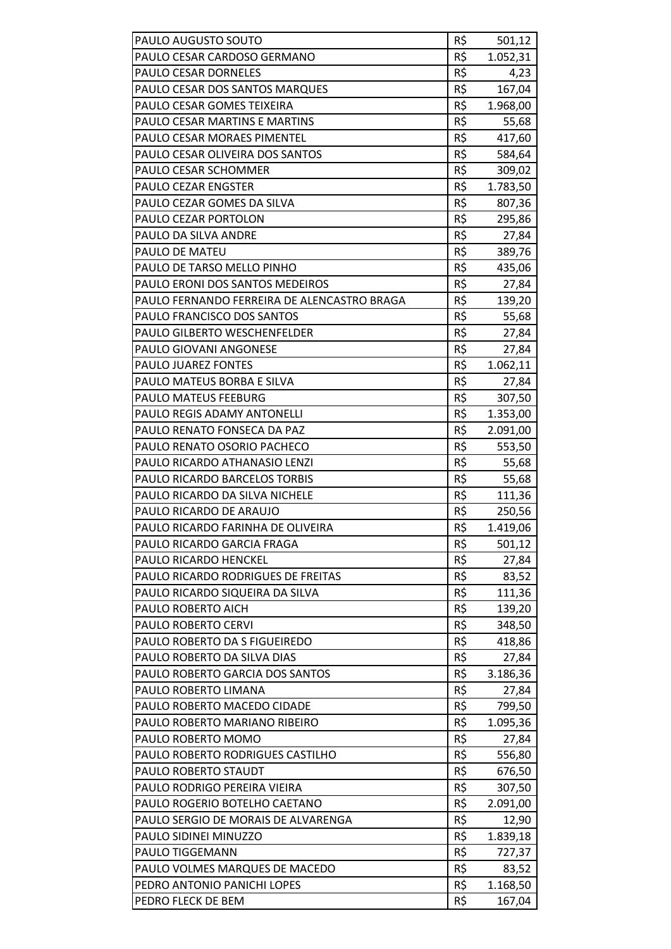| PAULO AUGUSTO SOUTO                         | R\$ | 501,12   |
|---------------------------------------------|-----|----------|
| PAULO CESAR CARDOSO GERMANO                 | R\$ | 1.052,31 |
| PAULO CESAR DORNELES                        | R\$ | 4,23     |
| PAULO CESAR DOS SANTOS MARQUES              | R\$ | 167,04   |
| PAULO CESAR GOMES TEIXEIRA                  | R\$ | 1.968,00 |
| PAULO CESAR MARTINS E MARTINS               | R\$ | 55,68    |
| PAULO CESAR MORAES PIMENTEL                 | R\$ | 417,60   |
| PAULO CESAR OLIVEIRA DOS SANTOS             | R\$ | 584,64   |
| PAULO CESAR SCHOMMER                        | R\$ | 309,02   |
| <b>PAULO CEZAR ENGSTER</b>                  | R\$ | 1.783,50 |
| PAULO CEZAR GOMES DA SILVA                  | R\$ | 807,36   |
| PAULO CEZAR PORTOLON                        | R\$ | 295,86   |
| PAULO DA SILVA ANDRE                        | R\$ | 27,84    |
| PAULO DE MATEU                              | R\$ | 389,76   |
| PAULO DE TARSO MELLO PINHO                  | R\$ | 435,06   |
| PAULO ERONI DOS SANTOS MEDEIROS             | R\$ | 27,84    |
| PAULO FERNANDO FERREIRA DE ALENCASTRO BRAGA | R\$ | 139,20   |
| PAULO FRANCISCO DOS SANTOS                  | R\$ | 55,68    |
| <b>PAULO GILBERTO WESCHENFELDER</b>         | R\$ | 27,84    |
| PAULO GIOVANI ANGONESE                      | R\$ | 27,84    |
| PAULO JUAREZ FONTES                         | R\$ | 1.062,11 |
| PAULO MATEUS BORBA E SILVA                  | R\$ | 27,84    |
| PAULO MATEUS FEEBURG                        | R\$ | 307,50   |
| PAULO REGIS ADAMY ANTONELLI                 | R\$ | 1.353,00 |
| PAULO RENATO FONSECA DA PAZ                 | R\$ | 2.091,00 |
| PAULO RENATO OSORIO PACHECO                 | R\$ | 553,50   |
| PAULO RICARDO ATHANASIO LENZI               | R\$ | 55,68    |
| PAULO RICARDO BARCELOS TORBIS               | R\$ | 55,68    |
| PAULO RICARDO DA SILVA NICHELE              | R\$ | 111,36   |
| PAULO RICARDO DE ARAUJO                     | R\$ | 250,56   |
| PAULO RICARDO FARINHA DE OLIVEIRA           | R\$ | 1.419,06 |
| PAULO RICARDO GARCIA FRAGA                  | R\$ | 501,12   |
| PAULO RICARDO HENCKEL                       | R\$ | 27,84    |
| PAULO RICARDO RODRIGUES DE FREITAS          | R\$ | 83,52    |
| PAULO RICARDO SIQUEIRA DA SILVA             | R\$ | 111,36   |
| PAULO ROBERTO AICH                          | R\$ | 139,20   |
| <b>PAULO ROBERTO CERVI</b>                  | R\$ | 348,50   |
| PAULO ROBERTO DA S FIGUEIREDO               | R\$ | 418,86   |
| PAULO ROBERTO DA SILVA DIAS                 | R\$ | 27,84    |
| PAULO ROBERTO GARCIA DOS SANTOS             | R\$ | 3.186,36 |
| PAULO ROBERTO LIMANA                        | R\$ | 27,84    |
| PAULO ROBERTO MACEDO CIDADE                 | R\$ | 799,50   |
| PAULO ROBERTO MARIANO RIBEIRO               | R\$ | 1.095,36 |
| PAULO ROBERTO MOMO                          | R\$ | 27,84    |
| PAULO ROBERTO RODRIGUES CASTILHO            | R\$ | 556,80   |
| PAULO ROBERTO STAUDT                        | R\$ | 676,50   |
| PAULO RODRIGO PEREIRA VIEIRA                | R\$ | 307,50   |
| PAULO ROGERIO BOTELHO CAETANO               | R\$ | 2.091,00 |
| PAULO SERGIO DE MORAIS DE ALVARENGA         | R\$ | 12,90    |
| PAULO SIDINEI MINUZZO                       | R\$ | 1.839,18 |
| PAULO TIGGEMANN                             | R\$ | 727,37   |
| PAULO VOLMES MARQUES DE MACEDO              | R\$ | 83,52    |
| PEDRO ANTONIO PANICHI LOPES                 | R\$ | 1.168,50 |
| PEDRO FLECK DE BEM                          | R\$ | 167,04   |
|                                             |     |          |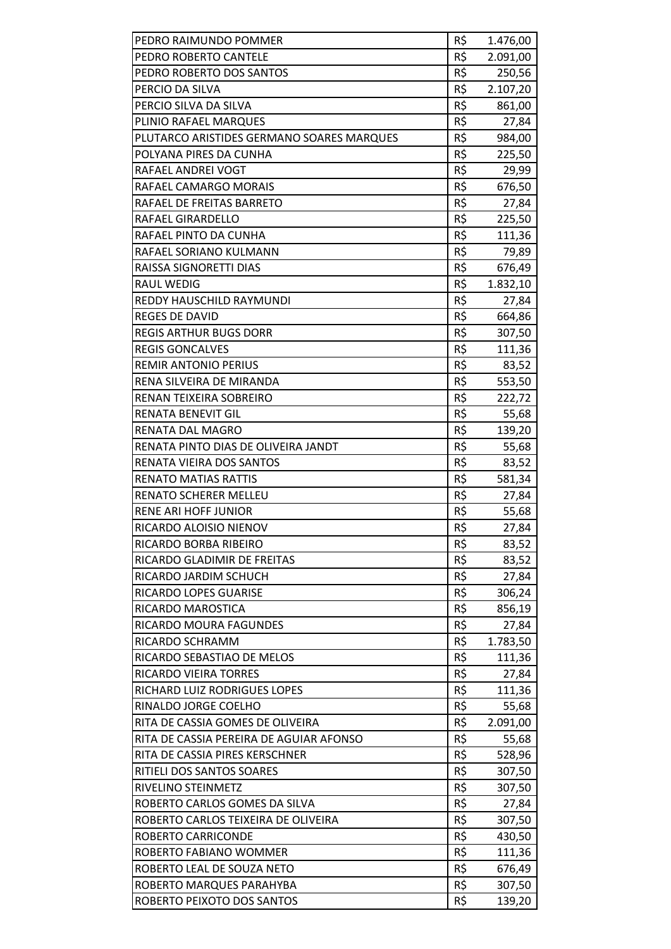| R\$<br>PEDRO ROBERTO CANTELE<br>2.091,00<br>R\$<br>PEDRO ROBERTO DOS SANTOS<br>250,56<br>R\$<br>PERCIO DA SILVA<br>2.107,20<br>R\$<br>PERCIO SILVA DA SILVA<br>861,00<br>R\$<br>PLINIO RAFAEL MARQUES<br>27,84<br>R\$<br>PLUTARCO ARISTIDES GERMANO SOARES MARQUES<br>984,00<br>R\$<br>POLYANA PIRES DA CUNHA<br>225,50<br>R\$<br>RAFAEL ANDREI VOGT<br>29,99<br>R\$<br>RAFAEL CAMARGO MORAIS<br>676,50<br>R\$<br>RAFAEL DE FREITAS BARRETO<br>27,84<br>R\$<br>RAFAEL GIRARDELLO<br>225,50<br>R\$<br>RAFAEL PINTO DA CUNHA<br>111,36<br>R\$<br>RAFAEL SORIANO KULMANN<br>79,89<br>R\$<br>RAISSA SIGNORETTI DIAS<br>676,49<br>R\$<br><b>RAUL WEDIG</b><br>1.832,10<br>R\$<br><b>REDDY HAUSCHILD RAYMUNDI</b><br>27,84<br><b>REGES DE DAVID</b><br>R\$<br>664,86<br>R\$<br><b>REGIS ARTHUR BUGS DORR</b><br>307,50<br>R\$<br><b>REGIS GONCALVES</b><br>111,36<br>R\$<br><b>REMIR ANTONIO PERIUS</b><br>83,52<br>R\$<br>RENA SILVEIRA DE MIRANDA<br>553,50<br>R\$<br>RENAN TEIXEIRA SOBREIRO<br>222,72<br>R\$<br>RENATA BENEVIT GIL<br>55,68<br>R\$<br>RENATA DAL MAGRO<br>139,20<br>R\$<br>RENATA PINTO DIAS DE OLIVEIRA JANDT<br>55,68<br>R\$<br>RENATA VIEIRA DOS SANTOS<br>83,52<br>R\$<br><b>RENATO MATIAS RATTIS</b><br>581,34<br>R\$<br><b>RENATO SCHERER MELLEU</b><br>27,84<br>R\$<br><b>RENE ARI HOFF JUNIOR</b><br>55,68<br>R\$<br>RICARDO ALOISIO NIENOV<br>27,84<br>R\$<br>RICARDO BORBA RIBEIRO<br>83,52<br>R\$<br>RICARDO GLADIMIR DE FREITAS<br>83,52<br>R\$<br>RICARDO JARDIM SCHUCH<br>27,84<br>R\$<br>RICARDO LOPES GUARISE<br>306,24<br>R\$<br>RICARDO MAROSTICA<br>856,19<br>R\$<br>RICARDO MOURA FAGUNDES<br>27,84<br>R\$<br>RICARDO SCHRAMM<br>1.783,50<br>R\$<br>RICARDO SEBASTIAO DE MELOS<br>111,36<br>R\$<br>RICARDO VIEIRA TORRES<br>27,84<br>R\$<br>RICHARD LUIZ RODRIGUES LOPES<br>111,36<br>R\$<br>RINALDO JORGE COELHO<br>55,68<br>R\$<br>RITA DE CASSIA GOMES DE OLIVEIRA<br>2.091,00 | PEDRO RAIMUNDO POMMER                   | R\$ | 1.476,00 |
|---------------------------------------------------------------------------------------------------------------------------------------------------------------------------------------------------------------------------------------------------------------------------------------------------------------------------------------------------------------------------------------------------------------------------------------------------------------------------------------------------------------------------------------------------------------------------------------------------------------------------------------------------------------------------------------------------------------------------------------------------------------------------------------------------------------------------------------------------------------------------------------------------------------------------------------------------------------------------------------------------------------------------------------------------------------------------------------------------------------------------------------------------------------------------------------------------------------------------------------------------------------------------------------------------------------------------------------------------------------------------------------------------------------------------------------------------------------------------------------------------------------------------------------------------------------------------------------------------------------------------------------------------------------------------------------------------------------------------------------------------------------------------------------------------------------------------------------------------------------------------------------------------------------------|-----------------------------------------|-----|----------|
|                                                                                                                                                                                                                                                                                                                                                                                                                                                                                                                                                                                                                                                                                                                                                                                                                                                                                                                                                                                                                                                                                                                                                                                                                                                                                                                                                                                                                                                                                                                                                                                                                                                                                                                                                                                                                                                                                                                     |                                         |     |          |
|                                                                                                                                                                                                                                                                                                                                                                                                                                                                                                                                                                                                                                                                                                                                                                                                                                                                                                                                                                                                                                                                                                                                                                                                                                                                                                                                                                                                                                                                                                                                                                                                                                                                                                                                                                                                                                                                                                                     |                                         |     |          |
|                                                                                                                                                                                                                                                                                                                                                                                                                                                                                                                                                                                                                                                                                                                                                                                                                                                                                                                                                                                                                                                                                                                                                                                                                                                                                                                                                                                                                                                                                                                                                                                                                                                                                                                                                                                                                                                                                                                     |                                         |     |          |
|                                                                                                                                                                                                                                                                                                                                                                                                                                                                                                                                                                                                                                                                                                                                                                                                                                                                                                                                                                                                                                                                                                                                                                                                                                                                                                                                                                                                                                                                                                                                                                                                                                                                                                                                                                                                                                                                                                                     |                                         |     |          |
|                                                                                                                                                                                                                                                                                                                                                                                                                                                                                                                                                                                                                                                                                                                                                                                                                                                                                                                                                                                                                                                                                                                                                                                                                                                                                                                                                                                                                                                                                                                                                                                                                                                                                                                                                                                                                                                                                                                     |                                         |     |          |
|                                                                                                                                                                                                                                                                                                                                                                                                                                                                                                                                                                                                                                                                                                                                                                                                                                                                                                                                                                                                                                                                                                                                                                                                                                                                                                                                                                                                                                                                                                                                                                                                                                                                                                                                                                                                                                                                                                                     |                                         |     |          |
|                                                                                                                                                                                                                                                                                                                                                                                                                                                                                                                                                                                                                                                                                                                                                                                                                                                                                                                                                                                                                                                                                                                                                                                                                                                                                                                                                                                                                                                                                                                                                                                                                                                                                                                                                                                                                                                                                                                     |                                         |     |          |
|                                                                                                                                                                                                                                                                                                                                                                                                                                                                                                                                                                                                                                                                                                                                                                                                                                                                                                                                                                                                                                                                                                                                                                                                                                                                                                                                                                                                                                                                                                                                                                                                                                                                                                                                                                                                                                                                                                                     |                                         |     |          |
|                                                                                                                                                                                                                                                                                                                                                                                                                                                                                                                                                                                                                                                                                                                                                                                                                                                                                                                                                                                                                                                                                                                                                                                                                                                                                                                                                                                                                                                                                                                                                                                                                                                                                                                                                                                                                                                                                                                     |                                         |     |          |
|                                                                                                                                                                                                                                                                                                                                                                                                                                                                                                                                                                                                                                                                                                                                                                                                                                                                                                                                                                                                                                                                                                                                                                                                                                                                                                                                                                                                                                                                                                                                                                                                                                                                                                                                                                                                                                                                                                                     |                                         |     |          |
|                                                                                                                                                                                                                                                                                                                                                                                                                                                                                                                                                                                                                                                                                                                                                                                                                                                                                                                                                                                                                                                                                                                                                                                                                                                                                                                                                                                                                                                                                                                                                                                                                                                                                                                                                                                                                                                                                                                     |                                         |     |          |
|                                                                                                                                                                                                                                                                                                                                                                                                                                                                                                                                                                                                                                                                                                                                                                                                                                                                                                                                                                                                                                                                                                                                                                                                                                                                                                                                                                                                                                                                                                                                                                                                                                                                                                                                                                                                                                                                                                                     |                                         |     |          |
|                                                                                                                                                                                                                                                                                                                                                                                                                                                                                                                                                                                                                                                                                                                                                                                                                                                                                                                                                                                                                                                                                                                                                                                                                                                                                                                                                                                                                                                                                                                                                                                                                                                                                                                                                                                                                                                                                                                     |                                         |     |          |
|                                                                                                                                                                                                                                                                                                                                                                                                                                                                                                                                                                                                                                                                                                                                                                                                                                                                                                                                                                                                                                                                                                                                                                                                                                                                                                                                                                                                                                                                                                                                                                                                                                                                                                                                                                                                                                                                                                                     |                                         |     |          |
|                                                                                                                                                                                                                                                                                                                                                                                                                                                                                                                                                                                                                                                                                                                                                                                                                                                                                                                                                                                                                                                                                                                                                                                                                                                                                                                                                                                                                                                                                                                                                                                                                                                                                                                                                                                                                                                                                                                     |                                         |     |          |
|                                                                                                                                                                                                                                                                                                                                                                                                                                                                                                                                                                                                                                                                                                                                                                                                                                                                                                                                                                                                                                                                                                                                                                                                                                                                                                                                                                                                                                                                                                                                                                                                                                                                                                                                                                                                                                                                                                                     |                                         |     |          |
|                                                                                                                                                                                                                                                                                                                                                                                                                                                                                                                                                                                                                                                                                                                                                                                                                                                                                                                                                                                                                                                                                                                                                                                                                                                                                                                                                                                                                                                                                                                                                                                                                                                                                                                                                                                                                                                                                                                     |                                         |     |          |
|                                                                                                                                                                                                                                                                                                                                                                                                                                                                                                                                                                                                                                                                                                                                                                                                                                                                                                                                                                                                                                                                                                                                                                                                                                                                                                                                                                                                                                                                                                                                                                                                                                                                                                                                                                                                                                                                                                                     |                                         |     |          |
|                                                                                                                                                                                                                                                                                                                                                                                                                                                                                                                                                                                                                                                                                                                                                                                                                                                                                                                                                                                                                                                                                                                                                                                                                                                                                                                                                                                                                                                                                                                                                                                                                                                                                                                                                                                                                                                                                                                     |                                         |     |          |
|                                                                                                                                                                                                                                                                                                                                                                                                                                                                                                                                                                                                                                                                                                                                                                                                                                                                                                                                                                                                                                                                                                                                                                                                                                                                                                                                                                                                                                                                                                                                                                                                                                                                                                                                                                                                                                                                                                                     |                                         |     |          |
|                                                                                                                                                                                                                                                                                                                                                                                                                                                                                                                                                                                                                                                                                                                                                                                                                                                                                                                                                                                                                                                                                                                                                                                                                                                                                                                                                                                                                                                                                                                                                                                                                                                                                                                                                                                                                                                                                                                     |                                         |     |          |
|                                                                                                                                                                                                                                                                                                                                                                                                                                                                                                                                                                                                                                                                                                                                                                                                                                                                                                                                                                                                                                                                                                                                                                                                                                                                                                                                                                                                                                                                                                                                                                                                                                                                                                                                                                                                                                                                                                                     |                                         |     |          |
|                                                                                                                                                                                                                                                                                                                                                                                                                                                                                                                                                                                                                                                                                                                                                                                                                                                                                                                                                                                                                                                                                                                                                                                                                                                                                                                                                                                                                                                                                                                                                                                                                                                                                                                                                                                                                                                                                                                     |                                         |     |          |
|                                                                                                                                                                                                                                                                                                                                                                                                                                                                                                                                                                                                                                                                                                                                                                                                                                                                                                                                                                                                                                                                                                                                                                                                                                                                                                                                                                                                                                                                                                                                                                                                                                                                                                                                                                                                                                                                                                                     |                                         |     |          |
|                                                                                                                                                                                                                                                                                                                                                                                                                                                                                                                                                                                                                                                                                                                                                                                                                                                                                                                                                                                                                                                                                                                                                                                                                                                                                                                                                                                                                                                                                                                                                                                                                                                                                                                                                                                                                                                                                                                     |                                         |     |          |
|                                                                                                                                                                                                                                                                                                                                                                                                                                                                                                                                                                                                                                                                                                                                                                                                                                                                                                                                                                                                                                                                                                                                                                                                                                                                                                                                                                                                                                                                                                                                                                                                                                                                                                                                                                                                                                                                                                                     |                                         |     |          |
|                                                                                                                                                                                                                                                                                                                                                                                                                                                                                                                                                                                                                                                                                                                                                                                                                                                                                                                                                                                                                                                                                                                                                                                                                                                                                                                                                                                                                                                                                                                                                                                                                                                                                                                                                                                                                                                                                                                     |                                         |     |          |
|                                                                                                                                                                                                                                                                                                                                                                                                                                                                                                                                                                                                                                                                                                                                                                                                                                                                                                                                                                                                                                                                                                                                                                                                                                                                                                                                                                                                                                                                                                                                                                                                                                                                                                                                                                                                                                                                                                                     |                                         |     |          |
|                                                                                                                                                                                                                                                                                                                                                                                                                                                                                                                                                                                                                                                                                                                                                                                                                                                                                                                                                                                                                                                                                                                                                                                                                                                                                                                                                                                                                                                                                                                                                                                                                                                                                                                                                                                                                                                                                                                     |                                         |     |          |
|                                                                                                                                                                                                                                                                                                                                                                                                                                                                                                                                                                                                                                                                                                                                                                                                                                                                                                                                                                                                                                                                                                                                                                                                                                                                                                                                                                                                                                                                                                                                                                                                                                                                                                                                                                                                                                                                                                                     |                                         |     |          |
|                                                                                                                                                                                                                                                                                                                                                                                                                                                                                                                                                                                                                                                                                                                                                                                                                                                                                                                                                                                                                                                                                                                                                                                                                                                                                                                                                                                                                                                                                                                                                                                                                                                                                                                                                                                                                                                                                                                     |                                         |     |          |
|                                                                                                                                                                                                                                                                                                                                                                                                                                                                                                                                                                                                                                                                                                                                                                                                                                                                                                                                                                                                                                                                                                                                                                                                                                                                                                                                                                                                                                                                                                                                                                                                                                                                                                                                                                                                                                                                                                                     |                                         |     |          |
|                                                                                                                                                                                                                                                                                                                                                                                                                                                                                                                                                                                                                                                                                                                                                                                                                                                                                                                                                                                                                                                                                                                                                                                                                                                                                                                                                                                                                                                                                                                                                                                                                                                                                                                                                                                                                                                                                                                     |                                         |     |          |
|                                                                                                                                                                                                                                                                                                                                                                                                                                                                                                                                                                                                                                                                                                                                                                                                                                                                                                                                                                                                                                                                                                                                                                                                                                                                                                                                                                                                                                                                                                                                                                                                                                                                                                                                                                                                                                                                                                                     |                                         |     |          |
|                                                                                                                                                                                                                                                                                                                                                                                                                                                                                                                                                                                                                                                                                                                                                                                                                                                                                                                                                                                                                                                                                                                                                                                                                                                                                                                                                                                                                                                                                                                                                                                                                                                                                                                                                                                                                                                                                                                     |                                         |     |          |
|                                                                                                                                                                                                                                                                                                                                                                                                                                                                                                                                                                                                                                                                                                                                                                                                                                                                                                                                                                                                                                                                                                                                                                                                                                                                                                                                                                                                                                                                                                                                                                                                                                                                                                                                                                                                                                                                                                                     |                                         |     |          |
|                                                                                                                                                                                                                                                                                                                                                                                                                                                                                                                                                                                                                                                                                                                                                                                                                                                                                                                                                                                                                                                                                                                                                                                                                                                                                                                                                                                                                                                                                                                                                                                                                                                                                                                                                                                                                                                                                                                     |                                         |     |          |
|                                                                                                                                                                                                                                                                                                                                                                                                                                                                                                                                                                                                                                                                                                                                                                                                                                                                                                                                                                                                                                                                                                                                                                                                                                                                                                                                                                                                                                                                                                                                                                                                                                                                                                                                                                                                                                                                                                                     |                                         |     |          |
|                                                                                                                                                                                                                                                                                                                                                                                                                                                                                                                                                                                                                                                                                                                                                                                                                                                                                                                                                                                                                                                                                                                                                                                                                                                                                                                                                                                                                                                                                                                                                                                                                                                                                                                                                                                                                                                                                                                     |                                         |     |          |
|                                                                                                                                                                                                                                                                                                                                                                                                                                                                                                                                                                                                                                                                                                                                                                                                                                                                                                                                                                                                                                                                                                                                                                                                                                                                                                                                                                                                                                                                                                                                                                                                                                                                                                                                                                                                                                                                                                                     |                                         |     |          |
|                                                                                                                                                                                                                                                                                                                                                                                                                                                                                                                                                                                                                                                                                                                                                                                                                                                                                                                                                                                                                                                                                                                                                                                                                                                                                                                                                                                                                                                                                                                                                                                                                                                                                                                                                                                                                                                                                                                     |                                         |     |          |
|                                                                                                                                                                                                                                                                                                                                                                                                                                                                                                                                                                                                                                                                                                                                                                                                                                                                                                                                                                                                                                                                                                                                                                                                                                                                                                                                                                                                                                                                                                                                                                                                                                                                                                                                                                                                                                                                                                                     |                                         |     |          |
|                                                                                                                                                                                                                                                                                                                                                                                                                                                                                                                                                                                                                                                                                                                                                                                                                                                                                                                                                                                                                                                                                                                                                                                                                                                                                                                                                                                                                                                                                                                                                                                                                                                                                                                                                                                                                                                                                                                     |                                         |     |          |
|                                                                                                                                                                                                                                                                                                                                                                                                                                                                                                                                                                                                                                                                                                                                                                                                                                                                                                                                                                                                                                                                                                                                                                                                                                                                                                                                                                                                                                                                                                                                                                                                                                                                                                                                                                                                                                                                                                                     | RITA DE CASSIA PEREIRA DE AGUIAR AFONSO | R\$ | 55,68    |
| R\$<br>RITA DE CASSIA PIRES KERSCHNER<br>528,96                                                                                                                                                                                                                                                                                                                                                                                                                                                                                                                                                                                                                                                                                                                                                                                                                                                                                                                                                                                                                                                                                                                                                                                                                                                                                                                                                                                                                                                                                                                                                                                                                                                                                                                                                                                                                                                                     |                                         |     |          |
| R\$<br>RITIELI DOS SANTOS SOARES<br>307,50                                                                                                                                                                                                                                                                                                                                                                                                                                                                                                                                                                                                                                                                                                                                                                                                                                                                                                                                                                                                                                                                                                                                                                                                                                                                                                                                                                                                                                                                                                                                                                                                                                                                                                                                                                                                                                                                          |                                         |     |          |
| R\$<br>RIVELINO STEINMETZ<br>307,50                                                                                                                                                                                                                                                                                                                                                                                                                                                                                                                                                                                                                                                                                                                                                                                                                                                                                                                                                                                                                                                                                                                                                                                                                                                                                                                                                                                                                                                                                                                                                                                                                                                                                                                                                                                                                                                                                 |                                         |     |          |
| R\$<br>ROBERTO CARLOS GOMES DA SILVA<br>27,84                                                                                                                                                                                                                                                                                                                                                                                                                                                                                                                                                                                                                                                                                                                                                                                                                                                                                                                                                                                                                                                                                                                                                                                                                                                                                                                                                                                                                                                                                                                                                                                                                                                                                                                                                                                                                                                                       |                                         |     |          |
| R\$<br>ROBERTO CARLOS TEIXEIRA DE OLIVEIRA<br>307,50                                                                                                                                                                                                                                                                                                                                                                                                                                                                                                                                                                                                                                                                                                                                                                                                                                                                                                                                                                                                                                                                                                                                                                                                                                                                                                                                                                                                                                                                                                                                                                                                                                                                                                                                                                                                                                                                |                                         |     |          |
| R\$<br>ROBERTO CARRICONDE<br>430,50                                                                                                                                                                                                                                                                                                                                                                                                                                                                                                                                                                                                                                                                                                                                                                                                                                                                                                                                                                                                                                                                                                                                                                                                                                                                                                                                                                                                                                                                                                                                                                                                                                                                                                                                                                                                                                                                                 |                                         |     |          |
| R\$<br>ROBERTO FABIANO WOMMER<br>111,36                                                                                                                                                                                                                                                                                                                                                                                                                                                                                                                                                                                                                                                                                                                                                                                                                                                                                                                                                                                                                                                                                                                                                                                                                                                                                                                                                                                                                                                                                                                                                                                                                                                                                                                                                                                                                                                                             |                                         |     |          |
| R\$<br>ROBERTO LEAL DE SOUZA NETO<br>676,49                                                                                                                                                                                                                                                                                                                                                                                                                                                                                                                                                                                                                                                                                                                                                                                                                                                                                                                                                                                                                                                                                                                                                                                                                                                                                                                                                                                                                                                                                                                                                                                                                                                                                                                                                                                                                                                                         |                                         |     |          |
| R\$<br>ROBERTO MARQUES PARAHYBA<br>307,50                                                                                                                                                                                                                                                                                                                                                                                                                                                                                                                                                                                                                                                                                                                                                                                                                                                                                                                                                                                                                                                                                                                                                                                                                                                                                                                                                                                                                                                                                                                                                                                                                                                                                                                                                                                                                                                                           |                                         |     |          |
| R\$<br>ROBERTO PEIXOTO DOS SANTOS<br>139,20                                                                                                                                                                                                                                                                                                                                                                                                                                                                                                                                                                                                                                                                                                                                                                                                                                                                                                                                                                                                                                                                                                                                                                                                                                                                                                                                                                                                                                                                                                                                                                                                                                                                                                                                                                                                                                                                         |                                         |     |          |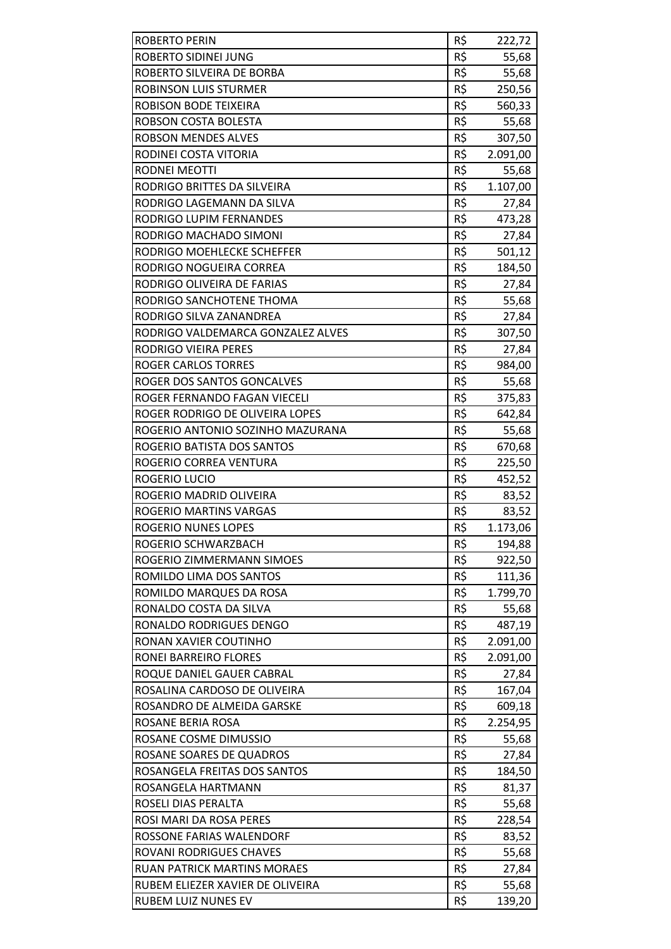| <b>ROBERTO PERIN</b>                                                 | R\$        | 222,72            |
|----------------------------------------------------------------------|------------|-------------------|
| ROBERTO SIDINEI JUNG                                                 | R\$        | 55,68             |
| ROBERTO SILVEIRA DE BORBA                                            | R\$        | 55,68             |
| <b>ROBINSON LUIS STURMER</b>                                         | R\$        | 250,56            |
| ROBISON BODE TEIXEIRA                                                | R\$        | 560,33            |
| ROBSON COSTA BOLESTA                                                 | R\$        | 55,68             |
| <b>ROBSON MENDES ALVES</b>                                           | R\$        | 307,50            |
| RODINEI COSTA VITORIA                                                | R\$        | 2.091,00          |
| <b>RODNEI MEOTTI</b>                                                 | R\$        | 55,68             |
| RODRIGO BRITTES DA SILVEIRA                                          | R\$        | 1.107,00          |
| RODRIGO LAGEMANN DA SILVA                                            | R\$        | 27,84             |
| RODRIGO LUPIM FERNANDES                                              | R\$        | 473,28            |
| RODRIGO MACHADO SIMONI                                               | R\$        | 27,84             |
| RODRIGO MOEHLECKE SCHEFFER                                           | R\$        | 501,12            |
| RODRIGO NOGUEIRA CORREA                                              | R\$        | 184,50            |
| RODRIGO OLIVEIRA DE FARIAS                                           | R\$        | 27,84             |
| RODRIGO SANCHOTENE THOMA                                             | R\$        | 55,68             |
| RODRIGO SILVA ZANANDREA                                              | R\$        | 27,84             |
| RODRIGO VALDEMARCA GONZALEZ ALVES                                    | R\$        | 307,50            |
| <b>RODRIGO VIEIRA PERES</b>                                          | R\$        | 27,84             |
| <b>ROGER CARLOS TORRES</b>                                           | R\$        | 984,00            |
| ROGER DOS SANTOS GONCALVES                                           | R\$        | 55,68             |
| ROGER FERNANDO FAGAN VIECELI                                         | R\$        | 375,83            |
| ROGER RODRIGO DE OLIVEIRA LOPES                                      | R\$        | 642,84            |
| ROGERIO ANTONIO SOZINHO MAZURANA                                     | R\$        | 55,68             |
| ROGERIO BATISTA DOS SANTOS                                           | R\$        | 670,68            |
| ROGERIO CORREA VENTURA                                               | R\$        | 225,50            |
| ROGERIO LUCIO                                                        | R\$        |                   |
| ROGERIO MADRID OLIVEIRA                                              | R\$        | 452,52            |
| ROGERIO MARTINS VARGAS                                               | R\$        | 83,52             |
| <b>ROGERIO NUNES LOPES</b>                                           | R\$        | 83,52<br>1.173,06 |
| ROGERIO SCHWARZBACH                                                  | R\$        | 194,88            |
| ROGERIO ZIMMERMANN SIMOES                                            | R\$        | 922,50            |
| ROMILDO LIMA DOS SANTOS                                              | R\$        | 111,36            |
| ROMILDO MARQUES DA ROSA                                              | R\$        | 1.799,70          |
| RONALDO COSTA DA SILVA                                               | R\$        | 55,68             |
| RONALDO RODRIGUES DENGO                                              | R\$        | 487,19            |
| RONAN XAVIER COUTINHO                                                | R\$        | 2.091,00          |
| RONEI BARREIRO FLORES                                                | R\$        | 2.091,00          |
| ROQUE DANIEL GAUER CABRAL                                            | R\$        | 27,84             |
| ROSALINA CARDOSO DE OLIVEIRA                                         | R\$        | 167,04            |
| ROSANDRO DE ALMEIDA GARSKE                                           | R\$        | 609,18            |
| ROSANE BERIA ROSA                                                    | R\$        | 2.254,95          |
| ROSANE COSME DIMUSSIO                                                | R\$        | 55,68             |
| ROSANE SOARES DE QUADROS                                             | R\$        | 27,84             |
| ROSANGELA FREITAS DOS SANTOS                                         | R\$        |                   |
| ROSANGELA HARTMANN                                                   | R\$        | 184,50<br>81,37   |
|                                                                      | R\$        |                   |
| ROSELI DIAS PERALTA                                                  |            | 55,68             |
| ROSI MARI DA ROSA PERES                                              | R\$        | 228,54            |
| ROSSONE FARIAS WALENDORF                                             | R\$<br>R\$ | 83,52             |
| <b>ROVANI RODRIGUES CHAVES</b><br><b>RUAN PATRICK MARTINS MORAES</b> | R\$        | 55,68             |
| RUBEM ELIEZER XAVIER DE OLIVEIRA                                     | R\$        | 27,84             |
| <b>RUBEM LUIZ NUNES EV</b>                                           | R\$        | 55,68<br>139,20   |
|                                                                      |            |                   |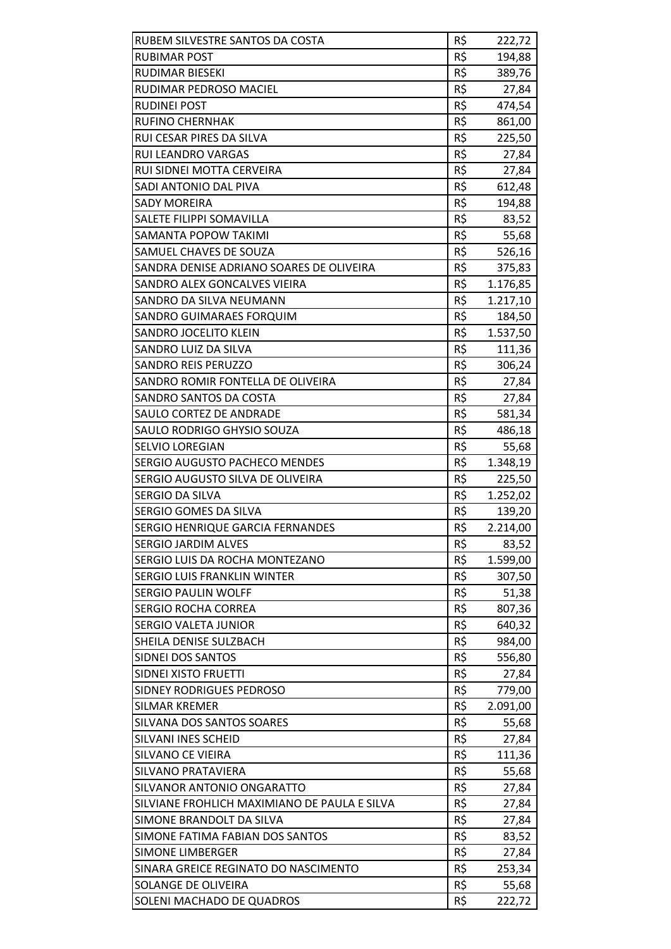| RUBEM SILVESTRE SANTOS DA COSTA<br><b>RUBIMAR POST</b> | R\$<br>R\$ | 222,72   |
|--------------------------------------------------------|------------|----------|
| RUDIMAR BIESEKI                                        | R\$        | 194,88   |
| RUDIMAR PEDROSO MACIEL                                 | R\$        | 389,76   |
| <b>RUDINEI POST</b>                                    | R\$        | 27,84    |
| <b>RUFINO CHERNHAK</b>                                 | R\$        | 474,54   |
| RUI CESAR PIRES DA SILVA                               | R\$        | 861,00   |
|                                                        |            | 225,50   |
| <b>RUI LEANDRO VARGAS</b><br>RUI SIDNEI MOTTA CERVEIRA | R\$<br>R\$ | 27,84    |
|                                                        |            | 27,84    |
| SADI ANTONIO DAL PIVA                                  | R\$        | 612,48   |
| <b>SADY MOREIRA</b>                                    | R\$        | 194,88   |
| SALETE FILIPPI SOMAVILLA                               | R\$        | 83,52    |
| SAMANTA POPOW TAKIMI                                   | R\$        | 55,68    |
| SAMUEL CHAVES DE SOUZA                                 | R\$        | 526,16   |
| SANDRA DENISE ADRIANO SOARES DE OLIVEIRA               | R\$        | 375,83   |
| SANDRO ALEX GONCALVES VIEIRA                           | R\$        | 1.176,85 |
| SANDRO DA SILVA NEUMANN                                | R\$        | 1.217,10 |
| SANDRO GUIMARAES FORQUIM                               | R\$        | 184,50   |
| SANDRO JOCELITO KLEIN                                  | R\$        | 1.537,50 |
| SANDRO LUIZ DA SILVA                                   | R\$        | 111,36   |
| <b>SANDRO REIS PERUZZO</b>                             | R\$        | 306,24   |
| SANDRO ROMIR FONTELLA DE OLIVEIRA                      | R\$        | 27,84    |
| SANDRO SANTOS DA COSTA                                 | R\$        | 27,84    |
| SAULO CORTEZ DE ANDRADE                                | R\$        | 581,34   |
| SAULO RODRIGO GHYSIO SOUZA                             | R\$        | 486,18   |
| <b>SELVIO LOREGIAN</b>                                 | R\$        | 55,68    |
| SERGIO AUGUSTO PACHECO MENDES                          | R\$        | 1.348,19 |
| SERGIO AUGUSTO SILVA DE OLIVEIRA                       | R\$        | 225,50   |
| SERGIO DA SILVA                                        | R\$        | 1.252,02 |
| <b>SERGIO GOMES DA SILVA</b>                           | R\$        | 139,20   |
| SERGIO HENRIQUE GARCIA FERNANDES                       | R\$        | 2.214,00 |
| <b>SERGIO JARDIM ALVES</b>                             | R\$        | 83,52    |
| SERGIO LUIS DA ROCHA MONTEZANO                         | R\$        | 1.599,00 |
| <b>SERGIO LUIS FRANKLIN WINTER</b>                     | R\$        | 307,50   |
| <b>SERGIO PAULIN WOLFF</b>                             | R\$        | 51,38    |
| <b>SERGIO ROCHA CORREA</b>                             | R\$        | 807,36   |
| <b>SERGIO VALETA JUNIOR</b>                            | R\$        | 640,32   |
| SHEILA DENISE SULZBACH                                 | R\$        | 984,00   |
| SIDNEI DOS SANTOS                                      | R\$        | 556,80   |
| SIDNEI XISTO FRUETTI                                   | R\$        | 27,84    |
| SIDNEY RODRIGUES PEDROSO                               | R\$        | 779,00   |
| <b>SILMAR KREMER</b>                                   | R\$        | 2.091,00 |
| SILVANA DOS SANTOS SOARES                              | R\$        | 55,68    |
| SILVANI INES SCHEID                                    | R\$        | 27,84    |
| <b>SILVANO CE VIEIRA</b>                               | R\$        | 111,36   |
| SILVANO PRATAVIERA                                     | R\$        | 55,68    |
| SILVANOR ANTONIO ONGARATTO                             | R\$        | 27,84    |
| SILVIANE FROHLICH MAXIMIANO DE PAULA E SILVA           | R\$        | 27,84    |
| SIMONE BRANDOLT DA SILVA                               | R\$        | 27,84    |
| SIMONE FATIMA FABIAN DOS SANTOS                        | R\$        | 83,52    |
| <b>SIMONE LIMBERGER</b>                                | R\$        | 27,84    |
| SINARA GREICE REGINATO DO NASCIMENTO                   | R\$        | 253,34   |
| SOLANGE DE OLIVEIRA                                    | R\$        | 55,68    |
| SOLENI MACHADO DE QUADROS                              | R\$        | 222,72   |
|                                                        |            |          |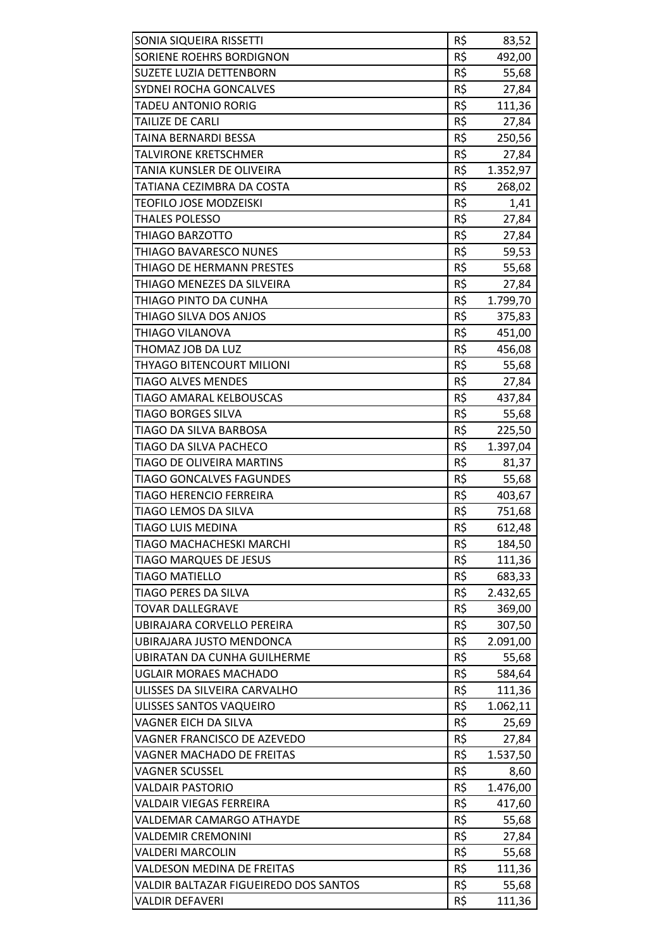| SONIA SIQUEIRA RISSETTI               | R\$ | 83,52    |
|---------------------------------------|-----|----------|
| SORIENE ROEHRS BORDIGNON              | R\$ | 492,00   |
| SUZETE LUZIA DETTENBORN               | R\$ | 55,68    |
| SYDNEI ROCHA GONCALVES                | R\$ | 27,84    |
| <b>TADEU ANTONIO RORIG</b>            | R\$ | 111,36   |
| TAILIZE DE CARLI                      | R\$ | 27,84    |
| TAINA BERNARDI BESSA                  | R\$ | 250,56   |
| <b>TALVIRONE KRETSCHMER</b>           | R\$ | 27,84    |
| TANIA KUNSLER DE OLIVEIRA             | R\$ | 1.352,97 |
| TATIANA CEZIMBRA DA COSTA             | R\$ | 268,02   |
| TEOFILO JOSE MODZEISKI                | R\$ | 1,41     |
| <b>THALES POLESSO</b>                 | R\$ | 27,84    |
| THIAGO BARZOTTO                       | R\$ | 27,84    |
| THIAGO BAVARESCO NUNES                | R\$ | 59,53    |
| THIAGO DE HERMANN PRESTES             | R\$ | 55,68    |
| THIAGO MENEZES DA SILVEIRA            | R\$ | 27,84    |
| THIAGO PINTO DA CUNHA                 | R\$ | 1.799,70 |
| THIAGO SILVA DOS ANJOS                | R\$ | 375,83   |
| THIAGO VILANOVA                       | R\$ | 451,00   |
| THOMAZ JOB DA LUZ                     | R\$ | 456,08   |
| THYAGO BITENCOURT MILIONI             | R\$ | 55,68    |
| <b>TIAGO ALVES MENDES</b>             | R\$ | 27,84    |
| TIAGO AMARAL KELBOUSCAS               | R\$ | 437,84   |
| TIAGO BORGES SILVA                    | R\$ | 55,68    |
| TIAGO DA SILVA BARBOSA                | R\$ | 225,50   |
| TIAGO DA SILVA PACHECO                | R\$ | 1.397,04 |
| TIAGO DE OLIVEIRA MARTINS             | R\$ | 81,37    |
| <b>TIAGO GONCALVES FAGUNDES</b>       | R\$ | 55,68    |
| TIAGO HERENCIO FERREIRA               | R\$ | 403,67   |
| TIAGO LEMOS DA SILVA                  | R\$ | 751,68   |
| TIAGO LUIS MEDINA                     | R\$ | 612,48   |
| TIAGO MACHACHESKI MARCHI              | R\$ | 184,50   |
| <b>TIAGO MARQUES DE JESUS</b>         | R\$ | 111,36   |
| TIAGO MATIELLO                        | R\$ | 683,33   |
| TIAGO PERES DA SILVA                  | R\$ | 2.432,65 |
| <b>TOVAR DALLEGRAVE</b>               | R\$ | 369,00   |
| UBIRAJARA CORVELLO PEREIRA            | R\$ | 307,50   |
| UBIRAJARA JUSTO MENDONCA              | R\$ | 2.091,00 |
| UBIRATAN DA CUNHA GUILHERME           | R\$ | 55,68    |
| <b>UGLAIR MORAES MACHADO</b>          | R\$ | 584,64   |
| ULISSES DA SILVEIRA CARVALHO          | R\$ | 111,36   |
| ULISSES SANTOS VAQUEIRO               | R\$ | 1.062,11 |
| VAGNER EICH DA SILVA                  | R\$ | 25,69    |
| VAGNER FRANCISCO DE AZEVEDO           | R\$ | 27,84    |
| VAGNER MACHADO DE FREITAS             | R\$ | 1.537,50 |
| <b>VAGNER SCUSSEL</b>                 | R\$ | 8,60     |
| <b>VALDAIR PASTORIO</b>               | R\$ | 1.476,00 |
| VALDAIR VIEGAS FERREIRA               | R\$ | 417,60   |
| VALDEMAR CAMARGO ATHAYDE              | R\$ | 55,68    |
| <b>VALDEMIR CREMONINI</b>             | R\$ | 27,84    |
| <b>VALDERI MARCOLIN</b>               | R\$ | 55,68    |
| VALDESON MEDINA DE FREITAS            | R\$ | 111,36   |
| VALDIR BALTAZAR FIGUEIREDO DOS SANTOS | R\$ | 55,68    |
| VALDIR DEFAVERI                       | R\$ | 111,36   |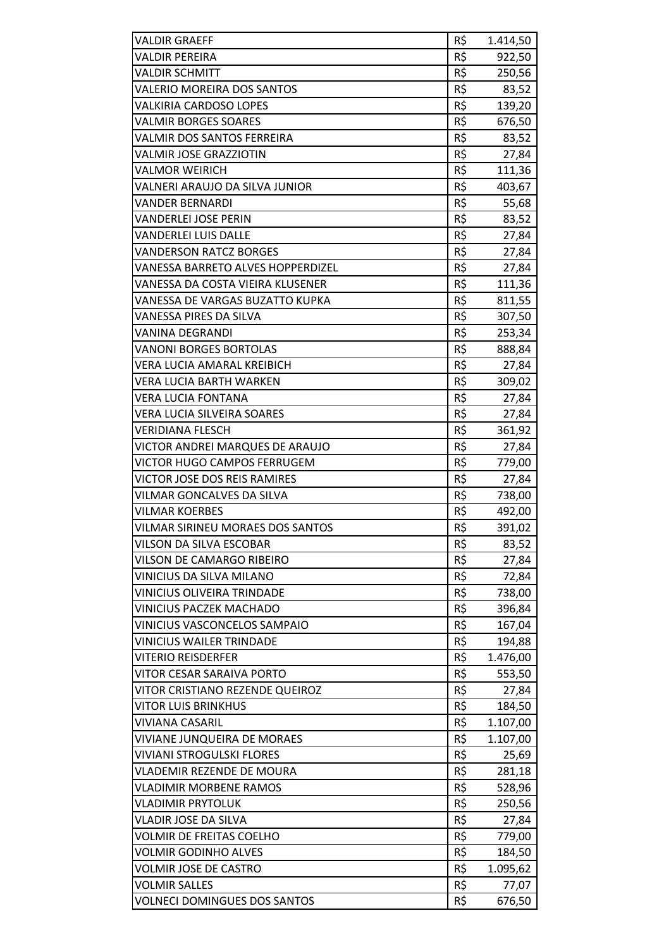| <b>VALDIR GRAEFF</b>                | R\$ | 1.414,50 |
|-------------------------------------|-----|----------|
| <b>VALDIR PEREIRA</b>               | R\$ | 922,50   |
| <b>VALDIR SCHMITT</b>               | R\$ | 250,56   |
| VALERIO MOREIRA DOS SANTOS          | R\$ | 83,52    |
| <b>VALKIRIA CARDOSO LOPES</b>       | R\$ | 139,20   |
| <b>VALMIR BORGES SOARES</b>         | R\$ | 676,50   |
| VALMIR DOS SANTOS FERREIRA          | R\$ | 83,52    |
| <b>VALMIR JOSE GRAZZIOTIN</b>       | R\$ | 27,84    |
| <b>VALMOR WEIRICH</b>               | R\$ | 111,36   |
| VALNERI ARAUJO DA SILVA JUNIOR      | R\$ | 403,67   |
| <b>VANDER BERNARDI</b>              | R\$ | 55,68    |
| VANDERLEI JOSE PERIN                | R\$ | 83,52    |
| <b>VANDERLEI LUIS DALLE</b>         | R\$ | 27,84    |
| <b>VANDERSON RATCZ BORGES</b>       | R\$ | 27,84    |
| VANESSA BARRETO ALVES HOPPERDIZEL   | R\$ | 27,84    |
| VANESSA DA COSTA VIEIRA KLUSENER    | R\$ | 111,36   |
| VANESSA DE VARGAS BUZATTO KUPKA     | R\$ | 811,55   |
| VANESSA PIRES DA SILVA              | R\$ | 307,50   |
| VANINA DEGRANDI                     | R\$ | 253,34   |
| <b>VANONI BORGES BORTOLAS</b>       | R\$ | 888,84   |
| VERA LUCIA AMARAL KREIBICH          | R\$ | 27,84    |
| VERA LUCIA BARTH WARKEN             | R\$ | 309,02   |
| <b>VERA LUCIA FONTANA</b>           | R\$ | 27,84    |
| VERA LUCIA SILVEIRA SOARES          | R\$ | 27,84    |
| <b>VERIDIANA FLESCH</b>             | R\$ | 361,92   |
| VICTOR ANDREI MARQUES DE ARAUJO     | R\$ | 27,84    |
| VICTOR HUGO CAMPOS FERRUGEM         | R\$ | 779,00   |
| VICTOR JOSE DOS REIS RAMIRES        | R\$ | 27,84    |
| <b>VILMAR GONCALVES DA SILVA</b>    | R\$ | 738,00   |
| <b>VILMAR KOERBES</b>               | R\$ | 492,00   |
| VILMAR SIRINEU MORAES DOS SANTOS    | R\$ | 391,02   |
| VILSON DA SILVA ESCOBAR             | R\$ | 83,52    |
| VILSON DE CAMARGO RIBEIRO           | R\$ | 27,84    |
| VINICIUS DA SILVA MILANO            | R\$ | 72,84    |
| VINICIUS OLIVEIRA TRINDADE          | R\$ | 738,00   |
| <b>VINICIUS PACZEK MACHADO</b>      | R\$ | 396,84   |
| VINICIUS VASCONCELOS SAMPAIO        | R\$ | 167,04   |
| <b>VINICIUS WAILER TRINDADE</b>     | R\$ | 194,88   |
| <b>VITERIO REISDERFER</b>           | R\$ | 1.476,00 |
| VITOR CESAR SARAIVA PORTO           | R\$ | 553,50   |
| VITOR CRISTIANO REZENDE QUEIROZ     | R\$ | 27,84    |
| <b>VITOR LUIS BRINKHUS</b>          | R\$ | 184,50   |
| VIVIANA CASARIL                     | R\$ | 1.107,00 |
| VIVIANE JUNQUEIRA DE MORAES         | R\$ | 1.107,00 |
| <b>VIVIANI STROGULSKI FLORES</b>    | R\$ | 25,69    |
| VLADEMIR REZENDE DE MOURA           | R\$ | 281,18   |
| <b>VLADIMIR MORBENE RAMOS</b>       | R\$ | 528,96   |
| VLADIMIR PRYTOLUK                   | R\$ | 250,56   |
| VLADIR JOSE DA SILVA                | R\$ | 27,84    |
| <b>VOLMIR DE FREITAS COELHO</b>     | R\$ | 779,00   |
| <b>VOLMIR GODINHO ALVES</b>         | R\$ | 184,50   |
| VOLMIR JOSE DE CASTRO               | R\$ | 1.095,62 |
| <b>VOLMIR SALLES</b>                | R\$ | 77,07    |
| <b>VOLNECI DOMINGUES DOS SANTOS</b> | R\$ | 676,50   |